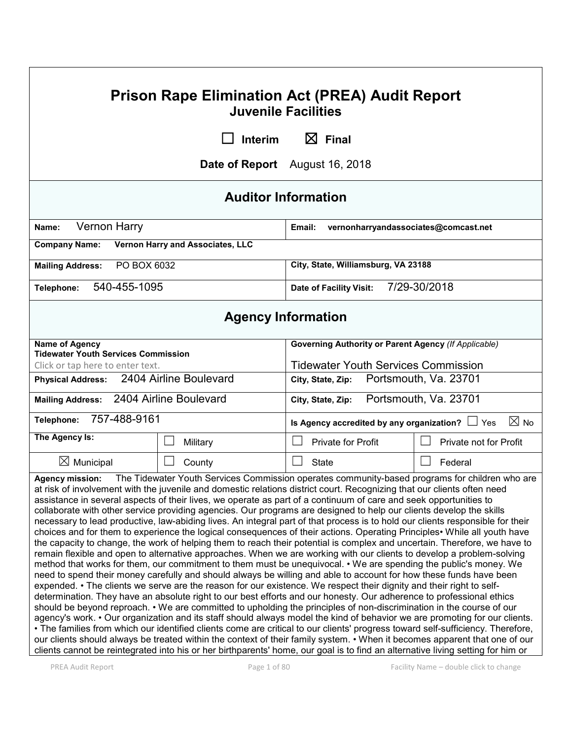| <b>Prison Rape Elimination Act (PREA) Audit Report</b><br><b>Juvenile Facilities</b>                                                                                                                                                                                                                                                                                                                                                                                                                                                                                                                                                                                                                                                                                                                                                                                                                                                                                                                                                                                                                                                                                                                                                                                                                                                                                                                                                                                                                                                                                                                                                                                                                                                                                                                                                                                                                                                                                                                                                                                                                                                                                    |                                  |                                                                        |                        |
|-------------------------------------------------------------------------------------------------------------------------------------------------------------------------------------------------------------------------------------------------------------------------------------------------------------------------------------------------------------------------------------------------------------------------------------------------------------------------------------------------------------------------------------------------------------------------------------------------------------------------------------------------------------------------------------------------------------------------------------------------------------------------------------------------------------------------------------------------------------------------------------------------------------------------------------------------------------------------------------------------------------------------------------------------------------------------------------------------------------------------------------------------------------------------------------------------------------------------------------------------------------------------------------------------------------------------------------------------------------------------------------------------------------------------------------------------------------------------------------------------------------------------------------------------------------------------------------------------------------------------------------------------------------------------------------------------------------------------------------------------------------------------------------------------------------------------------------------------------------------------------------------------------------------------------------------------------------------------------------------------------------------------------------------------------------------------------------------------------------------------------------------------------------------------|----------------------------------|------------------------------------------------------------------------|------------------------|
|                                                                                                                                                                                                                                                                                                                                                                                                                                                                                                                                                                                                                                                                                                                                                                                                                                                                                                                                                                                                                                                                                                                                                                                                                                                                                                                                                                                                                                                                                                                                                                                                                                                                                                                                                                                                                                                                                                                                                                                                                                                                                                                                                                         | Interim                          | $\boxtimes$ Final                                                      |                        |
|                                                                                                                                                                                                                                                                                                                                                                                                                                                                                                                                                                                                                                                                                                                                                                                                                                                                                                                                                                                                                                                                                                                                                                                                                                                                                                                                                                                                                                                                                                                                                                                                                                                                                                                                                                                                                                                                                                                                                                                                                                                                                                                                                                         |                                  | Date of Report August 16, 2018                                         |                        |
| <b>Auditor Information</b>                                                                                                                                                                                                                                                                                                                                                                                                                                                                                                                                                                                                                                                                                                                                                                                                                                                                                                                                                                                                                                                                                                                                                                                                                                                                                                                                                                                                                                                                                                                                                                                                                                                                                                                                                                                                                                                                                                                                                                                                                                                                                                                                              |                                  |                                                                        |                        |
| Vernon Harry<br>Name:                                                                                                                                                                                                                                                                                                                                                                                                                                                                                                                                                                                                                                                                                                                                                                                                                                                                                                                                                                                                                                                                                                                                                                                                                                                                                                                                                                                                                                                                                                                                                                                                                                                                                                                                                                                                                                                                                                                                                                                                                                                                                                                                                   |                                  | Email:<br>vernonharryandassociates@comcast.net                         |                        |
| <b>Company Name:</b>                                                                                                                                                                                                                                                                                                                                                                                                                                                                                                                                                                                                                                                                                                                                                                                                                                                                                                                                                                                                                                                                                                                                                                                                                                                                                                                                                                                                                                                                                                                                                                                                                                                                                                                                                                                                                                                                                                                                                                                                                                                                                                                                                    | Vernon Harry and Associates, LLC |                                                                        |                        |
| PO BOX 6032<br><b>Mailing Address:</b>                                                                                                                                                                                                                                                                                                                                                                                                                                                                                                                                                                                                                                                                                                                                                                                                                                                                                                                                                                                                                                                                                                                                                                                                                                                                                                                                                                                                                                                                                                                                                                                                                                                                                                                                                                                                                                                                                                                                                                                                                                                                                                                                  |                                  | City, State, Williamsburg, VA 23188                                    |                        |
| 540-455-1095<br>Telephone:                                                                                                                                                                                                                                                                                                                                                                                                                                                                                                                                                                                                                                                                                                                                                                                                                                                                                                                                                                                                                                                                                                                                                                                                                                                                                                                                                                                                                                                                                                                                                                                                                                                                                                                                                                                                                                                                                                                                                                                                                                                                                                                                              |                                  | Date of Facility Visit:                                                | 7/29-30/2018           |
| <b>Agency Information</b>                                                                                                                                                                                                                                                                                                                                                                                                                                                                                                                                                                                                                                                                                                                                                                                                                                                                                                                                                                                                                                                                                                                                                                                                                                                                                                                                                                                                                                                                                                                                                                                                                                                                                                                                                                                                                                                                                                                                                                                                                                                                                                                                               |                                  |                                                                        |                        |
| <b>Name of Agency</b><br><b>Tidewater Youth Services Commission</b>                                                                                                                                                                                                                                                                                                                                                                                                                                                                                                                                                                                                                                                                                                                                                                                                                                                                                                                                                                                                                                                                                                                                                                                                                                                                                                                                                                                                                                                                                                                                                                                                                                                                                                                                                                                                                                                                                                                                                                                                                                                                                                     |                                  | <b>Governing Authority or Parent Agency (If Applicable)</b>            |                        |
| Click or tap here to enter text.                                                                                                                                                                                                                                                                                                                                                                                                                                                                                                                                                                                                                                                                                                                                                                                                                                                                                                                                                                                                                                                                                                                                                                                                                                                                                                                                                                                                                                                                                                                                                                                                                                                                                                                                                                                                                                                                                                                                                                                                                                                                                                                                        |                                  | <b>Tidewater Youth Services Commission</b>                             |                        |
| <b>Physical Address:</b>                                                                                                                                                                                                                                                                                                                                                                                                                                                                                                                                                                                                                                                                                                                                                                                                                                                                                                                                                                                                                                                                                                                                                                                                                                                                                                                                                                                                                                                                                                                                                                                                                                                                                                                                                                                                                                                                                                                                                                                                                                                                                                                                                | 2404 Airline Boulevard           | Portsmouth, Va. 23701<br>City, State, Zip:                             |                        |
| 2404 Airline Boulevard<br><b>Mailing Address:</b>                                                                                                                                                                                                                                                                                                                                                                                                                                                                                                                                                                                                                                                                                                                                                                                                                                                                                                                                                                                                                                                                                                                                                                                                                                                                                                                                                                                                                                                                                                                                                                                                                                                                                                                                                                                                                                                                                                                                                                                                                                                                                                                       |                                  | Portsmouth, Va. 23701<br>City, State, Zip:                             |                        |
| 757-488-9161<br>Telephone:                                                                                                                                                                                                                                                                                                                                                                                                                                                                                                                                                                                                                                                                                                                                                                                                                                                                                                                                                                                                                                                                                                                                                                                                                                                                                                                                                                                                                                                                                                                                                                                                                                                                                                                                                                                                                                                                                                                                                                                                                                                                                                                                              |                                  | $\boxtimes$ No<br>Is Agency accredited by any organization? $\Box$ Yes |                        |
| The Agency Is:                                                                                                                                                                                                                                                                                                                                                                                                                                                                                                                                                                                                                                                                                                                                                                                                                                                                                                                                                                                                                                                                                                                                                                                                                                                                                                                                                                                                                                                                                                                                                                                                                                                                                                                                                                                                                                                                                                                                                                                                                                                                                                                                                          | Military                         | <b>Private for Profit</b>                                              | Private not for Profit |
| $\boxtimes$ Municipal                                                                                                                                                                                                                                                                                                                                                                                                                                                                                                                                                                                                                                                                                                                                                                                                                                                                                                                                                                                                                                                                                                                                                                                                                                                                                                                                                                                                                                                                                                                                                                                                                                                                                                                                                                                                                                                                                                                                                                                                                                                                                                                                                   | County<br>$\mathbf{L}$           | <b>State</b>                                                           | Federal                |
| The Tidewater Youth Services Commission operates community-based programs for children who are<br><b>Agency mission:</b><br>at risk of involvement with the juvenile and domestic relations district court. Recognizing that our clients often need<br>assistance in several aspects of their lives, we operate as part of a continuum of care and seek opportunities to<br>collaborate with other service providing agencies. Our programs are designed to help our clients develop the skills<br>necessary to lead productive, law-abiding lives. An integral part of that process is to hold our clients responsible for their<br>choices and for them to experience the logical consequences of their actions. Operating Principles• While all youth have<br>the capacity to change, the work of helping them to reach their potential is complex and uncertain. Therefore, we have to<br>remain flexible and open to alternative approaches. When we are working with our clients to develop a problem-solving<br>method that works for them, our commitment to them must be unequivocal. • We are spending the public's money. We<br>need to spend their money carefully and should always be willing and able to account for how these funds have been<br>expended. • The clients we serve are the reason for our existence. We respect their dignity and their right to self-<br>determination. They have an absolute right to our best efforts and our honesty. Our adherence to professional ethics<br>should be beyond reproach. • We are committed to upholding the principles of non-discrimination in the course of our<br>agency's work. • Our organization and its staff should always model the kind of behavior we are promoting for our clients.<br>. The families from which our identified clients come are critical to our clients' progress toward self-sufficiency. Therefore,<br>our clients should always be treated within the context of their family system. • When it becomes apparent that one of our<br>clients cannot be reintegrated into his or her birthparents' home, our goal is to find an alternative living setting for him or |                                  |                                                                        |                        |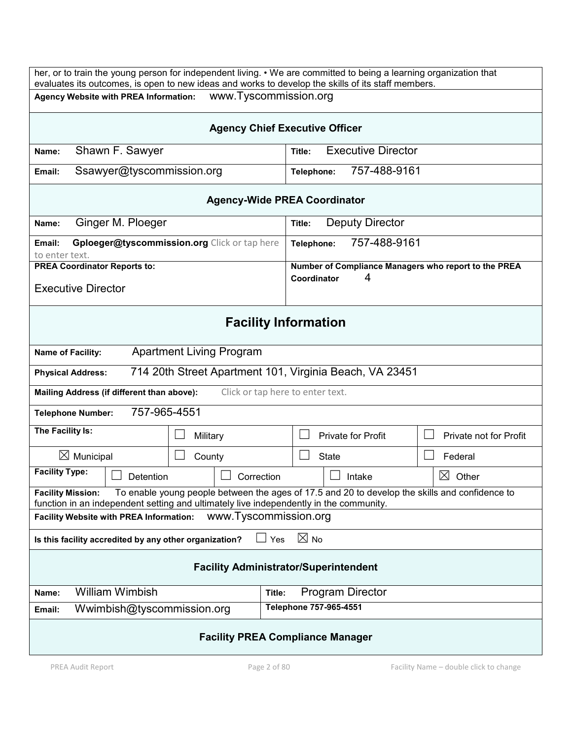| her, or to train the young person for independent living. • We are committed to being a learning organization that<br>evaluates its outcomes, is open to new ideas and works to develop the skills of its staff members. |                                                                          |  |
|--------------------------------------------------------------------------------------------------------------------------------------------------------------------------------------------------------------------------|--------------------------------------------------------------------------|--|
| www.Tyscommission.org<br>Agency Website with PREA Information:                                                                                                                                                           |                                                                          |  |
|                                                                                                                                                                                                                          | <b>Agency Chief Executive Officer</b>                                    |  |
| Shawn F. Sawyer<br>Name:                                                                                                                                                                                                 | <b>Executive Director</b><br>Title:                                      |  |
| Ssawyer@tyscommission.org<br>Email:                                                                                                                                                                                      | 757-488-9161<br>Telephone:                                               |  |
| <b>Agency-Wide PREA Coordinator</b>                                                                                                                                                                                      |                                                                          |  |
| Ginger M. Ploeger<br>Name:                                                                                                                                                                                               | Deputy Director<br>Title:                                                |  |
| Gploeger@tyscommission.org Click or tap here<br>Email:<br>to enter text.                                                                                                                                                 | 757-488-9161<br>Telephone:                                               |  |
| <b>PREA Coordinator Reports to:</b><br><b>Executive Director</b>                                                                                                                                                         | Number of Compliance Managers who report to the PREA<br>4<br>Coordinator |  |
| <b>Facility Information</b>                                                                                                                                                                                              |                                                                          |  |
| <b>Apartment Living Program</b><br>Name of Facility:                                                                                                                                                                     |                                                                          |  |
| <b>Physical Address:</b>                                                                                                                                                                                                 | 714 20th Street Apartment 101, Virginia Beach, VA 23451                  |  |
| Click or tap here to enter text.<br>Mailing Address (if different than above):                                                                                                                                           |                                                                          |  |
| 757-965-4551<br><b>Telephone Number:</b>                                                                                                                                                                                 |                                                                          |  |
| The Facility Is:<br>Military                                                                                                                                                                                             | <b>Private for Profit</b><br>Private not for Profit                      |  |
| $\boxtimes$ Municipal<br>County                                                                                                                                                                                          | <b>State</b><br>Federal                                                  |  |
| <b>Facility Type:</b><br>Correction<br>Detention                                                                                                                                                                         | $\boxtimes$<br>Other<br>Intake                                           |  |
| To enable young people between the ages of 17.5 and 20 to develop the skills and confidence to<br><b>Facility Mission:</b><br>function in an independent setting and ultimately live independently in the community.     |                                                                          |  |
| www.Tyscommission.org<br><b>Facility Website with PREA Information:</b>                                                                                                                                                  |                                                                          |  |
| Is this facility accredited by any other organization?                                                                                                                                                                   | $\boxtimes$ No<br>Yes                                                    |  |
| <b>Facility Administrator/Superintendent</b>                                                                                                                                                                             |                                                                          |  |
| <b>William Wimbish</b><br>Name:                                                                                                                                                                                          | Program Director<br>Title:                                               |  |
| Wwimbish@tyscommission.org<br>Email:                                                                                                                                                                                     | Telephone 757-965-4551                                                   |  |
| <b>Facility PREA Compliance Manager</b>                                                                                                                                                                                  |                                                                          |  |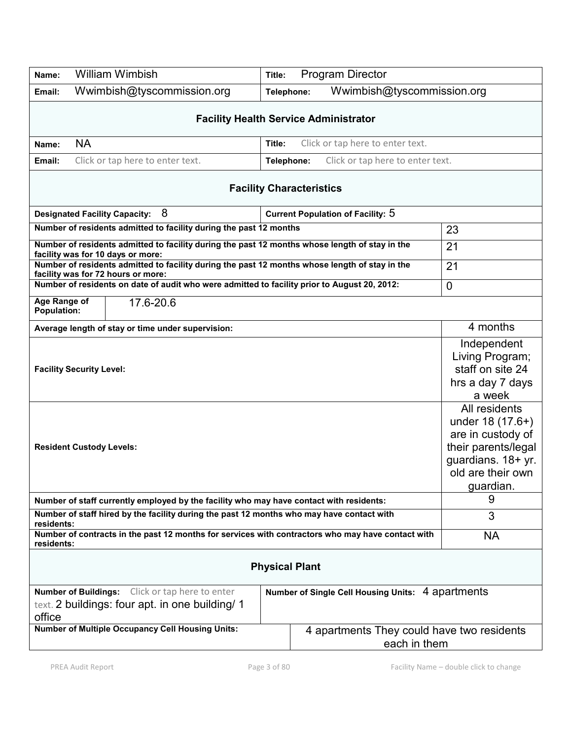| Name:                                                                                                                                                                    | <b>William Wimbish</b>                                                                                                               | Title:                                                     |                                 | <b>Program Director</b>                  |                                                                                                                                       |
|--------------------------------------------------------------------------------------------------------------------------------------------------------------------------|--------------------------------------------------------------------------------------------------------------------------------------|------------------------------------------------------------|---------------------------------|------------------------------------------|---------------------------------------------------------------------------------------------------------------------------------------|
| Email:                                                                                                                                                                   | Wwimbish@tyscommission.org                                                                                                           | Telephone:                                                 |                                 | Wwimbish@tyscommission.org               |                                                                                                                                       |
|                                                                                                                                                                          | <b>Facility Health Service Administrator</b>                                                                                         |                                                            |                                 |                                          |                                                                                                                                       |
| Name:                                                                                                                                                                    | <b>NA</b><br>Click or tap here to enter text.<br>Title:                                                                              |                                                            |                                 |                                          |                                                                                                                                       |
| Email:                                                                                                                                                                   | Click or tap here to enter text.<br>Click or tap here to enter text.<br>Telephone:                                                   |                                                            |                                 |                                          |                                                                                                                                       |
|                                                                                                                                                                          |                                                                                                                                      |                                                            | <b>Facility Characteristics</b> |                                          |                                                                                                                                       |
|                                                                                                                                                                          | 8<br><b>Designated Facility Capacity:</b>                                                                                            |                                                            |                                 | <b>Current Population of Facility: 5</b> |                                                                                                                                       |
| Number of residents admitted to facility during the past 12 months                                                                                                       |                                                                                                                                      |                                                            | 23                              |                                          |                                                                                                                                       |
|                                                                                                                                                                          | Number of residents admitted to facility during the past 12 months whose length of stay in the<br>facility was for 10 days or more:  |                                                            |                                 |                                          | 21                                                                                                                                    |
|                                                                                                                                                                          | Number of residents admitted to facility during the past 12 months whose length of stay in the<br>facility was for 72 hours or more: |                                                            |                                 |                                          | 21                                                                                                                                    |
|                                                                                                                                                                          | Number of residents on date of audit who were admitted to facility prior to August 20, 2012:                                         |                                                            |                                 |                                          | $\overline{0}$                                                                                                                        |
| Age Range of<br><b>Population:</b>                                                                                                                                       | 17.6-20.6                                                                                                                            |                                                            |                                 |                                          |                                                                                                                                       |
|                                                                                                                                                                          | Average length of stay or time under supervision:                                                                                    |                                                            |                                 |                                          | 4 months                                                                                                                              |
|                                                                                                                                                                          | <b>Facility Security Level:</b>                                                                                                      |                                                            |                                 |                                          | Independent<br>Living Program;<br>staff on site 24<br>hrs a day 7 days<br>a week                                                      |
|                                                                                                                                                                          | <b>Resident Custody Levels:</b>                                                                                                      |                                                            |                                 |                                          | All residents<br>under 18 (17.6+)<br>are in custody of<br>their parents/legal<br>guardians. 18+ yr.<br>old are their own<br>guardian. |
|                                                                                                                                                                          | Number of staff currently employed by the facility who may have contact with residents:                                              |                                                            |                                 |                                          | 9                                                                                                                                     |
| Number of staff hired by the facility during the past 12 months who may have contact with<br>residents:                                                                  |                                                                                                                                      | 3                                                          |                                 |                                          |                                                                                                                                       |
| Number of contracts in the past 12 months for services with contractors who may have contact with<br>residents:                                                          |                                                                                                                                      | <b>NA</b>                                                  |                                 |                                          |                                                                                                                                       |
| <b>Physical Plant</b>                                                                                                                                                    |                                                                                                                                      |                                                            |                                 |                                          |                                                                                                                                       |
| <b>Number of Buildings:</b> Click or tap here to enter<br>Number of Single Cell Housing Units: 4 apartments<br>text. 2 buildings: four apt. in one building/ 1<br>office |                                                                                                                                      |                                                            |                                 |                                          |                                                                                                                                       |
| <b>Number of Multiple Occupancy Cell Housing Units:</b>                                                                                                                  |                                                                                                                                      | 4 apartments They could have two residents<br>each in them |                                 |                                          |                                                                                                                                       |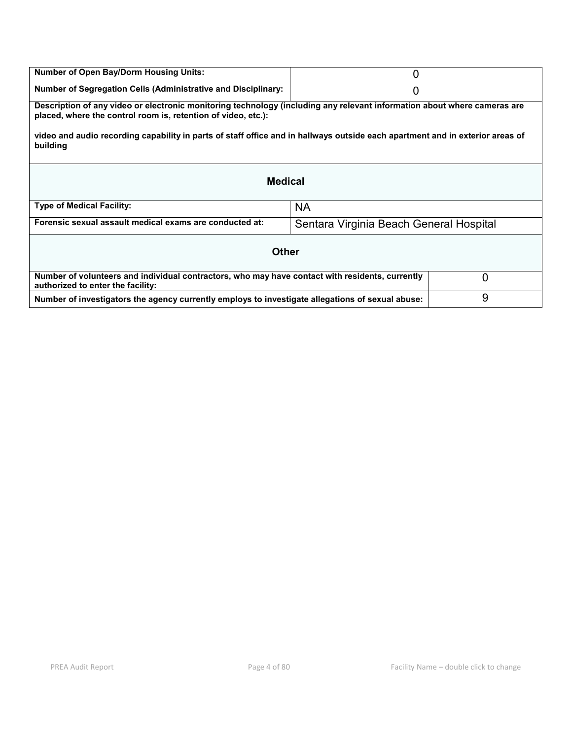| <b>Number of Open Bay/Dorm Housing Units:</b>                                                                                                                                             | 0                                       |   |  |
|-------------------------------------------------------------------------------------------------------------------------------------------------------------------------------------------|-----------------------------------------|---|--|
| <b>Number of Segregation Cells (Administrative and Disciplinary:</b>                                                                                                                      | 0                                       |   |  |
| Description of any video or electronic monitoring technology (including any relevant information about where cameras are<br>placed, where the control room is, retention of video, etc.): |                                         |   |  |
| video and audio recording capability in parts of staff office and in hallways outside each apartment and in exterior areas of<br>building                                                 |                                         |   |  |
| <b>Medical</b>                                                                                                                                                                            |                                         |   |  |
| <b>Type of Medical Facility:</b>                                                                                                                                                          | <b>NA</b>                               |   |  |
| Forensic sexual assault medical exams are conducted at:                                                                                                                                   | Sentara Virginia Beach General Hospital |   |  |
| <b>Other</b>                                                                                                                                                                              |                                         |   |  |
| Number of volunteers and individual contractors, who may have contact with residents, currently<br>authorized to enter the facility:                                                      |                                         | 0 |  |
| Number of investigators the agency currently employs to investigate allegations of sexual abuse:                                                                                          |                                         | 9 |  |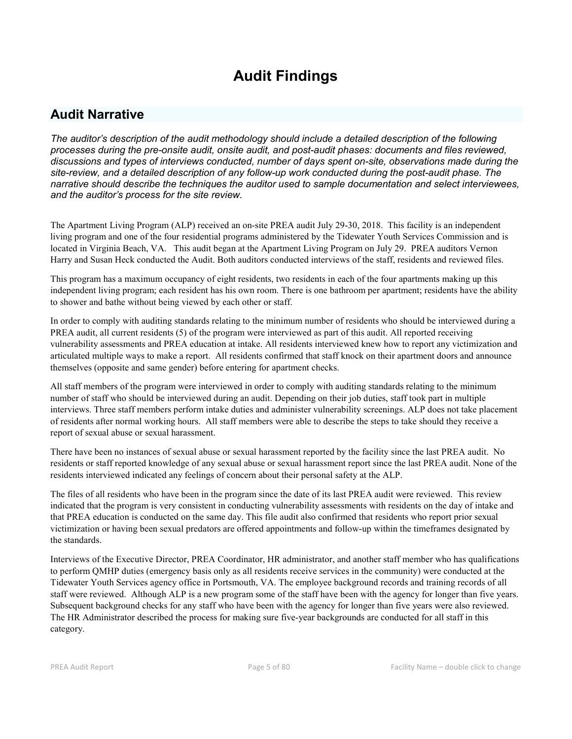# **Audit Findings**

# **Audit Narrative**

*The auditor's description of the audit methodology should include a detailed description of the following processes during the pre-onsite audit, onsite audit, and post-audit phases: documents and files reviewed, discussions and types of interviews conducted, number of days spent on-site, observations made during the site-review, and a detailed description of any follow-up work conducted during the post-audit phase. The narrative should describe the techniques the auditor used to sample documentation and select interviewees, and the auditor's process for the site review.*

The Apartment Living Program (ALP) received an on-site PREA audit July 29-30, 2018. This facility is an independent living program and one of the four residential programs administered by the Tidewater Youth Services Commission and is located in Virginia Beach, VA. This audit began at the Apartment Living Program on July 29. PREA auditors Vernon Harry and Susan Heck conducted the Audit. Both auditors conducted interviews of the staff, residents and reviewed files.

This program has a maximum occupancy of eight residents, two residents in each of the four apartments making up this independent living program; each resident has his own room. There is one bathroom per apartment; residents have the ability to shower and bathe without being viewed by each other or staff.

In order to comply with auditing standards relating to the minimum number of residents who should be interviewed during a PREA audit, all current residents (5) of the program were interviewed as part of this audit. All reported receiving vulnerability assessments and PREA education at intake. All residents interviewed knew how to report any victimization and articulated multiple ways to make a report. All residents confirmed that staff knock on their apartment doors and announce themselves (opposite and same gender) before entering for apartment checks.

All staff members of the program were interviewed in order to comply with auditing standards relating to the minimum number of staff who should be interviewed during an audit. Depending on their job duties, staff took part in multiple interviews. Three staff members perform intake duties and administer vulnerability screenings. ALP does not take placement of residents after normal working hours. All staff members were able to describe the steps to take should they receive a report of sexual abuse or sexual harassment.

There have been no instances of sexual abuse or sexual harassment reported by the facility since the last PREA audit. No residents or staff reported knowledge of any sexual abuse or sexual harassment report since the last PREA audit. None of the residents interviewed indicated any feelings of concern about their personal safety at the ALP.

The files of all residents who have been in the program since the date of its last PREA audit were reviewed. This review indicated that the program is very consistent in conducting vulnerability assessments with residents on the day of intake and that PREA education is conducted on the same day. This file audit also confirmed that residents who report prior sexual victimization or having been sexual predators are offered appointments and follow-up within the timeframes designated by the standards.

Interviews of the Executive Director, PREA Coordinator, HR administrator, and another staff member who has qualifications to perform QMHP duties (emergency basis only as all residents receive services in the community) were conducted at the Tidewater Youth Services agency office in Portsmouth, VA. The employee background records and training records of all staff were reviewed. Although ALP is a new program some of the staff have been with the agency for longer than five years. Subsequent background checks for any staff who have been with the agency for longer than five years were also reviewed. The HR Administrator described the process for making sure five-year backgrounds are conducted for all staff in this category.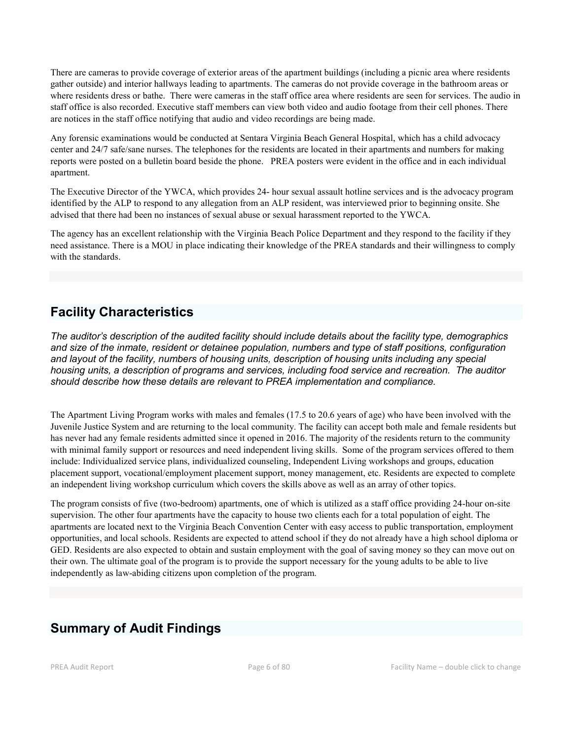There are cameras to provide coverage of exterior areas of the apartment buildings (including a picnic area where residents gather outside) and interior hallways leading to apartments. The cameras do not provide coverage in the bathroom areas or where residents dress or bathe. There were cameras in the staff office area where residents are seen for services. The audio in staff office is also recorded. Executive staff members can view both video and audio footage from their cell phones. There are notices in the staff office notifying that audio and video recordings are being made.

Any forensic examinations would be conducted at Sentara Virginia Beach General Hospital, which has a child advocacy center and 24/7 safe/sane nurses. The telephones for the residents are located in their apartments and numbers for making reports were posted on a bulletin board beside the phone. PREA posters were evident in the office and in each individual apartment.

The Executive Director of the YWCA, which provides 24- hour sexual assault hotline services and is the advocacy program identified by the ALP to respond to any allegation from an ALP resident, was interviewed prior to beginning onsite. She advised that there had been no instances of sexual abuse or sexual harassment reported to the YWCA.

The agency has an excellent relationship with the Virginia Beach Police Department and they respond to the facility if they need assistance. There is a MOU in place indicating their knowledge of the PREA standards and their willingness to comply with the standards.

# **Facility Characteristics**

*The auditor's description of the audited facility should include details about the facility type, demographics and size of the inmate, resident or detainee population, numbers and type of staff positions, configuration and layout of the facility, numbers of housing units, description of housing units including any special housing units, a description of programs and services, including food service and recreation. The auditor should describe how these details are relevant to PREA implementation and compliance.*

The Apartment Living Program works with males and females (17.5 to 20.6 years of age) who have been involved with the Juvenile Justice System and are returning to the local community. The facility can accept both male and female residents but has never had any female residents admitted since it opened in 2016. The majority of the residents return to the community with minimal family support or resources and need independent living skills. Some of the program services offered to them include: Individualized service plans, individualized counseling, Independent Living workshops and groups, education placement support, vocational/employment placement support, money management, etc. Residents are expected to complete an independent living workshop curriculum which covers the skills above as well as an array of other topics.

The program consists of five (two-bedroom) apartments, one of which is utilized as a staff office providing 24-hour on-site supervision. The other four apartments have the capacity to house two clients each for a total population of eight. The apartments are located next to the Virginia Beach Convention Center with easy access to public transportation, employment opportunities, and local schools. Residents are expected to attend school if they do not already have a high school diploma or GED. Residents are also expected to obtain and sustain employment with the goal of saving money so they can move out on their own. The ultimate goal of the program is to provide the support necessary for the young adults to be able to live independently as law-abiding citizens upon completion of the program.

# **Summary of Audit Findings**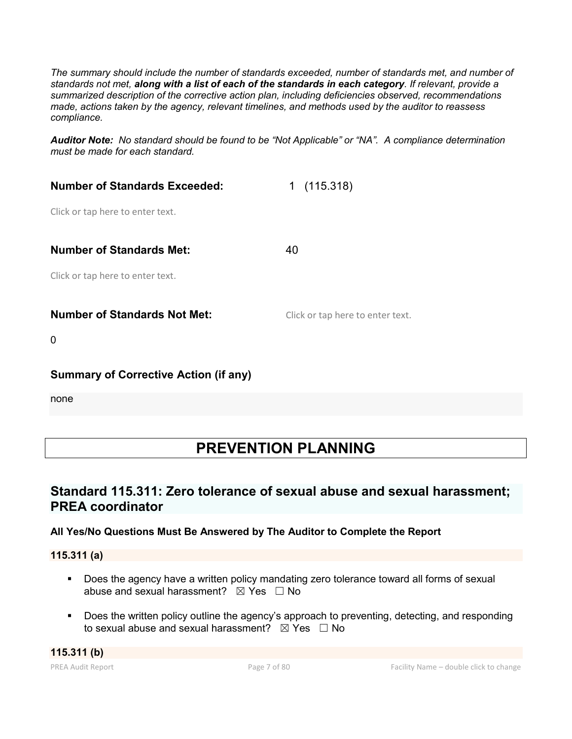*The summary should include the number of standards exceeded, number of standards met, and number of standards not met, along with a list of each of the standards in each category. If relevant, provide a summarized description of the corrective action plan, including deficiencies observed, recommendations made, actions taken by the agency, relevant timelines, and methods used by the auditor to reassess compliance.*

*Auditor Note: No standard should be found to be "Not Applicable" or "NA". A compliance determination must be made for each standard.*

| <b>Number of Standards Exceeded:</b> | (115.318)<br>1.                  |
|--------------------------------------|----------------------------------|
| Click or tap here to enter text.     |                                  |
| <b>Number of Standards Met:</b>      | 40                               |
| Click or tap here to enter text.     |                                  |
| <b>Number of Standards Not Met:</b>  | Click or tap here to enter text. |

0

### **Summary of Corrective Action (if any)**

none

# **PREVENTION PLANNING**

# **Standard 115.311: Zero tolerance of sexual abuse and sexual harassment; PREA coordinator**

### **All Yes/No Questions Must Be Answered by The Auditor to Complete the Report**

**115.311 (a)**

- **Does the agency have a written policy mandating zero tolerance toward all forms of sexual** abuse and sexual harassment?  $\boxtimes$  Yes  $\Box$  No
- **Does the written policy outline the agency's approach to preventing, detecting, and responding** to sexual abuse and sexual harassment?  $\boxtimes$  Yes  $\Box$  No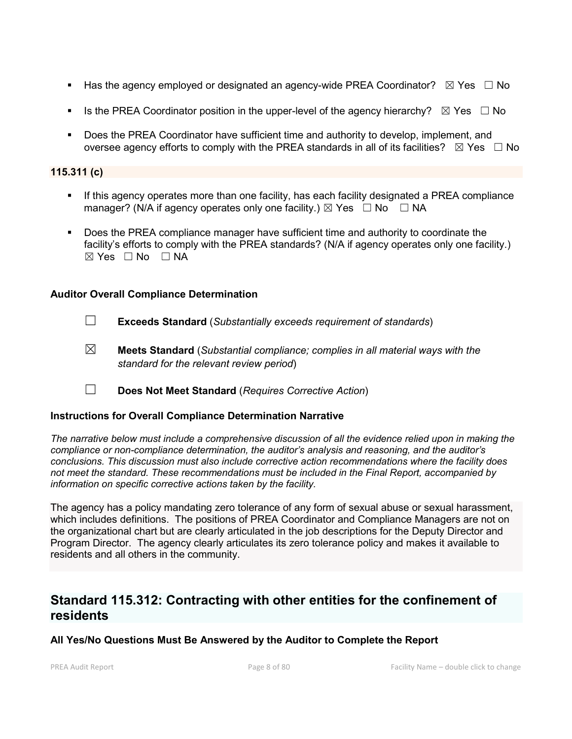- Has the agency employed or designated an agency-wide PREA Coordinator?  $\boxtimes$  Yes  $\Box$  No
- Is the PREA Coordinator position in the upper-level of the agency hierarchy?  $\boxtimes$  Yes  $\Box$  No
- Does the PREA Coordinator have sufficient time and authority to develop, implement, and oversee agency efforts to comply with the PREA standards in all of its facilities?  $\boxtimes$  Yes  $\Box$  No

#### **115.311 (c)**

- If this agency operates more than one facility, has each facility designated a PREA compliance manager? (N/A if agency operates only one facility.)  $\boxtimes$  Yes  $\Box$  No  $\Box$  NA
- Does the PREA compliance manager have sufficient time and authority to coordinate the facility's efforts to comply with the PREA standards? (N/A if agency operates only one facility.)  $\boxtimes$  Yes  $\Box$  No  $\Box$  NA

#### **Auditor Overall Compliance Determination**

- ☐ **Exceeds Standard** (*Substantially exceeds requirement of standards*)
- ☒ **Meets Standard** (*Substantial compliance; complies in all material ways with the standard for the relevant review period*)
- ☐ **Does Not Meet Standard** (*Requires Corrective Action*)

#### **Instructions for Overall Compliance Determination Narrative**

*The narrative below must include a comprehensive discussion of all the evidence relied upon in making the compliance or non-compliance determination, the auditor's analysis and reasoning, and the auditor's conclusions. This discussion must also include corrective action recommendations where the facility does not meet the standard. These recommendations must be included in the Final Report, accompanied by information on specific corrective actions taken by the facility.*

The agency has a policy mandating zero tolerance of any form of sexual abuse or sexual harassment, which includes definitions. The positions of PREA Coordinator and Compliance Managers are not on the organizational chart but are clearly articulated in the job descriptions for the Deputy Director and Program Director. The agency clearly articulates its zero tolerance policy and makes it available to residents and all others in the community.

# **Standard 115.312: Contracting with other entities for the confinement of residents**

#### **All Yes/No Questions Must Be Answered by the Auditor to Complete the Report**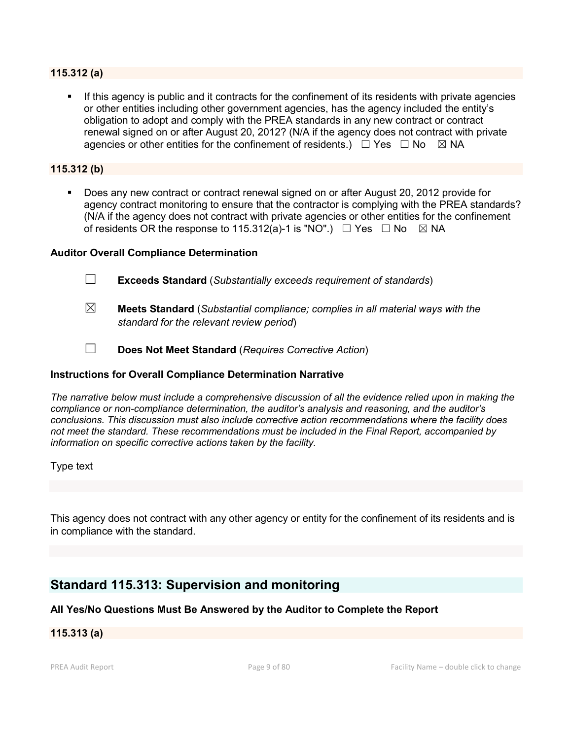#### **115.312 (a)**

 If this agency is public and it contracts for the confinement of its residents with private agencies or other entities including other government agencies, has the agency included the entity's obligation to adopt and comply with the PREA standards in any new contract or contract renewal signed on or after August 20, 2012? (N/A if the agency does not contract with private agencies or other entities for the confinement of residents.)  $\Box$  Yes  $\Box$  No  $\boxtimes$  NA

#### **115.312 (b)**

 Does any new contract or contract renewal signed on or after August 20, 2012 provide for agency contract monitoring to ensure that the contractor is complying with the PREA standards? (N/A if the agency does not contract with private agencies or other entities for the confinement of residents OR the response to 115.312(a)-1 is "NO".)  $\Box$  Yes  $\Box$  No  $\boxtimes$  NA

#### **Auditor Overall Compliance Determination**

- ☐ **Exceeds Standard** (*Substantially exceeds requirement of standards*)
- ☒ **Meets Standard** (*Substantial compliance; complies in all material ways with the standard for the relevant review period*)
- ☐ **Does Not Meet Standard** (*Requires Corrective Action*)

#### **Instructions for Overall Compliance Determination Narrative**

*The narrative below must include a comprehensive discussion of all the evidence relied upon in making the compliance or non-compliance determination, the auditor's analysis and reasoning, and the auditor's conclusions. This discussion must also include corrective action recommendations where the facility does not meet the standard. These recommendations must be included in the Final Report, accompanied by information on specific corrective actions taken by the facility.*

Type text

This agency does not contract with any other agency or entity for the confinement of its residents and is in compliance with the standard.

### **Standard 115.313: Supervision and monitoring**

#### **All Yes/No Questions Must Be Answered by the Auditor to Complete the Report**

#### **115.313 (a)**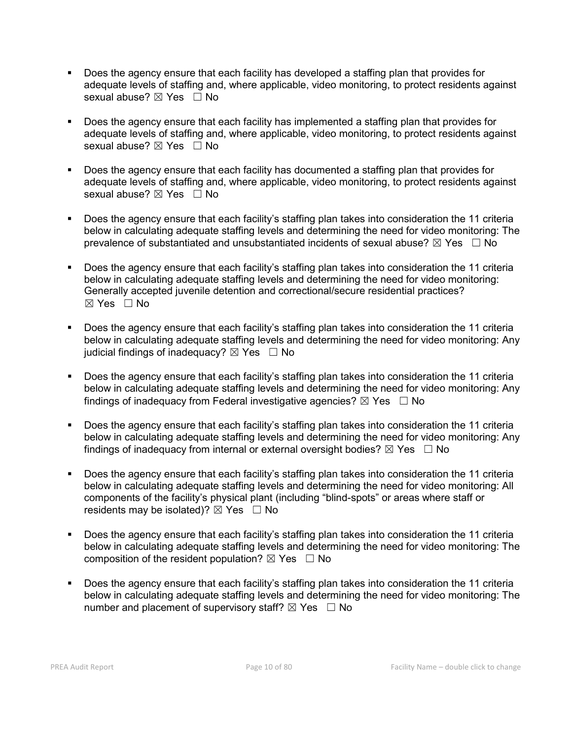- Does the agency ensure that each facility has developed a staffing plan that provides for adequate levels of staffing and, where applicable, video monitoring, to protect residents against sexual abuse? ⊠ Yes □ No
- Does the agency ensure that each facility has implemented a staffing plan that provides for adequate levels of staffing and, where applicable, video monitoring, to protect residents against sexual abuse? ⊠ Yes □ No
- Does the agency ensure that each facility has documented a staffing plan that provides for adequate levels of staffing and, where applicable, video monitoring, to protect residents against sexual abuse?  $\boxtimes$  Yes  $\Box$  No
- Does the agency ensure that each facility's staffing plan takes into consideration the 11 criteria below in calculating adequate staffing levels and determining the need for video monitoring: The prevalence of substantiated and unsubstantiated incidents of sexual abuse?  $\boxtimes$  Yes  $\Box$  No
- Does the agency ensure that each facility's staffing plan takes into consideration the 11 criteria below in calculating adequate staffing levels and determining the need for video monitoring: Generally accepted juvenile detention and correctional/secure residential practices? ☒ Yes ☐ No
- Does the agency ensure that each facility's staffing plan takes into consideration the 11 criteria below in calculating adequate staffing levels and determining the need for video monitoring: Any judicial findings of inadequacy?  $\boxtimes$  Yes  $\Box$  No
- Does the agency ensure that each facility's staffing plan takes into consideration the 11 criteria below in calculating adequate staffing levels and determining the need for video monitoring: Any findings of inadequacy from Federal investigative agencies?  $\boxtimes$  Yes  $\Box$  No
- Does the agency ensure that each facility's staffing plan takes into consideration the 11 criteria below in calculating adequate staffing levels and determining the need for video monitoring: Any findings of inadequacy from internal or external oversight bodies?  $\boxtimes$  Yes  $\Box$  No
- Does the agency ensure that each facility's staffing plan takes into consideration the 11 criteria below in calculating adequate staffing levels and determining the need for video monitoring: All components of the facility's physical plant (including "blind-spots" or areas where staff or residents may be isolated)?  $\boxtimes$  Yes  $\Box$  No
- Does the agency ensure that each facility's staffing plan takes into consideration the 11 criteria below in calculating adequate staffing levels and determining the need for video monitoring: The composition of the resident population?  $\boxtimes$  Yes  $\Box$  No
- Does the agency ensure that each facility's staffing plan takes into consideration the 11 criteria below in calculating adequate staffing levels and determining the need for video monitoring: The number and placement of supervisory staff?  $\boxtimes$  Yes  $\Box$  No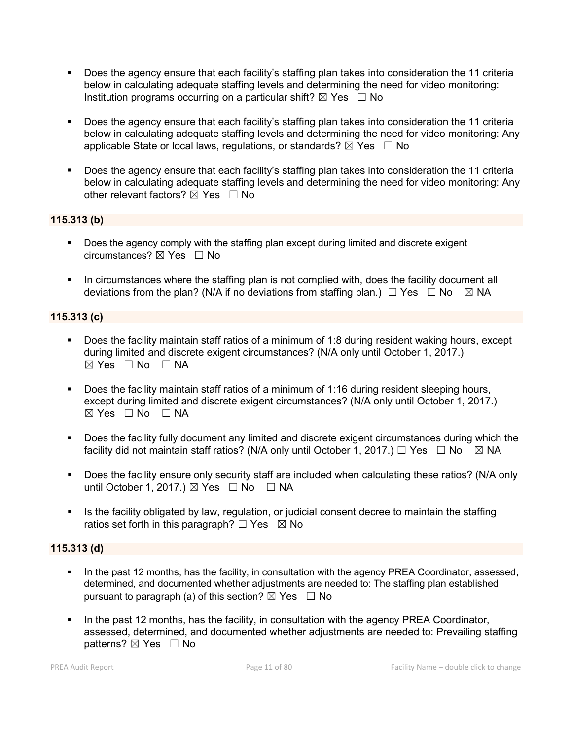- Does the agency ensure that each facility's staffing plan takes into consideration the 11 criteria below in calculating adequate staffing levels and determining the need for video monitoring: Institution programs occurring on a particular shift?  $\boxtimes$  Yes  $\Box$  No
- Does the agency ensure that each facility's staffing plan takes into consideration the 11 criteria below in calculating adequate staffing levels and determining the need for video monitoring: Any applicable State or local laws, regulations, or standards?  $\boxtimes$  Yes  $\Box$  No
- Does the agency ensure that each facility's staffing plan takes into consideration the 11 criteria below in calculating adequate staffing levels and determining the need for video monitoring: Any other relevant factors?  $\boxtimes$  Yes  $\Box$  No

### **115.313 (b)**

- Does the agency comply with the staffing plan except during limited and discrete exigent circumstances? ☒ Yes ☐ No
- In circumstances where the staffing plan is not complied with, does the facility document all deviations from the plan? (N/A if no deviations from staffing plan.)  $\Box$  Yes  $\Box$  No  $\boxtimes$  NA

### **115.313 (c)**

- Does the facility maintain staff ratios of a minimum of 1:8 during resident waking hours, except during limited and discrete exigent circumstances? (N/A only until October 1, 2017.) ☒ Yes ☐ No ☐ NA
- Does the facility maintain staff ratios of a minimum of 1:16 during resident sleeping hours, except during limited and discrete exigent circumstances? (N/A only until October 1, 2017.)  $\boxtimes$  Yes  $\Box$  No  $\Box$  NA
- Does the facility fully document any limited and discrete exigent circumstances during which the facility did not maintain staff ratios? (N/A only until October 1, 2017.)  $\Box$  Yes  $\Box$  No  $\boxtimes$  NA
- Does the facility ensure only security staff are included when calculating these ratios? (N/A only until October 1, 2017.)  $\boxtimes$  Yes  $\Box$  No  $\Box$  NA
- Is the facility obligated by law, regulation, or judicial consent decree to maintain the staffing ratios set forth in this paragraph?  $\Box$  Yes  $\boxtimes$  No

#### **115.313 (d)**

- In the past 12 months, has the facility, in consultation with the agency PREA Coordinator, assessed, determined, and documented whether adjustments are needed to: The staffing plan established pursuant to paragraph (a) of this section?  $\boxtimes$  Yes  $\Box$  No
- In the past 12 months, has the facility, in consultation with the agency PREA Coordinator, assessed, determined, and documented whether adjustments are needed to: Prevailing staffing patterns? ⊠ Yes □ No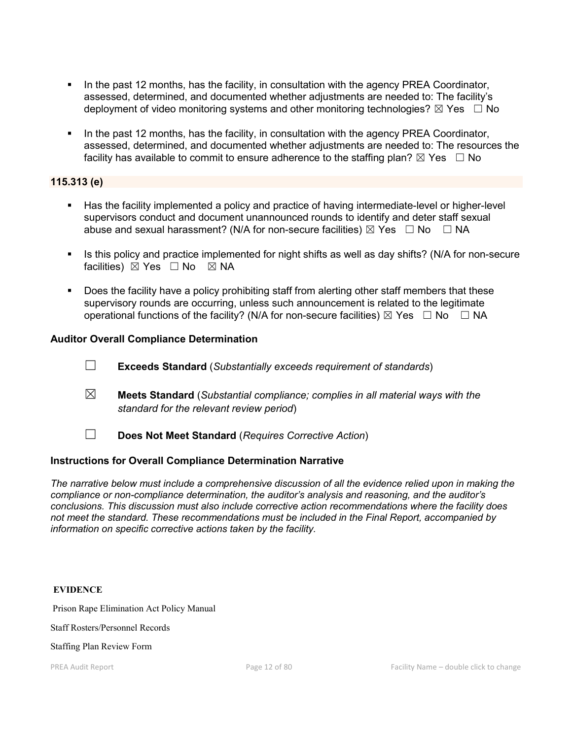- In the past 12 months, has the facility, in consultation with the agency PREA Coordinator, assessed, determined, and documented whether adjustments are needed to: The facility's deployment of video monitoring systems and other monitoring technologies?  $\boxtimes$  Yes  $\Box$  No
- In the past 12 months, has the facility, in consultation with the agency PREA Coordinator, assessed, determined, and documented whether adjustments are needed to: The resources the facility has available to commit to ensure adherence to the staffing plan?  $\boxtimes$  Yes  $\Box$  No

#### **115.313 (e)**

- Has the facility implemented a policy and practice of having intermediate-level or higher-level supervisors conduct and document unannounced rounds to identify and deter staff sexual abuse and sexual harassment? (N/A for non-secure facilities)  $\boxtimes$  Yes  $\Box$  No  $\Box$  NA
- Is this policy and practice implemented for night shifts as well as day shifts? (N/A for non-secure facilities) ⊠ Yes □ No 図 NA
- **Does the facility have a policy prohibiting staff from alerting other staff members that these** supervisory rounds are occurring, unless such announcement is related to the legitimate operational functions of the facility? (N/A for non-secure facilities)  $\boxtimes$  Yes  $\Box$  No  $\Box$  NA

#### **Auditor Overall Compliance Determination**

- ☐ **Exceeds Standard** (*Substantially exceeds requirement of standards*)
- ☒ **Meets Standard** (*Substantial compliance; complies in all material ways with the standard for the relevant review period*)
- ☐ **Does Not Meet Standard** (*Requires Corrective Action*)

#### **Instructions for Overall Compliance Determination Narrative**

*The narrative below must include a comprehensive discussion of all the evidence relied upon in making the compliance or non-compliance determination, the auditor's analysis and reasoning, and the auditor's conclusions. This discussion must also include corrective action recommendations where the facility does not meet the standard. These recommendations must be included in the Final Report, accompanied by information on specific corrective actions taken by the facility.*

#### **EVIDENCE**

Prison Rape Elimination Act Policy Manual

Staff Rosters/Personnel Records

Staffing Plan Review Form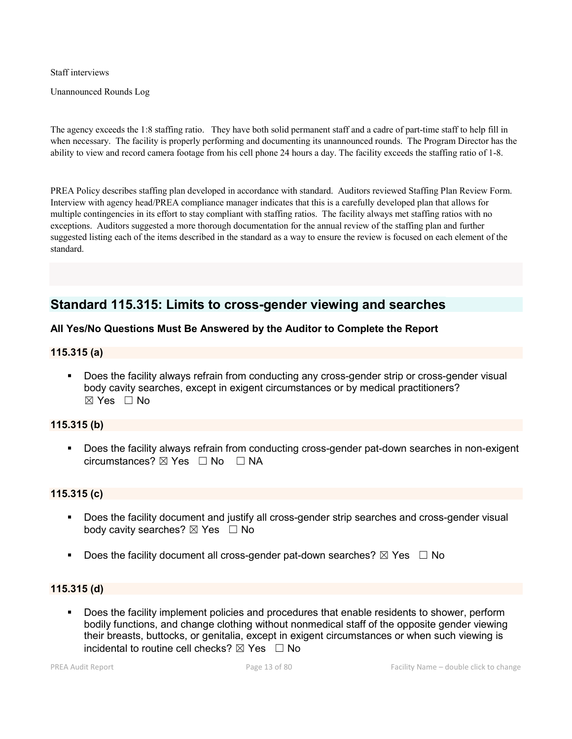Staff interviews

Unannounced Rounds Log

The agency exceeds the 1:8 staffing ratio. They have both solid permanent staff and a cadre of part-time staff to help fill in when necessary. The facility is properly performing and documenting its unannounced rounds. The Program Director has the ability to view and record camera footage from his cell phone 24 hours a day. The facility exceeds the staffing ratio of 1-8.

PREA Policy describes staffing plan developed in accordance with standard. Auditors reviewed Staffing Plan Review Form. Interview with agency head/PREA compliance manager indicates that this is a carefully developed plan that allows for multiple contingencies in its effort to stay compliant with staffing ratios. The facility always met staffing ratios with no exceptions. Auditors suggested a more thorough documentation for the annual review of the staffing plan and further suggested listing each of the items described in the standard as a way to ensure the review is focused on each element of the standard.

# **Standard 115.315: Limits to cross-gender viewing and searches**

#### **All Yes/No Questions Must Be Answered by the Auditor to Complete the Report**

#### **115.315 (a)**

 Does the facility always refrain from conducting any cross-gender strip or cross-gender visual body cavity searches, except in exigent circumstances or by medical practitioners? ☒ Yes ☐ No

#### **115.315 (b)**

**Does the facility always refrain from conducting cross-gender pat-down searches in non-exigent** circumstances?  $\boxtimes$  Yes  $\Box$  No  $\Box$  NA

#### **115.315 (c)**

- **Does the facility document and justify all cross-gender strip searches and cross-gender visual** body cavity searches?  $\boxtimes$  Yes  $\Box$  No
- Does the facility document all cross-gender pat-down searches?  $\boxtimes$  Yes  $\Box$  No

#### **115.315 (d)**

 Does the facility implement policies and procedures that enable residents to shower, perform bodily functions, and change clothing without nonmedical staff of the opposite gender viewing their breasts, buttocks, or genitalia, except in exigent circumstances or when such viewing is incidental to routine cell checks?  $\boxtimes$  Yes  $\Box$  No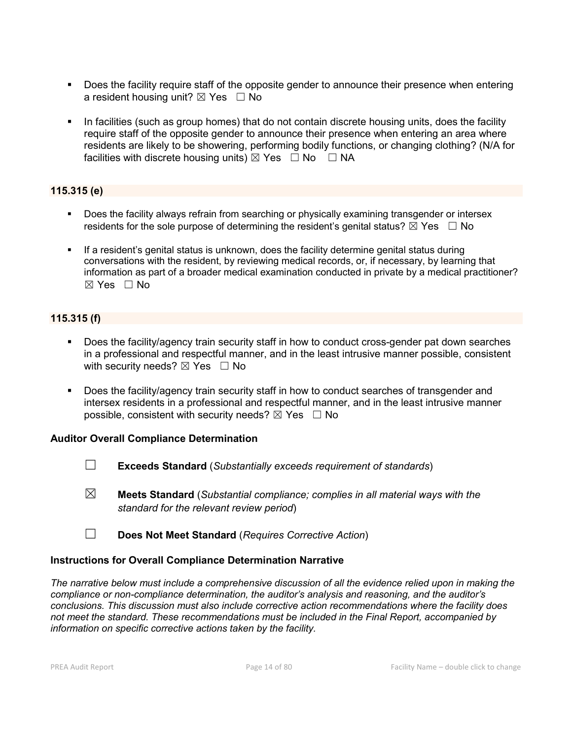- Does the facility require staff of the opposite gender to announce their presence when entering a resident housing unit?  $\boxtimes$  Yes  $\Box$  No
- In facilities (such as group homes) that do not contain discrete housing units, does the facility require staff of the opposite gender to announce their presence when entering an area where residents are likely to be showering, performing bodily functions, or changing clothing? (N/A for facilities with discrete housing units)  $\boxtimes$  Yes  $\Box$  No  $\Box$  NA

### **115.315 (e)**

- Does the facility always refrain from searching or physically examining transgender or intersex residents for the sole purpose of determining the resident's genital status?  $\boxtimes$  Yes  $\Box$  No
- If a resident's genital status is unknown, does the facility determine genital status during conversations with the resident, by reviewing medical records, or, if necessary, by learning that information as part of a broader medical examination conducted in private by a medical practitioner?  $\boxtimes$  Yes  $\Box$  No

### **115.315 (f)**

- Does the facility/agency train security staff in how to conduct cross-gender pat down searches in a professional and respectful manner, and in the least intrusive manner possible, consistent with security needs?  $\boxtimes$  Yes  $\Box$  No
- Does the facility/agency train security staff in how to conduct searches of transgender and intersex residents in a professional and respectful manner, and in the least intrusive manner possible, consistent with security needs?  $\boxtimes$  Yes  $\Box$  No

#### **Auditor Overall Compliance Determination**

- ☐ **Exceeds Standard** (*Substantially exceeds requirement of standards*)
- ☒ **Meets Standard** (*Substantial compliance; complies in all material ways with the standard for the relevant review period*)
- ☐ **Does Not Meet Standard** (*Requires Corrective Action*)

#### **Instructions for Overall Compliance Determination Narrative**

*The narrative below must include a comprehensive discussion of all the evidence relied upon in making the compliance or non-compliance determination, the auditor's analysis and reasoning, and the auditor's conclusions. This discussion must also include corrective action recommendations where the facility does not meet the standard. These recommendations must be included in the Final Report, accompanied by information on specific corrective actions taken by the facility.*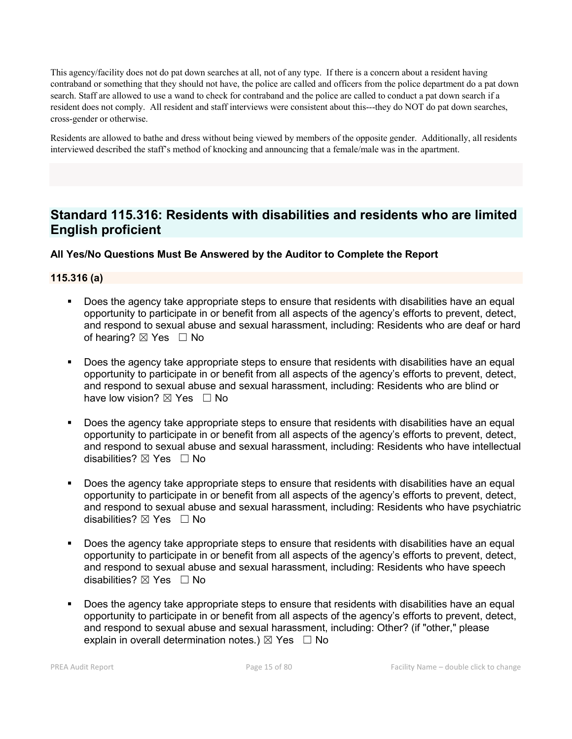This agency/facility does not do pat down searches at all, not of any type. If there is a concern about a resident having contraband or something that they should not have, the police are called and officers from the police department do a pat down search. Staff are allowed to use a wand to check for contraband and the police are called to conduct a pat down search if a resident does not comply. All resident and staff interviews were consistent about this---they do NOT do pat down searches, cross-gender or otherwise.

Residents are allowed to bathe and dress without being viewed by members of the opposite gender. Additionally, all residents interviewed described the staff's method of knocking and announcing that a female/male was in the apartment.

# **Standard 115.316: Residents with disabilities and residents who are limited English proficient**

### **All Yes/No Questions Must Be Answered by the Auditor to Complete the Report**

#### **115.316 (a)**

- Does the agency take appropriate steps to ensure that residents with disabilities have an equal opportunity to participate in or benefit from all aspects of the agency's efforts to prevent, detect, and respond to sexual abuse and sexual harassment, including: Residents who are deaf or hard of hearing?  $\boxtimes$  Yes  $\Box$  No
- Does the agency take appropriate steps to ensure that residents with disabilities have an equal opportunity to participate in or benefit from all aspects of the agency's efforts to prevent, detect, and respond to sexual abuse and sexual harassment, including: Residents who are blind or have low vision?  $\boxtimes$  Yes  $\Box$  No
- Does the agency take appropriate steps to ensure that residents with disabilities have an equal opportunity to participate in or benefit from all aspects of the agency's efforts to prevent, detect, and respond to sexual abuse and sexual harassment, including: Residents who have intellectual disabilities?  $\boxtimes$  Yes  $\Box$  No
- Does the agency take appropriate steps to ensure that residents with disabilities have an equal opportunity to participate in or benefit from all aspects of the agency's efforts to prevent, detect, and respond to sexual abuse and sexual harassment, including: Residents who have psychiatric disabilities? ☒ Yes ☐ No
- Does the agency take appropriate steps to ensure that residents with disabilities have an equal opportunity to participate in or benefit from all aspects of the agency's efforts to prevent, detect, and respond to sexual abuse and sexual harassment, including: Residents who have speech disabilities?  $\boxtimes$  Yes  $\Box$  No
- Does the agency take appropriate steps to ensure that residents with disabilities have an equal opportunity to participate in or benefit from all aspects of the agency's efforts to prevent, detect, and respond to sexual abuse and sexual harassment, including: Other? (if "other," please explain in overall determination notes.)  $\boxtimes$  Yes  $\Box$  No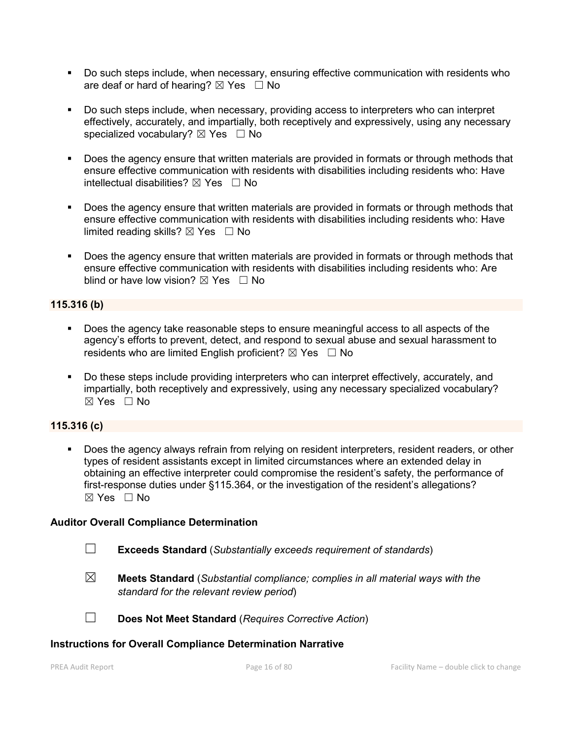- Do such steps include, when necessary, ensuring effective communication with residents who are deaf or hard of hearing?  $\boxtimes$  Yes  $\Box$  No
- Do such steps include, when necessary, providing access to interpreters who can interpret effectively, accurately, and impartially, both receptively and expressively, using any necessary specialized vocabulary?  $\boxtimes$  Yes  $\Box$  No
- Does the agency ensure that written materials are provided in formats or through methods that ensure effective communication with residents with disabilities including residents who: Have intellectual disabilities?  $\boxtimes$  Yes  $\Box$  No
- Does the agency ensure that written materials are provided in formats or through methods that ensure effective communication with residents with disabilities including residents who: Have limited reading skills?  $\boxtimes$  Yes  $\Box$  No
- Does the agency ensure that written materials are provided in formats or through methods that ensure effective communication with residents with disabilities including residents who: Are blind or have low vision?  $\boxtimes$  Yes  $\Box$  No

### **115.316 (b)**

- Does the agency take reasonable steps to ensure meaningful access to all aspects of the agency's efforts to prevent, detect, and respond to sexual abuse and sexual harassment to residents who are limited English proficient?  $\boxtimes$  Yes  $\Box$  No
- Do these steps include providing interpreters who can interpret effectively, accurately, and impartially, both receptively and expressively, using any necessary specialized vocabulary? ☒ Yes ☐ No

#### **115.316 (c)**

 Does the agency always refrain from relying on resident interpreters, resident readers, or other types of resident assistants except in limited circumstances where an extended delay in obtaining an effective interpreter could compromise the resident's safety, the performance of first-response duties under §115.364, or the investigation of the resident's allegations? ☒ Yes ☐ No

#### **Auditor Overall Compliance Determination**

- ☐ **Exceeds Standard** (*Substantially exceeds requirement of standards*)
- ☒ **Meets Standard** (*Substantial compliance; complies in all material ways with the standard for the relevant review period*)
- ☐ **Does Not Meet Standard** (*Requires Corrective Action*)

#### **Instructions for Overall Compliance Determination Narrative**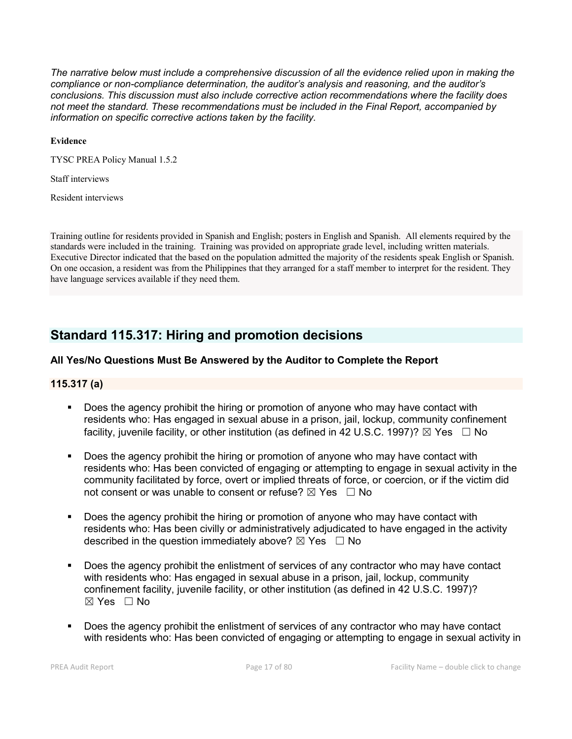*The narrative below must include a comprehensive discussion of all the evidence relied upon in making the compliance or non-compliance determination, the auditor's analysis and reasoning, and the auditor's conclusions. This discussion must also include corrective action recommendations where the facility does not meet the standard. These recommendations must be included in the Final Report, accompanied by information on specific corrective actions taken by the facility.*

#### **Evidence**

TYSC PREA Policy Manual 1.5.2

Staff interviews

Resident interviews

Training outline for residents provided in Spanish and English; posters in English and Spanish. All elements required by the standards were included in the training. Training was provided on appropriate grade level, including written materials. Executive Director indicated that the based on the population admitted the majority of the residents speak English or Spanish. On one occasion, a resident was from the Philippines that they arranged for a staff member to interpret for the resident. They have language services available if they need them.

# **Standard 115.317: Hiring and promotion decisions**

#### **All Yes/No Questions Must Be Answered by the Auditor to Complete the Report**

#### **115.317 (a)**

- Does the agency prohibit the hiring or promotion of anyone who may have contact with residents who: Has engaged in sexual abuse in a prison, jail, lockup, community confinement facility, juvenile facility, or other institution (as defined in 42 U.S.C. 1997)?  $\boxtimes$  Yes  $\Box$  No
- Does the agency prohibit the hiring or promotion of anyone who may have contact with residents who: Has been convicted of engaging or attempting to engage in sexual activity in the community facilitated by force, overt or implied threats of force, or coercion, or if the victim did not consent or was unable to consent or refuse?  $\boxtimes$  Yes  $\Box$  No
- Does the agency prohibit the hiring or promotion of anyone who may have contact with residents who: Has been civilly or administratively adjudicated to have engaged in the activity described in the question immediately above?  $\boxtimes$  Yes  $\Box$  No
- Does the agency prohibit the enlistment of services of any contractor who may have contact with residents who: Has engaged in sexual abuse in a prison, jail, lockup, community confinement facility, juvenile facility, or other institution (as defined in 42 U.S.C. 1997)?  $\boxtimes$  Yes  $\Box$  No
- Does the agency prohibit the enlistment of services of any contractor who may have contact with residents who: Has been convicted of engaging or attempting to engage in sexual activity in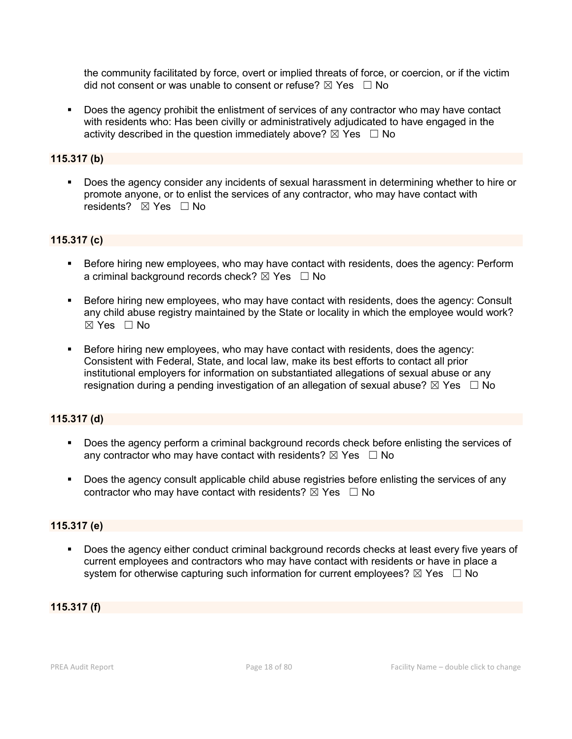the community facilitated by force, overt or implied threats of force, or coercion, or if the victim did not consent or was unable to consent or refuse?  $\boxtimes$  Yes  $\Box$  No

 Does the agency prohibit the enlistment of services of any contractor who may have contact with residents who: Has been civilly or administratively adjudicated to have engaged in the activity described in the question immediately above?  $\boxtimes$  Yes  $\Box$  No

#### **115.317 (b)**

 Does the agency consider any incidents of sexual harassment in determining whether to hire or promote anyone, or to enlist the services of any contractor, who may have contact with residents? **⊠** Yes □ No

#### **115.317 (c)**

- Before hiring new employees, who may have contact with residents, does the agency: Perform a criminal background records check?  $\boxtimes$  Yes  $\Box$  No
- Before hiring new employees, who may have contact with residents, does the agency: Consult any child abuse registry maintained by the State or locality in which the employee would work?  $\boxtimes$  Yes  $\Box$  No
- Before hiring new employees, who may have contact with residents, does the agency: Consistent with Federal, State, and local law, make its best efforts to contact all prior institutional employers for information on substantiated allegations of sexual abuse or any resignation during a pending investigation of an allegation of sexual abuse?  $\boxtimes$  Yes  $\Box$  No

#### **115.317 (d)**

- Does the agency perform a criminal background records check before enlisting the services of any contractor who may have contact with residents?  $\boxtimes$  Yes  $\Box$  No
- Does the agency consult applicable child abuse registries before enlisting the services of any contractor who may have contact with residents?  $\boxtimes$  Yes  $\Box$  No

#### **115.317 (e)**

 Does the agency either conduct criminal background records checks at least every five years of current employees and contractors who may have contact with residents or have in place a system for otherwise capturing such information for current employees?  $\boxtimes$  Yes  $\Box$  No

#### **115.317 (f)**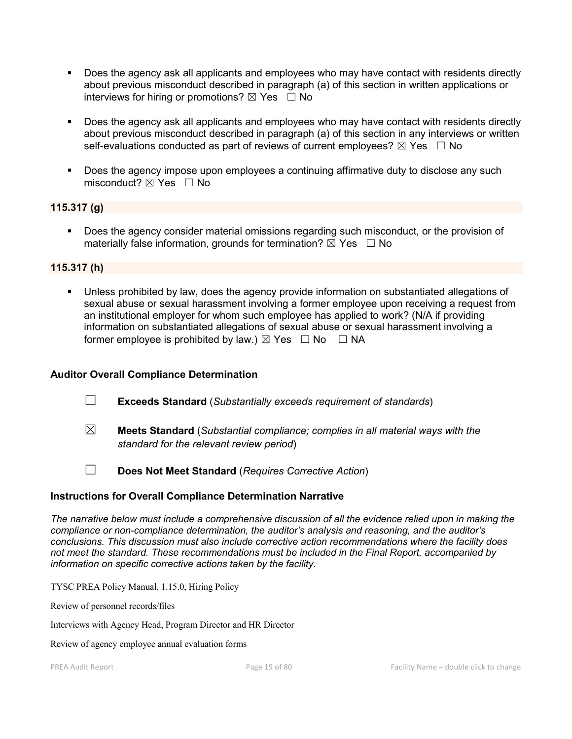- Does the agency ask all applicants and employees who may have contact with residents directly about previous misconduct described in paragraph (a) of this section in written applications or interviews for hiring or promotions?  $\boxtimes$  Yes  $\Box$  No
- Does the agency ask all applicants and employees who may have contact with residents directly about previous misconduct described in paragraph (a) of this section in any interviews or written self-evaluations conducted as part of reviews of current employees?  $\boxtimes$  Yes  $\Box$  No
- Does the agency impose upon employees a continuing affirmative duty to disclose any such misconduct?  $\boxtimes$  Yes  $\Box$  No

#### **115.317 (g)**

 Does the agency consider material omissions regarding such misconduct, or the provision of materially false information, grounds for termination?  $\boxtimes$  Yes  $\Box$  No

#### **115.317 (h)**

 Unless prohibited by law, does the agency provide information on substantiated allegations of sexual abuse or sexual harassment involving a former employee upon receiving a request from an institutional employer for whom such employee has applied to work? (N/A if providing information on substantiated allegations of sexual abuse or sexual harassment involving a former employee is prohibited by law.)  $\boxtimes$  Yes  $\Box$  No  $\Box$  NA

#### **Auditor Overall Compliance Determination**

- ☐ **Exceeds Standard** (*Substantially exceeds requirement of standards*)
- ☒ **Meets Standard** (*Substantial compliance; complies in all material ways with the standard for the relevant review period*)
- ☐ **Does Not Meet Standard** (*Requires Corrective Action*)

#### **Instructions for Overall Compliance Determination Narrative**

*The narrative below must include a comprehensive discussion of all the evidence relied upon in making the compliance or non-compliance determination, the auditor's analysis and reasoning, and the auditor's conclusions. This discussion must also include corrective action recommendations where the facility does not meet the standard. These recommendations must be included in the Final Report, accompanied by information on specific corrective actions taken by the facility.*

TYSC PREA Policy Manual, 1.15.0, Hiring Policy

Review of personnel records/files

Interviews with Agency Head, Program Director and HR Director

Review of agency employee annual evaluation forms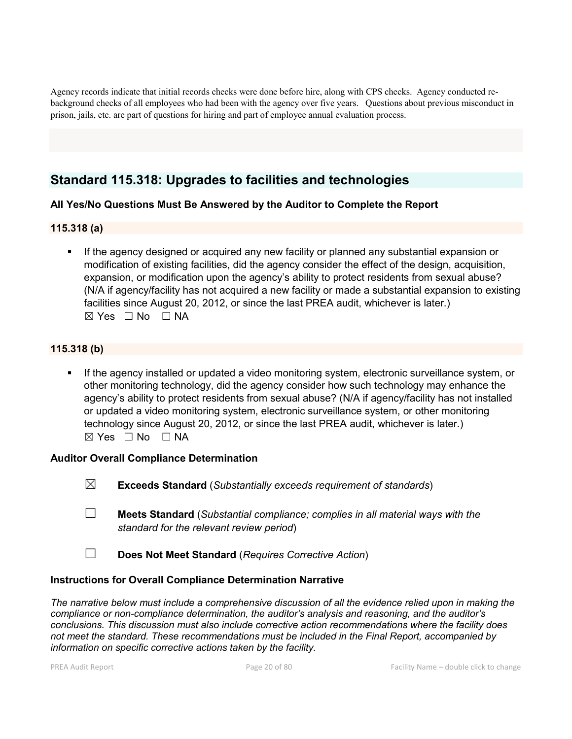Agency records indicate that initial records checks were done before hire, along with CPS checks. Agency conducted rebackground checks of all employees who had been with the agency over five years. Questions about previous misconduct in prison, jails, etc. are part of questions for hiring and part of employee annual evaluation process.

# **Standard 115.318: Upgrades to facilities and technologies**

### **All Yes/No Questions Must Be Answered by the Auditor to Complete the Report**

#### **115.318 (a)**

 If the agency designed or acquired any new facility or planned any substantial expansion or modification of existing facilities, did the agency consider the effect of the design, acquisition, expansion, or modification upon the agency's ability to protect residents from sexual abuse? (N/A if agency/facility has not acquired a new facility or made a substantial expansion to existing facilities since August 20, 2012, or since the last PREA audit, whichever is later.)  $\boxtimes$  Yes  $\Box$  No  $\Box$  NA

### **115.318 (b)**

 If the agency installed or updated a video monitoring system, electronic surveillance system, or other monitoring technology, did the agency consider how such technology may enhance the agency's ability to protect residents from sexual abuse? (N/A if agency/facility has not installed or updated a video monitoring system, electronic surveillance system, or other monitoring technology since August 20, 2012, or since the last PREA audit, whichever is later.)  $\boxtimes$  Yes  $\Box$  No  $\Box$  NA

#### **Auditor Overall Compliance Determination**

- ☒ **Exceeds Standard** (*Substantially exceeds requirement of standards*)
- ☐ **Meets Standard** (*Substantial compliance; complies in all material ways with the standard for the relevant review period*)
- ☐ **Does Not Meet Standard** (*Requires Corrective Action*)

#### **Instructions for Overall Compliance Determination Narrative**

*The narrative below must include a comprehensive discussion of all the evidence relied upon in making the compliance or non-compliance determination, the auditor's analysis and reasoning, and the auditor's conclusions. This discussion must also include corrective action recommendations where the facility does not meet the standard. These recommendations must be included in the Final Report, accompanied by information on specific corrective actions taken by the facility.*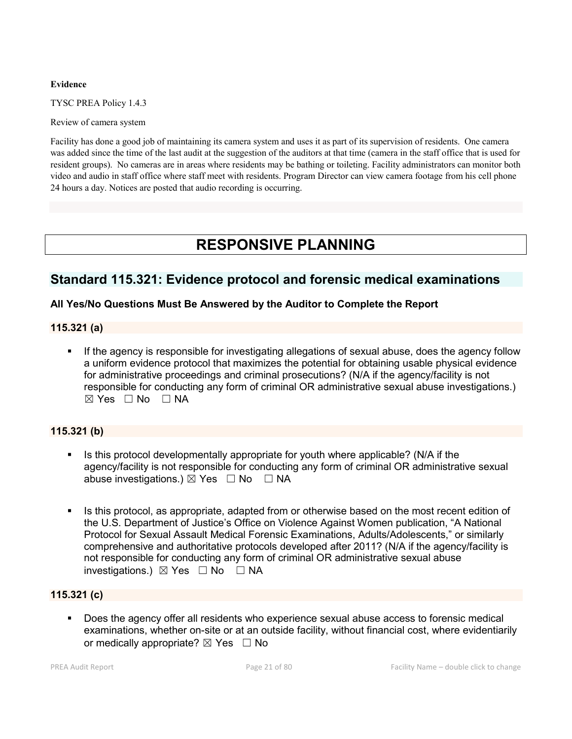#### **Evidence**

TYSC PREA Policy 1.4.3

Review of camera system

Facility has done a good job of maintaining its camera system and uses it as part of its supervision of residents. One camera was added since the time of the last audit at the suggestion of the auditors at that time (camera in the staff office that is used for resident groups). No cameras are in areas where residents may be bathing or toileting. Facility administrators can monitor both video and audio in staff office where staff meet with residents. Program Director can view camera footage from his cell phone 24 hours a day. Notices are posted that audio recording is occurring.

# **RESPONSIVE PLANNING**

## **Standard 115.321: Evidence protocol and forensic medical examinations**

#### **All Yes/No Questions Must Be Answered by the Auditor to Complete the Report**

#### **115.321 (a)**

 If the agency is responsible for investigating allegations of sexual abuse, does the agency follow a uniform evidence protocol that maximizes the potential for obtaining usable physical evidence for administrative proceedings and criminal prosecutions? (N/A if the agency/facility is not responsible for conducting any form of criminal OR administrative sexual abuse investigations.)  $⊠ Yes ⊡ No ⊡ NA$ 

### **115.321 (b)**

- Is this protocol developmentally appropriate for youth where applicable? (N/A if the agency/facility is not responsible for conducting any form of criminal OR administrative sexual abuse investigations.)  $\boxtimes$  Yes  $\Box$  No  $\Box$  NA
- Is this protocol, as appropriate, adapted from or otherwise based on the most recent edition of the U.S. Department of Justice's Office on Violence Against Women publication, "A National Protocol for Sexual Assault Medical Forensic Examinations, Adults/Adolescents," or similarly comprehensive and authoritative protocols developed after 2011? (N/A if the agency/facility is not responsible for conducting any form of criminal OR administrative sexual abuse investigations.)  $\boxtimes$  Yes  $\Box$  No  $\Box$  NA

#### **115.321 (c)**

 Does the agency offer all residents who experience sexual abuse access to forensic medical examinations, whether on-site or at an outside facility, without financial cost, where evidentiarily or medically appropriate?  $\boxtimes$  Yes  $\Box$  No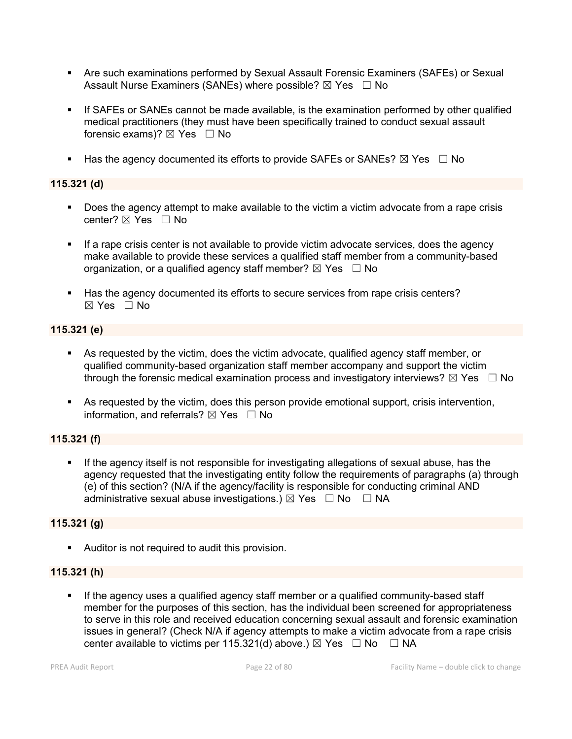- Are such examinations performed by Sexual Assault Forensic Examiners (SAFEs) or Sexual Assault Nurse Examiners (SANEs) where possible?  $\boxtimes$  Yes  $\Box$  No
- If SAFEs or SANEs cannot be made available, is the examination performed by other qualified medical practitioners (they must have been specifically trained to conduct sexual assault forensic exams)?  $\boxtimes$  Yes  $\Box$  No
- Has the agency documented its efforts to provide SAFEs or SANEs?  $\boxtimes$  Yes  $\Box$  No

#### **115.321 (d)**

- Does the agency attempt to make available to the victim a victim advocate from a rape crisis center?  $\boxtimes$  Yes  $\Box$  No
- If a rape crisis center is not available to provide victim advocate services, does the agency make available to provide these services a qualified staff member from a community-based organization, or a qualified agency staff member?  $\boxtimes$  Yes  $\Box$  No
- Has the agency documented its efforts to secure services from rape crisis centers?  $\boxtimes$  Yes  $\Box$  No

#### **115.321 (e)**

- As requested by the victim, does the victim advocate, qualified agency staff member, or qualified community-based organization staff member accompany and support the victim through the forensic medical examination process and investigatory interviews?  $\boxtimes$  Yes  $\Box$  No
- As requested by the victim, does this person provide emotional support, crisis intervention, information, and referrals?  $\boxtimes$  Yes  $\Box$  No

#### **115.321 (f)**

 If the agency itself is not responsible for investigating allegations of sexual abuse, has the agency requested that the investigating entity follow the requirements of paragraphs (a) through (e) of this section? (N/A if the agency/facility is responsible for conducting criminal AND administrative sexual abuse investigations.)  $\boxtimes$  Yes  $\Box$  No  $\Box$  NA

#### **115.321 (g)**

Auditor is not required to audit this provision.

#### **115.321 (h)**

If the agency uses a qualified agency staff member or a qualified community-based staff member for the purposes of this section, has the individual been screened for appropriateness to serve in this role and received education concerning sexual assault and forensic examination issues in general? (Check N/A if agency attempts to make a victim advocate from a rape crisis center available to victims per 115.321(d) above.)  $\boxtimes$  Yes  $\Box$  No  $\Box$  NA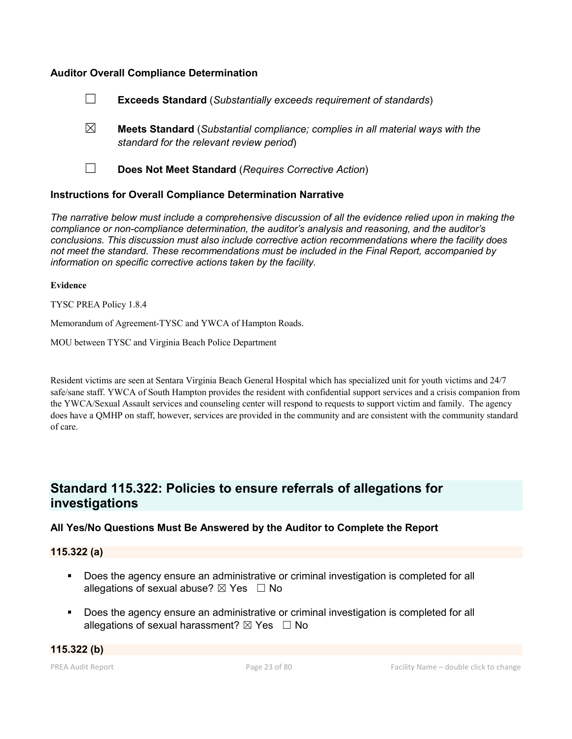#### **Auditor Overall Compliance Determination**

|             | <b>Exceeds Standard (Substantially exceeds requirement of standards)</b>                                                          |
|-------------|-----------------------------------------------------------------------------------------------------------------------------------|
| $\boxtimes$ | <b>Meets Standard</b> (Substantial compliance; complies in all material ways with the<br>standard for the relevant review period) |
|             | Does Not Meet Standard (Requires Corrective Action)                                                                               |

#### **Instructions for Overall Compliance Determination Narrative**

*The narrative below must include a comprehensive discussion of all the evidence relied upon in making the compliance or non-compliance determination, the auditor's analysis and reasoning, and the auditor's conclusions. This discussion must also include corrective action recommendations where the facility does not meet the standard. These recommendations must be included in the Final Report, accompanied by information on specific corrective actions taken by the facility.*

#### **Evidence**

TYSC PREA Policy 1.8.4

Memorandum of Agreement-TYSC and YWCA of Hampton Roads.

MOU between TYSC and Virginia Beach Police Department

Resident victims are seen at Sentara Virginia Beach General Hospital which has specialized unit for youth victims and 24/7 safe/sane staff. YWCA of South Hampton provides the resident with confidential support services and a crisis companion from the YWCA/Sexual Assault services and counseling center will respond to requests to support victim and family. The agency does have a QMHP on staff, however, services are provided in the community and are consistent with the community standard of care.

# **Standard 115.322: Policies to ensure referrals of allegations for investigations**

#### **All Yes/No Questions Must Be Answered by the Auditor to Complete the Report**

#### **115.322 (a)**

- Does the agency ensure an administrative or criminal investigation is completed for all allegations of sexual abuse?  $\boxtimes$  Yes  $\Box$  No
- Does the agency ensure an administrative or criminal investigation is completed for all allegations of sexual harassment?  $\boxtimes$  Yes  $\Box$  No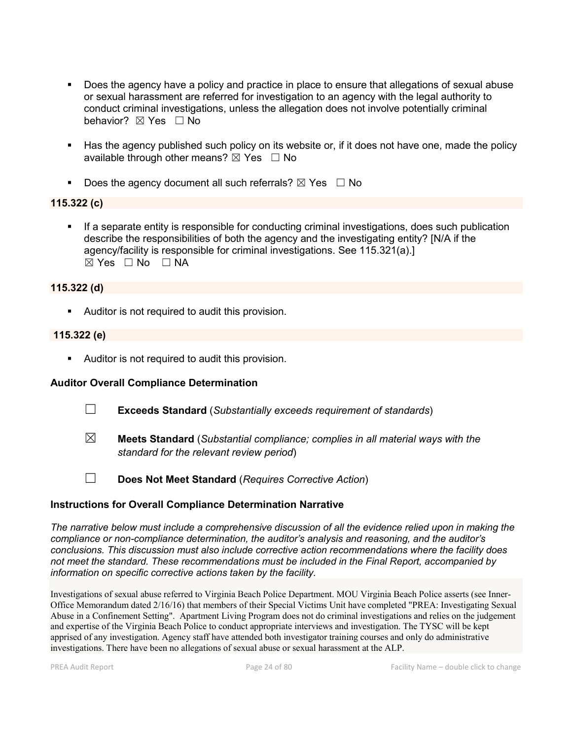- Does the agency have a policy and practice in place to ensure that allegations of sexual abuse or sexual harassment are referred for investigation to an agency with the legal authority to conduct criminal investigations, unless the allegation does not involve potentially criminal behavior? **⊠** Yes □ No
- Has the agency published such policy on its website or, if it does not have one, made the policy available through other means?  $\boxtimes$  Yes  $\Box$  No
- Does the agency document all such referrals?  $\boxtimes$  Yes  $\Box$  No

#### **115.322 (c)**

 If a separate entity is responsible for conducting criminal investigations, does such publication describe the responsibilities of both the agency and the investigating entity? [N/A if the agency/facility is responsible for criminal investigations. See 115.321(a).] ☒ Yes ☐ No ☐ NA

#### **115.322 (d)**

Auditor is not required to audit this provision.

#### **115.322 (e)**

Auditor is not required to audit this provision.

#### **Auditor Overall Compliance Determination**

- ☐ **Exceeds Standard** (*Substantially exceeds requirement of standards*)
- ☒ **Meets Standard** (*Substantial compliance; complies in all material ways with the standard for the relevant review period*)
- 
- ☐ **Does Not Meet Standard** (*Requires Corrective Action*)

#### **Instructions for Overall Compliance Determination Narrative**

*The narrative below must include a comprehensive discussion of all the evidence relied upon in making the compliance or non-compliance determination, the auditor's analysis and reasoning, and the auditor's conclusions. This discussion must also include corrective action recommendations where the facility does not meet the standard. These recommendations must be included in the Final Report, accompanied by information on specific corrective actions taken by the facility.*

Investigations of sexual abuse referred to Virginia Beach Police Department. MOU Virginia Beach Police asserts (see Inner-Office Memorandum dated 2/16/16) that members of their Special Victims Unit have completed "PREA: Investigating Sexual Abuse in a Confinement Setting". Apartment Living Program does not do criminal investigations and relies on the judgement and expertise of the Virginia Beach Police to conduct appropriate interviews and investigation. The TYSC will be kept apprised of any investigation. Agency staff have attended both investigator training courses and only do administrative investigations. There have been no allegations of sexual abuse or sexual harassment at the ALP.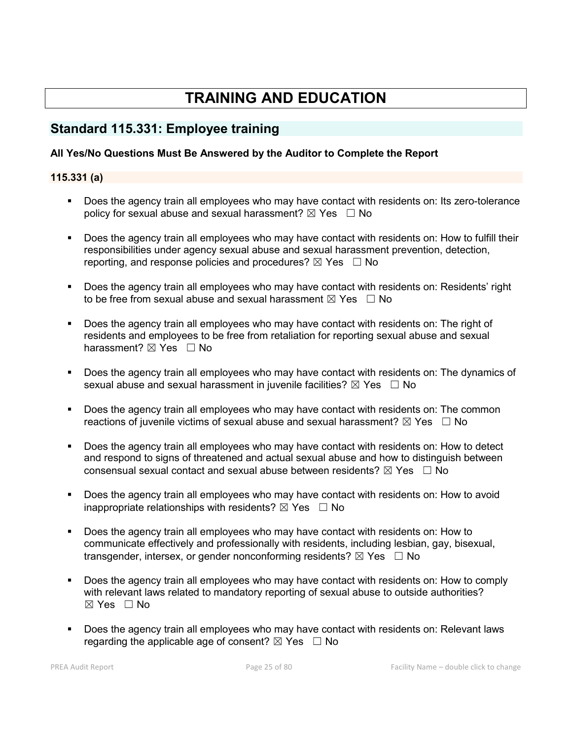# **TRAINING AND EDUCATION**

# **Standard 115.331: Employee training**

### **All Yes/No Questions Must Be Answered by the Auditor to Complete the Report**

### **115.331 (a)**

- Does the agency train all employees who may have contact with residents on: Its zero-tolerance policy for sexual abuse and sexual harassment?  $\boxtimes$  Yes  $\Box$  No
- Does the agency train all employees who may have contact with residents on: How to fulfill their responsibilities under agency sexual abuse and sexual harassment prevention, detection, reporting, and response policies and procedures?  $\boxtimes$  Yes  $\Box$  No
- Does the agency train all employees who may have contact with residents on: Residents' right to be free from sexual abuse and sexual harassment  $\boxtimes$  Yes  $\Box$  No
- Does the agency train all employees who may have contact with residents on: The right of residents and employees to be free from retaliation for reporting sexual abuse and sexual harassment?  $\boxtimes$  Yes  $\Box$  No
- Does the agency train all employees who may have contact with residents on: The dynamics of sexual abuse and sexual harassment in juvenile facilities?  $\boxtimes$  Yes  $\Box$  No
- Does the agency train all employees who may have contact with residents on: The common reactions of juvenile victims of sexual abuse and sexual harassment?  $\boxtimes$  Yes  $\Box$  No
- **Does the agency train all employees who may have contact with residents on: How to detect** and respond to signs of threatened and actual sexual abuse and how to distinguish between consensual sexual contact and sexual abuse between residents?  $\boxtimes$  Yes  $\Box$  No
- Does the agency train all employees who may have contact with residents on: How to avoid inappropriate relationships with residents?  $\boxtimes$  Yes  $\Box$  No
- Does the agency train all employees who may have contact with residents on: How to communicate effectively and professionally with residents, including lesbian, gay, bisexual, transgender, intersex, or gender nonconforming residents?  $\boxtimes$  Yes  $\Box$  No
- Does the agency train all employees who may have contact with residents on: How to comply with relevant laws related to mandatory reporting of sexual abuse to outside authorities?  $\boxtimes$  Yes  $\Box$  No
- Does the agency train all employees who may have contact with residents on: Relevant laws regarding the applicable age of consent?  $\boxtimes$  Yes  $\Box$  No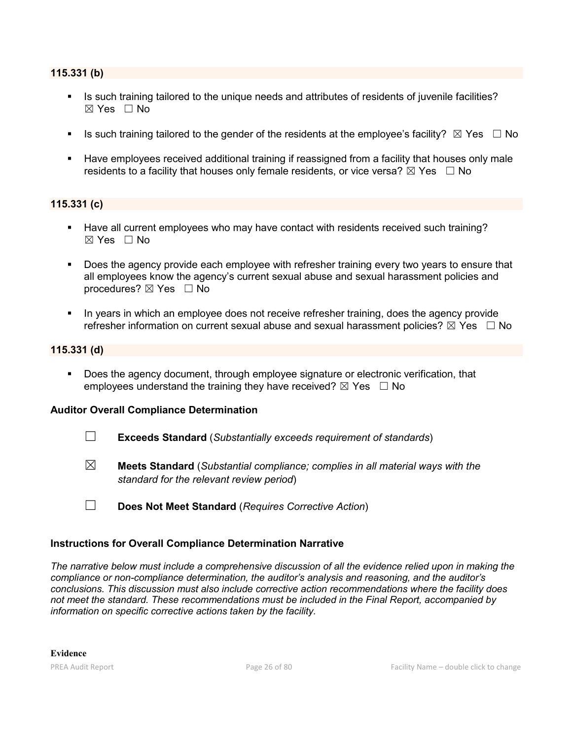#### **115.331 (b)**

- Is such training tailored to the unique needs and attributes of residents of juvenile facilities?  $\boxtimes$  Yes  $\Box$  No
- Is such training tailored to the gender of the residents at the employee's facility?  $\boxtimes$  Yes  $\Box$  No
- **Have employees received additional training if reassigned from a facility that houses only male** residents to a facility that houses only female residents, or vice versa?  $\boxtimes$  Yes  $\Box$  No

#### **115.331 (c)**

- Have all current employees who may have contact with residents received such training?  $\boxtimes$  Yes  $\Box$  No
- Does the agency provide each employee with refresher training every two years to ensure that all employees know the agency's current sexual abuse and sexual harassment policies and procedures?  $\boxtimes$  Yes  $\Box$  No
- In years in which an employee does not receive refresher training, does the agency provide refresher information on current sexual abuse and sexual harassment policies?  $\boxtimes$  Yes  $\Box$  No

#### **115.331 (d)**

 Does the agency document, through employee signature or electronic verification, that employees understand the training they have received?  $\boxtimes$  Yes  $\Box$  No

#### **Auditor Overall Compliance Determination**

- ☐ **Exceeds Standard** (*Substantially exceeds requirement of standards*)
- ☒ **Meets Standard** (*Substantial compliance; complies in all material ways with the standard for the relevant review period*)
- ☐ **Does Not Meet Standard** (*Requires Corrective Action*)

#### **Instructions for Overall Compliance Determination Narrative**

*The narrative below must include a comprehensive discussion of all the evidence relied upon in making the compliance or non-compliance determination, the auditor's analysis and reasoning, and the auditor's conclusions. This discussion must also include corrective action recommendations where the facility does not meet the standard. These recommendations must be included in the Final Report, accompanied by information on specific corrective actions taken by the facility.*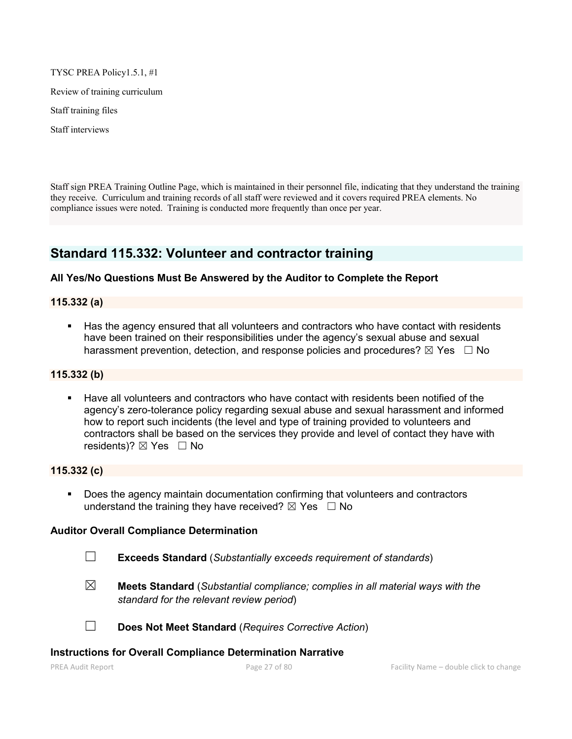TYSC PREA Policy1.5.1, #1

Review of training curriculum

Staff training files

Staff interviews

Staff sign PREA Training Outline Page, which is maintained in their personnel file, indicating that they understand the training they receive. Curriculum and training records of all staff were reviewed and it covers required PREA elements. No compliance issues were noted. Training is conducted more frequently than once per year.

# **Standard 115.332: Volunteer and contractor training**

#### **All Yes/No Questions Must Be Answered by the Auditor to Complete the Report**

**115.332 (a)**

 Has the agency ensured that all volunteers and contractors who have contact with residents have been trained on their responsibilities under the agency's sexual abuse and sexual harassment prevention, detection, and response policies and procedures?  $\boxtimes$  Yes  $\Box$  No

#### **115.332 (b)**

 Have all volunteers and contractors who have contact with residents been notified of the agency's zero-tolerance policy regarding sexual abuse and sexual harassment and informed how to report such incidents (the level and type of training provided to volunteers and contractors shall be based on the services they provide and level of contact they have with residents)?  $\boxtimes$  Yes  $\Box$  No

#### **115.332 (c)**

 Does the agency maintain documentation confirming that volunteers and contractors understand the training they have received?  $\boxtimes$  Yes  $\Box$  No

#### **Auditor Overall Compliance Determination**

- ☐ **Exceeds Standard** (*Substantially exceeds requirement of standards*)
- ☒ **Meets Standard** (*Substantial compliance; complies in all material ways with the standard for the relevant review period*)
- ☐ **Does Not Meet Standard** (*Requires Corrective Action*)

#### **Instructions for Overall Compliance Determination Narrative**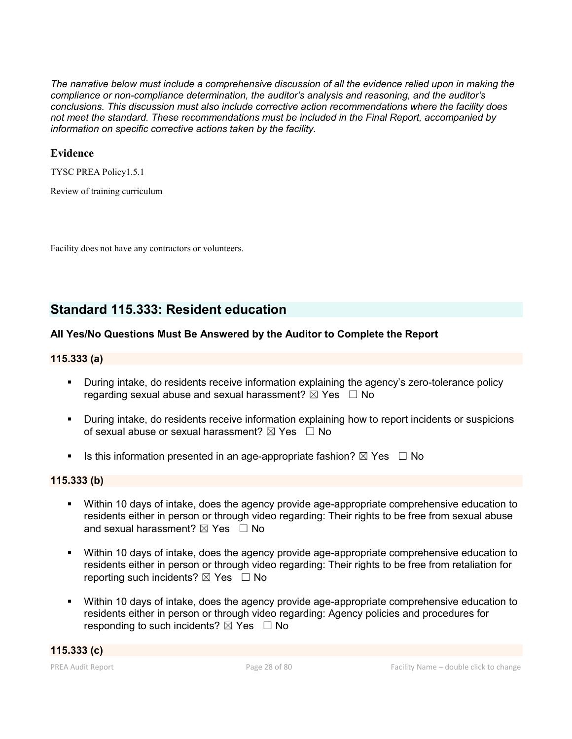*The narrative below must include a comprehensive discussion of all the evidence relied upon in making the compliance or non-compliance determination, the auditor's analysis and reasoning, and the auditor's conclusions. This discussion must also include corrective action recommendations where the facility does not meet the standard. These recommendations must be included in the Final Report, accompanied by information on specific corrective actions taken by the facility.*

### **Evidence**

TYSC PREA Policy1.5.1

Review of training curriculum

Facility does not have any contractors or volunteers.

# **Standard 115.333: Resident education**

#### **All Yes/No Questions Must Be Answered by the Auditor to Complete the Report**

#### **115.333 (a)**

- During intake, do residents receive information explaining the agency's zero-tolerance policy regarding sexual abuse and sexual harassment?  $\boxtimes$  Yes  $\Box$  No
- During intake, do residents receive information explaining how to report incidents or suspicions of sexual abuse or sexual harassment?  $\boxtimes$  Yes  $\Box$  No
- Is this information presented in an age-appropriate fashion?  $\boxtimes$  Yes  $\Box$  No

#### **115.333 (b)**

- Within 10 days of intake, does the agency provide age-appropriate comprehensive education to residents either in person or through video regarding: Their rights to be free from sexual abuse and sexual harassment?  $\boxtimes$  Yes  $\Box$  No
- Within 10 days of intake, does the agency provide age-appropriate comprehensive education to residents either in person or through video regarding: Their rights to be free from retaliation for reporting such incidents?  $\boxtimes$  Yes  $\Box$  No
- Within 10 days of intake, does the agency provide age-appropriate comprehensive education to residents either in person or through video regarding: Agency policies and procedures for responding to such incidents?  $\boxtimes$  Yes  $\Box$  No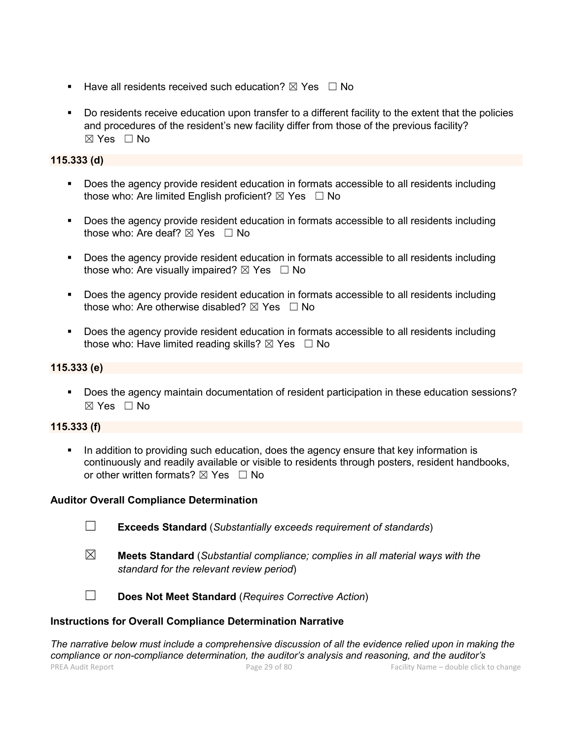- **Have all residents received such education?**  $\boxtimes$  Yes  $\Box$  No
- Do residents receive education upon transfer to a different facility to the extent that the policies and procedures of the resident's new facility differ from those of the previous facility?  $\boxtimes$  Yes  $\Box$  No

### **115.333 (d)**

- Does the agency provide resident education in formats accessible to all residents including those who: Are limited English proficient?  $\boxtimes$  Yes  $\Box$  No
- Does the agency provide resident education in formats accessible to all residents including those who: Are deaf?  $\boxtimes$  Yes  $\Box$  No
- Does the agency provide resident education in formats accessible to all residents including those who: Are visually impaired?  $\boxtimes$  Yes  $\Box$  No
- Does the agency provide resident education in formats accessible to all residents including those who: Are otherwise disabled?  $\boxtimes$  Yes  $\Box$  No
- Does the agency provide resident education in formats accessible to all residents including those who: Have limited reading skills?  $\boxtimes$  Yes  $\Box$  No

### **115.333 (e)**

 Does the agency maintain documentation of resident participation in these education sessions? ☒ Yes ☐ No

#### **115.333 (f)**

 In addition to providing such education, does the agency ensure that key information is continuously and readily available or visible to residents through posters, resident handbooks, or other written formats?  $\boxtimes$  Yes  $\Box$  No

#### **Auditor Overall Compliance Determination**

- ☐ **Exceeds Standard** (*Substantially exceeds requirement of standards*)
- ☒ **Meets Standard** (*Substantial compliance; complies in all material ways with the standard for the relevant review period*)

☐ **Does Not Meet Standard** (*Requires Corrective Action*)

#### **Instructions for Overall Compliance Determination Narrative**

PREA Audit Report Page 29 of 80 Facility Name – double click to change *The narrative below must include a comprehensive discussion of all the evidence relied upon in making the compliance or non-compliance determination, the auditor's analysis and reasoning, and the auditor's*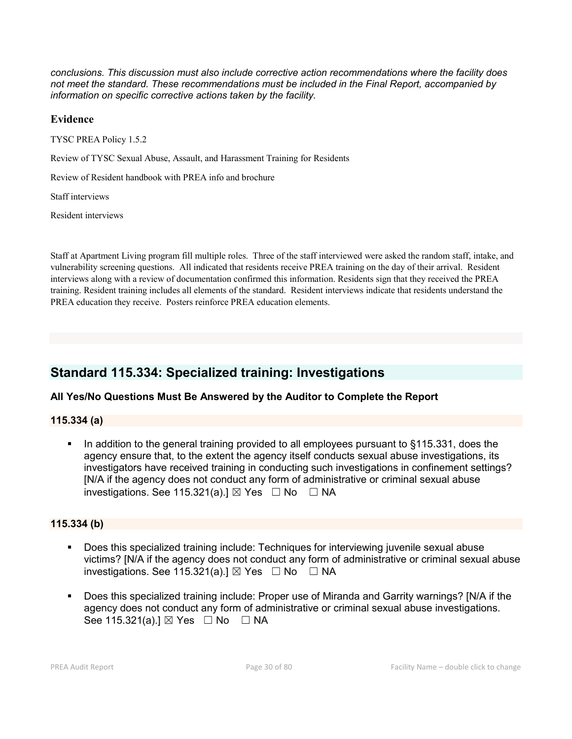*conclusions. This discussion must also include corrective action recommendations where the facility does not meet the standard. These recommendations must be included in the Final Report, accompanied by information on specific corrective actions taken by the facility.*

### **Evidence**

TYSC PREA Policy 1.5.2

Review of TYSC Sexual Abuse, Assault, and Harassment Training for Residents

Review of Resident handbook with PREA info and brochure

Staff interviews

Resident interviews

Staff at Apartment Living program fill multiple roles. Three of the staff interviewed were asked the random staff, intake, and vulnerability screening questions. All indicated that residents receive PREA training on the day of their arrival. Resident interviews along with a review of documentation confirmed this information. Residents sign that they received the PREA training. Resident training includes all elements of the standard. Resident interviews indicate that residents understand the PREA education they receive. Posters reinforce PREA education elements.

# **Standard 115.334: Specialized training: Investigations**

#### **All Yes/No Questions Must Be Answered by the Auditor to Complete the Report**

#### **115.334 (a)**

 In addition to the general training provided to all employees pursuant to §115.331, does the agency ensure that, to the extent the agency itself conducts sexual abuse investigations, its investigators have received training in conducting such investigations in confinement settings? [N/A if the agency does not conduct any form of administrative or criminal sexual abuse investigations. See 115.321(a).]  $\boxtimes$  Yes  $\Box$  No  $\Box$  NA

#### **115.334 (b)**

- Does this specialized training include: Techniques for interviewing juvenile sexual abuse victims? [N/A if the agency does not conduct any form of administrative or criminal sexual abuse investigations. See 115.321(a).]  $\boxtimes$  Yes  $\Box$  No  $\Box$  NA
- Does this specialized training include: Proper use of Miranda and Garrity warnings? [N/A if the agency does not conduct any form of administrative or criminal sexual abuse investigations. See 115.321(a).]  $\boxtimes$  Yes  $\Box$  No  $\Box$  NA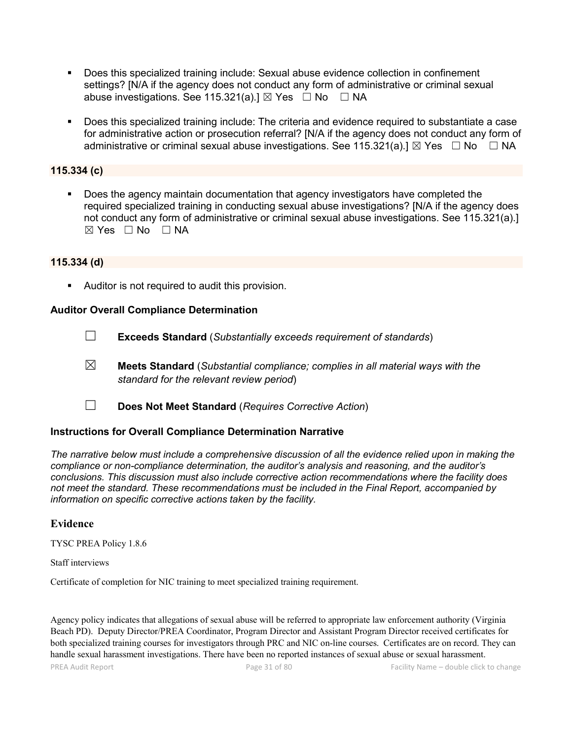- Does this specialized training include: Sexual abuse evidence collection in confinement settings? [N/A if the agency does not conduct any form of administrative or criminal sexual abuse investigations. See 115.321(a).]  $\boxtimes$  Yes  $\Box$  No  $\Box$  NA
- Does this specialized training include: The criteria and evidence required to substantiate a case for administrative action or prosecution referral? [N/A if the agency does not conduct any form of administrative or criminal sexual abuse investigations. See 115.321(a).]  $\boxtimes$  Yes  $\Box$  No  $\Box$  NA

### **115.334 (c)**

 Does the agency maintain documentation that agency investigators have completed the required specialized training in conducting sexual abuse investigations? [N/A if the agency does not conduct any form of administrative or criminal sexual abuse investigations. See 115.321(a).]  $\boxtimes$  Yes  $\Box$  No  $\Box$  NA

#### **115.334 (d)**

Auditor is not required to audit this provision.

#### **Auditor Overall Compliance Determination**

- ☐ **Exceeds Standard** (*Substantially exceeds requirement of standards*)
- ☒ **Meets Standard** (*Substantial compliance; complies in all material ways with the standard for the relevant review period*)
- ☐ **Does Not Meet Standard** (*Requires Corrective Action*)

#### **Instructions for Overall Compliance Determination Narrative**

*The narrative below must include a comprehensive discussion of all the evidence relied upon in making the compliance or non-compliance determination, the auditor's analysis and reasoning, and the auditor's conclusions. This discussion must also include corrective action recommendations where the facility does not meet the standard. These recommendations must be included in the Final Report, accompanied by information on specific corrective actions taken by the facility.*

#### **Evidence**

TYSC PREA Policy 1.8.6

#### Staff interviews

Certificate of completion for NIC training to meet specialized training requirement.

Agency policy indicates that allegations of sexual abuse will be referred to appropriate law enforcement authority (Virginia Beach PD). Deputy Director/PREA Coordinator, Program Director and Assistant Program Director received certificates for both specialized training courses for investigators through PRC and NIC on-line courses. Certificates are on record. They can handle sexual harassment investigations. There have been no reported instances of sexual abuse or sexual harassment.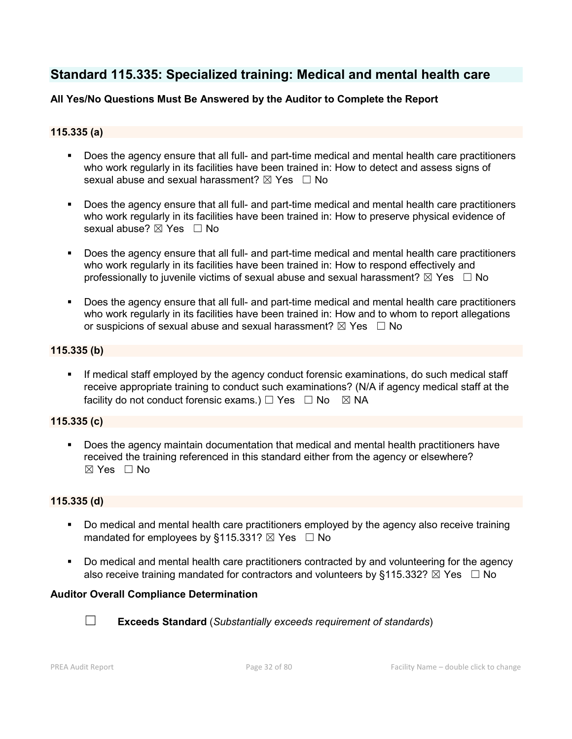# **Standard 115.335: Specialized training: Medical and mental health care**

### **All Yes/No Questions Must Be Answered by the Auditor to Complete the Report**

### **115.335 (a)**

- Does the agency ensure that all full- and part-time medical and mental health care practitioners who work regularly in its facilities have been trained in: How to detect and assess signs of sexual abuse and sexual harassment?  $\boxtimes$  Yes  $\Box$  No
- Does the agency ensure that all full- and part-time medical and mental health care practitioners who work regularly in its facilities have been trained in: How to preserve physical evidence of sexual abuse?  $\boxtimes$  Yes  $\Box$  No
- Does the agency ensure that all full- and part-time medical and mental health care practitioners who work regularly in its facilities have been trained in: How to respond effectively and professionally to juvenile victims of sexual abuse and sexual harassment?  $\boxtimes$  Yes  $\Box$  No
- Does the agency ensure that all full- and part-time medical and mental health care practitioners who work regularly in its facilities have been trained in: How and to whom to report allegations or suspicions of sexual abuse and sexual harassment?  $\boxtimes$  Yes  $\Box$  No

#### **115.335 (b)**

 If medical staff employed by the agency conduct forensic examinations, do such medical staff receive appropriate training to conduct such examinations? (N/A if agency medical staff at the facility do not conduct forensic exams.)  $\Box$  Yes  $\Box$  No  $\boxtimes$  NA

#### **115.335 (c)**

 Does the agency maintain documentation that medical and mental health practitioners have received the training referenced in this standard either from the agency or elsewhere?  $\boxtimes$  Yes  $\Box$  No

#### **115.335 (d)**

- Do medical and mental health care practitioners employed by the agency also receive training mandated for employees by §115.331?  $\boxtimes$  Yes  $\Box$  No
- Do medical and mental health care practitioners contracted by and volunteering for the agency also receive training mandated for contractors and volunteers by §115.332?  $\boxtimes$  Yes  $\Box$  No

#### **Auditor Overall Compliance Determination**



☐ **Exceeds Standard** (*Substantially exceeds requirement of standards*)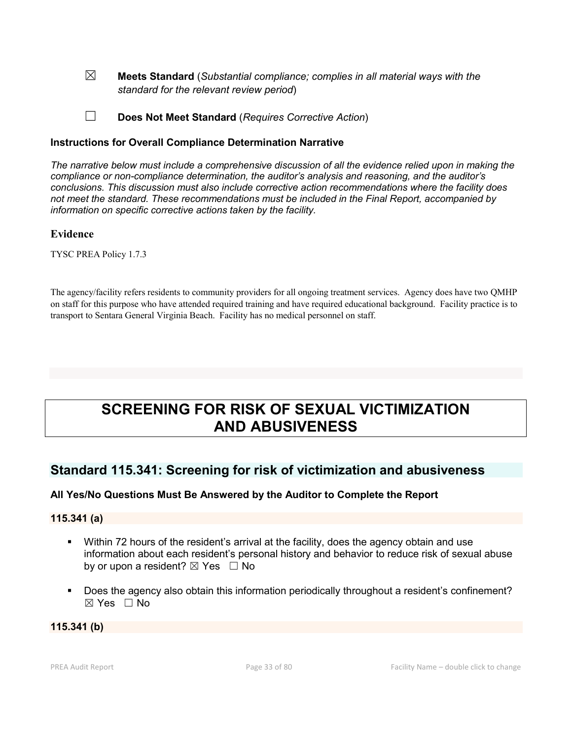- ☒ **Meets Standard** (*Substantial compliance; complies in all material ways with the standard for the relevant review period*)
- ☐ **Does Not Meet Standard** (*Requires Corrective Action*)

#### **Instructions for Overall Compliance Determination Narrative**

*The narrative below must include a comprehensive discussion of all the evidence relied upon in making the compliance or non-compliance determination, the auditor's analysis and reasoning, and the auditor's conclusions. This discussion must also include corrective action recommendations where the facility does not meet the standard. These recommendations must be included in the Final Report, accompanied by information on specific corrective actions taken by the facility.*

#### **Evidence**

TYSC PREA Policy 1.7.3

The agency/facility refers residents to community providers for all ongoing treatment services. Agency does have two QMHP on staff for this purpose who have attended required training and have required educational background. Facility practice is to transport to Sentara General Virginia Beach. Facility has no medical personnel on staff.

# **SCREENING FOR RISK OF SEXUAL VICTIMIZATION AND ABUSIVENESS**

### **Standard 115.341: Screening for risk of victimization and abusiveness**

#### **All Yes/No Questions Must Be Answered by the Auditor to Complete the Report**

#### **115.341 (a)**

- Within 72 hours of the resident's arrival at the facility, does the agency obtain and use information about each resident's personal history and behavior to reduce risk of sexual abuse by or upon a resident?  $\boxtimes$  Yes  $\Box$  No
- Does the agency also obtain this information periodically throughout a resident's confinement?  $\boxtimes$  Yes  $\Box$  No

#### **115.341 (b)**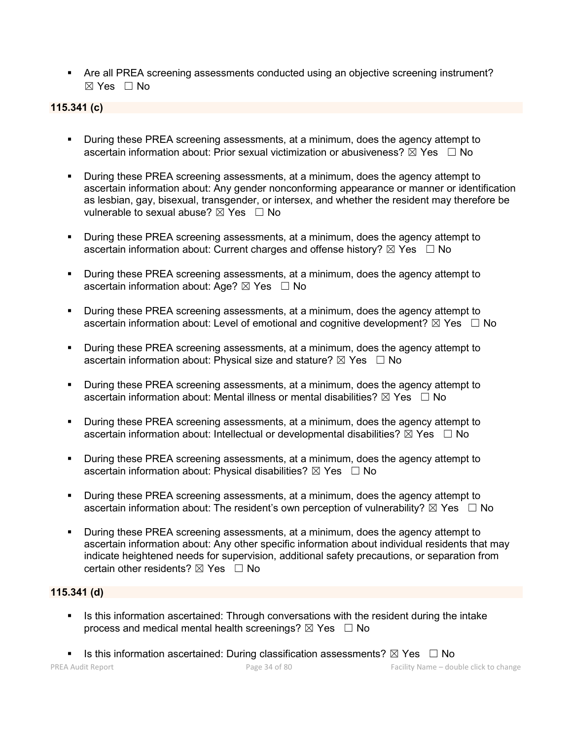Are all PREA screening assessments conducted using an objective screening instrument?  $\boxtimes$  Yes  $\Box$  No

### **115.341 (c)**

- During these PREA screening assessments, at a minimum, does the agency attempt to ascertain information about: Prior sexual victimization or abusiveness?  $\boxtimes$  Yes  $\Box$  No
- **During these PREA screening assessments, at a minimum, does the agency attempt to** ascertain information about: Any gender nonconforming appearance or manner or identification as lesbian, gay, bisexual, transgender, or intersex, and whether the resident may therefore be vulnerable to sexual abuse?  $\boxtimes$  Yes  $\Box$  No
- During these PREA screening assessments, at a minimum, does the agency attempt to ascertain information about: Current charges and offense history?  $\boxtimes$  Yes  $\Box$  No
- **During these PREA screening assessments, at a minimum, does the agency attempt to** ascertain information about: Age?  $\boxtimes$  Yes  $\Box$  No
- **•** During these PREA screening assessments, at a minimum, does the agency attempt to ascertain information about: Level of emotional and cognitive development?  $\boxtimes$  Yes  $\Box$  No
- During these PREA screening assessments, at a minimum, does the agency attempt to ascertain information about: Physical size and stature?  $\boxtimes$  Yes  $\Box$  No
- **During these PREA screening assessments, at a minimum, does the agency attempt to** ascertain information about: Mental illness or mental disabilities?  $\boxtimes$  Yes  $\Box$  No
- During these PREA screening assessments, at a minimum, does the agency attempt to ascertain information about: Intellectual or developmental disabilities?  $\boxtimes$  Yes  $\Box$  No
- During these PREA screening assessments, at a minimum, does the agency attempt to ascertain information about: Physical disabilities?  $\boxtimes$  Yes  $\Box$  No
- During these PREA screening assessments, at a minimum, does the agency attempt to ascertain information about: The resident's own perception of vulnerability?  $\boxtimes$  Yes  $\Box$  No
- During these PREA screening assessments, at a minimum, does the agency attempt to ascertain information about: Any other specific information about individual residents that may indicate heightened needs for supervision, additional safety precautions, or separation from certain other residents?  $\boxtimes$  Yes  $\Box$  No

#### **115.341 (d)**

- Is this information ascertained: Through conversations with the resident during the intake process and medical mental health screenings?  $\boxtimes$  Yes  $\Box$  No
- Is this information ascertained: During classification assessments?  $\boxtimes$  Yes  $\Box$  No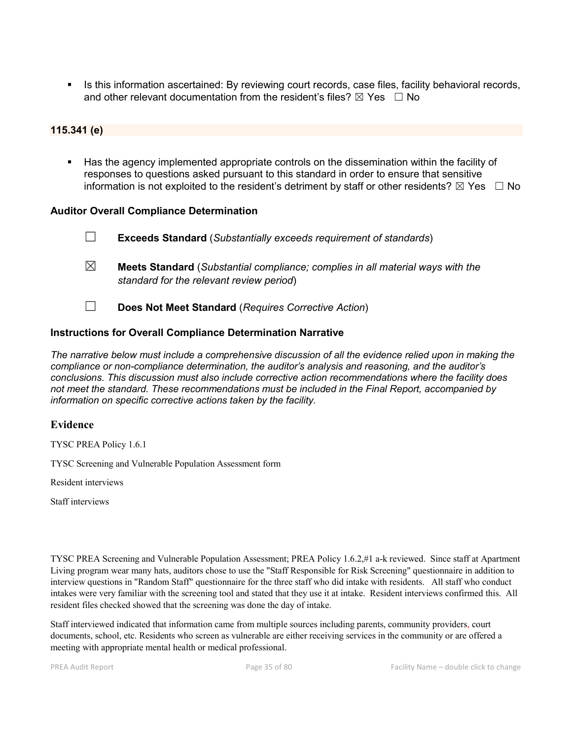Is this information ascertained: By reviewing court records, case files, facility behavioral records, and other relevant documentation from the resident's files?  $\boxtimes$  Yes  $\Box$  No

#### **115.341 (e)**

 Has the agency implemented appropriate controls on the dissemination within the facility of responses to questions asked pursuant to this standard in order to ensure that sensitive information is not exploited to the resident's detriment by staff or other residents?  $\boxtimes$  Yes  $\Box$  No

#### **Auditor Overall Compliance Determination**

- ☐ **Exceeds Standard** (*Substantially exceeds requirement of standards*) ☒ **Meets Standard** (*Substantial compliance; complies in all material ways with the standard for the relevant review period*)
- ☐ **Does Not Meet Standard** (*Requires Corrective Action*)

#### **Instructions for Overall Compliance Determination Narrative**

*The narrative below must include a comprehensive discussion of all the evidence relied upon in making the compliance or non-compliance determination, the auditor's analysis and reasoning, and the auditor's conclusions. This discussion must also include corrective action recommendations where the facility does not meet the standard. These recommendations must be included in the Final Report, accompanied by information on specific corrective actions taken by the facility.*

#### **Evidence**

TYSC PREA Policy 1.6.1

TYSC Screening and Vulnerable Population Assessment form

Resident interviews

Staff interviews

TYSC PREA Screening and Vulnerable Population Assessment; PREA Policy 1.6.2,#1 a-k reviewed. Since staff at Apartment Living program wear many hats, auditors chose to use the "Staff Responsible for Risk Screening" questionnaire in addition to interview questions in "Random Staff" questionnaire for the three staff who did intake with residents. All staff who conduct intakes were very familiar with the screening tool and stated that they use it at intake. Resident interviews confirmed this. All resident files checked showed that the screening was done the day of intake.

Staff interviewed indicated that information came from multiple sources including parents, community providers, court documents, school, etc. Residents who screen as vulnerable are either receiving services in the community or are offered a meeting with appropriate mental health or medical professional.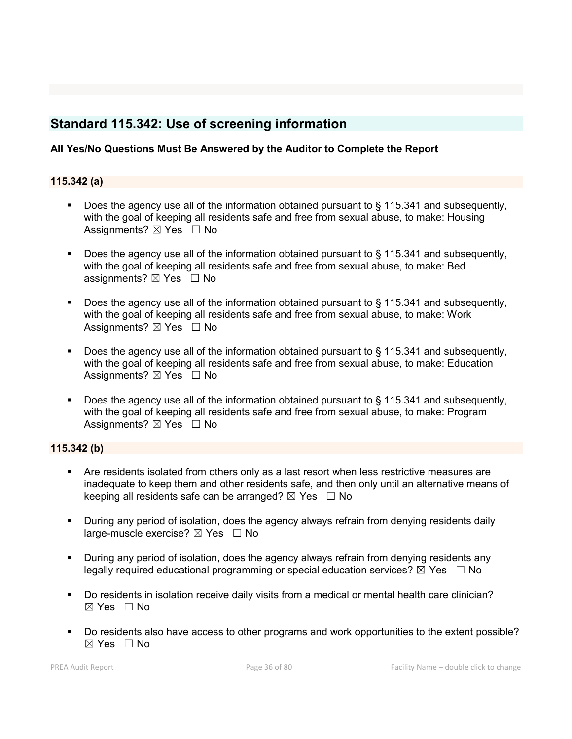# **Standard 115.342: Use of screening information**

### **All Yes/No Questions Must Be Answered by the Auditor to Complete the Report**

#### **115.342 (a)**

- Does the agency use all of the information obtained pursuant to § 115.341 and subsequently, with the goal of keeping all residents safe and free from sexual abuse, to make: Housing Assignments?  $\boxtimes$  Yes  $\Box$  No
- Does the agency use all of the information obtained pursuant to § 115.341 and subsequently, with the goal of keeping all residents safe and free from sexual abuse, to make: Bed assignments?  $\boxtimes$  Yes  $\Box$  No
- Does the agency use all of the information obtained pursuant to § 115.341 and subsequently, with the goal of keeping all residents safe and free from sexual abuse, to make: Work Assignments?  $\boxtimes$  Yes  $\Box$  No
- Does the agency use all of the information obtained pursuant to § 115.341 and subsequently, with the goal of keeping all residents safe and free from sexual abuse, to make: Education Assignments?  $\boxtimes$  Yes  $\Box$  No
- Does the agency use all of the information obtained pursuant to § 115.341 and subsequently, with the goal of keeping all residents safe and free from sexual abuse, to make: Program Assignments?  $\boxtimes$  Yes  $\Box$  No

#### **115.342 (b)**

- Are residents isolated from others only as a last resort when less restrictive measures are inadequate to keep them and other residents safe, and then only until an alternative means of keeping all residents safe can be arranged?  $\boxtimes$  Yes  $\Box$  No
- During any period of isolation, does the agency always refrain from denying residents daily large-muscle exercise?  $\boxtimes$  Yes  $\Box$  No
- During any period of isolation, does the agency always refrain from denying residents any legally required educational programming or special education services?  $\boxtimes$  Yes  $\Box$  No
- Do residents in isolation receive daily visits from a medical or mental health care clinician?  $\boxtimes$  Yes  $\Box$  No
- Do residents also have access to other programs and work opportunities to the extent possible?  $\boxtimes$  Yes  $\Box$  No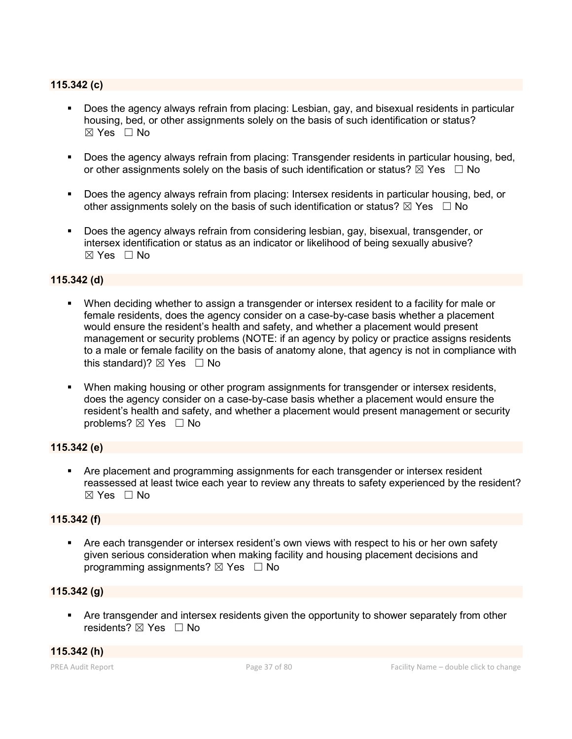## **115.342 (c)**

- Does the agency always refrain from placing: Lesbian, gay, and bisexual residents in particular housing, bed, or other assignments solely on the basis of such identification or status?  $\boxtimes$  Yes  $\Box$  No
- Does the agency always refrain from placing: Transgender residents in particular housing, bed, or other assignments solely on the basis of such identification or status?  $\boxtimes$  Yes  $\Box$  No
- Does the agency always refrain from placing: Intersex residents in particular housing, bed, or other assignments solely on the basis of such identification or status?  $\boxtimes$  Yes  $\Box$  No
- Does the agency always refrain from considering lesbian, gay, bisexual, transgender, or intersex identification or status as an indicator or likelihood of being sexually abusive?  $\boxtimes$  Yes  $\Box$  No

## **115.342 (d)**

- When deciding whether to assign a transgender or intersex resident to a facility for male or female residents, does the agency consider on a case-by-case basis whether a placement would ensure the resident's health and safety, and whether a placement would present management or security problems (NOTE: if an agency by policy or practice assigns residents to a male or female facility on the basis of anatomy alone, that agency is not in compliance with this standard)?  $\boxtimes$  Yes  $\Box$  No
- When making housing or other program assignments for transgender or intersex residents, does the agency consider on a case-by-case basis whether a placement would ensure the resident's health and safety, and whether a placement would present management or security problems? ⊠ Yes □ No

## **115.342 (e)**

 Are placement and programming assignments for each transgender or intersex resident reassessed at least twice each year to review any threats to safety experienced by the resident?  $\boxtimes$  Yes  $\Box$  No

#### **115.342 (f)**

 Are each transgender or intersex resident's own views with respect to his or her own safety given serious consideration when making facility and housing placement decisions and programming assignments?  $\boxtimes$  Yes  $\Box$  No

## **115.342 (g)**

 Are transgender and intersex residents given the opportunity to shower separately from other residents? ⊠ Yes □ No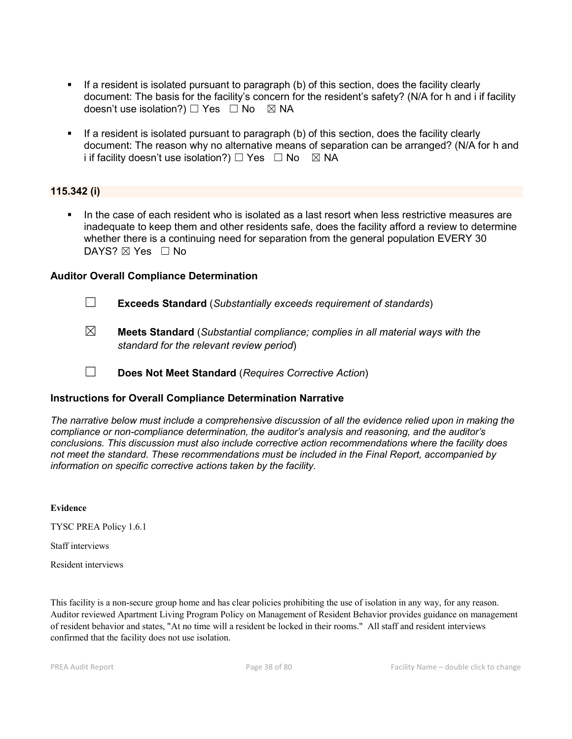- If a resident is isolated pursuant to paragraph (b) of this section, does the facility clearly document: The basis for the facility's concern for the resident's safety? (N/A for h and i if facility doesn't use isolation?) □ Yes □ No ⊠ NA
- If a resident is isolated pursuant to paragraph (b) of this section, does the facility clearly document: The reason why no alternative means of separation can be arranged? (N/A for h and i if facility doesn't use isolation?)  $\Box$  Yes  $\Box$  No  $\boxtimes$  NA

## **115.342 (i)**

 In the case of each resident who is isolated as a last resort when less restrictive measures are inadequate to keep them and other residents safe, does the facility afford a review to determine whether there is a continuing need for separation from the general population EVERY 30 DAYS? ⊠ Yes □ No

## **Auditor Overall Compliance Determination**

- ☐ **Exceeds Standard** (*Substantially exceeds requirement of standards*)
- ☒ **Meets Standard** (*Substantial compliance; complies in all material ways with the standard for the relevant review period*)
- ☐ **Does Not Meet Standard** (*Requires Corrective Action*)

## **Instructions for Overall Compliance Determination Narrative**

*The narrative below must include a comprehensive discussion of all the evidence relied upon in making the compliance or non-compliance determination, the auditor's analysis and reasoning, and the auditor's conclusions. This discussion must also include corrective action recommendations where the facility does not meet the standard. These recommendations must be included in the Final Report, accompanied by information on specific corrective actions taken by the facility.*

**Evidence**

TYSC PREA Policy 1.6.1

Staff interviews

Resident interviews

This facility is a non-secure group home and has clear policies prohibiting the use of isolation in any way, for any reason. Auditor reviewed Apartment Living Program Policy on Management of Resident Behavior provides guidance on management of resident behavior and states, "At no time will a resident be locked in their rooms." All staff and resident interviews confirmed that the facility does not use isolation.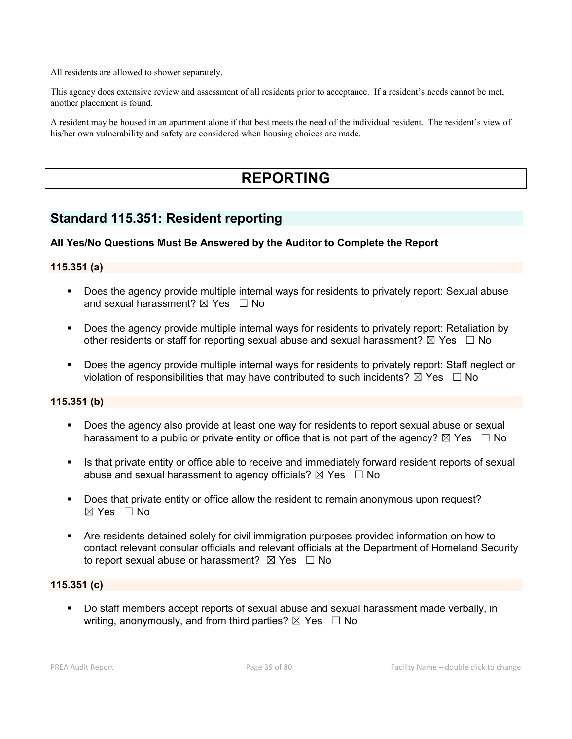All residents are allowed to shower separately.

This agency does extensive review and assessment of all residents prior to acceptance. If a resident's needs cannot be met, another placement is found.

A resident may be housed in an apartment alone if that best meets the need of the individual resident. The resident's view of his/her own vulnerability and safety are considered when housing choices are made.

# **REPORTING**

## **Standard 115.351: Resident reporting**

## **All Yes/No Questions Must Be Answered by the Auditor to Complete the Report**

## **115.351 (a)**

- Does the agency provide multiple internal ways for residents to privately report: Sexual abuse and sexual harassment?  $\boxtimes$  Yes  $\Box$  No
- **Does the agency provide multiple internal ways for residents to privately report: Retaliation by** other residents or staff for reporting sexual abuse and sexual harassment?  $\boxtimes$  Yes  $\Box$  No
- Does the agency provide multiple internal ways for residents to privately report: Staff neglect or violation of responsibilities that may have contributed to such incidents?  $\boxtimes$  Yes  $\Box$  No

## **115.351 (b)**

- Does the agency also provide at least one way for residents to report sexual abuse or sexual harassment to a public or private entity or office that is not part of the agency?  $\boxtimes$  Yes  $\Box$  No
- Is that private entity or office able to receive and immediately forward resident reports of sexual abuse and sexual harassment to agency officials?  $\boxtimes$  Yes  $\Box$  No
- Does that private entity or office allow the resident to remain anonymous upon request?  $\boxtimes$  Yes  $\Box$  No
- Are residents detained solely for civil immigration purposes provided information on how to contact relevant consular officials and relevant officials at the Department of Homeland Security to report sexual abuse or harassment?  $\boxtimes$  Yes  $\Box$  No

## **115.351 (c)**

 Do staff members accept reports of sexual abuse and sexual harassment made verbally, in writing, anonymously, and from third parties?  $\boxtimes$  Yes  $\Box$  No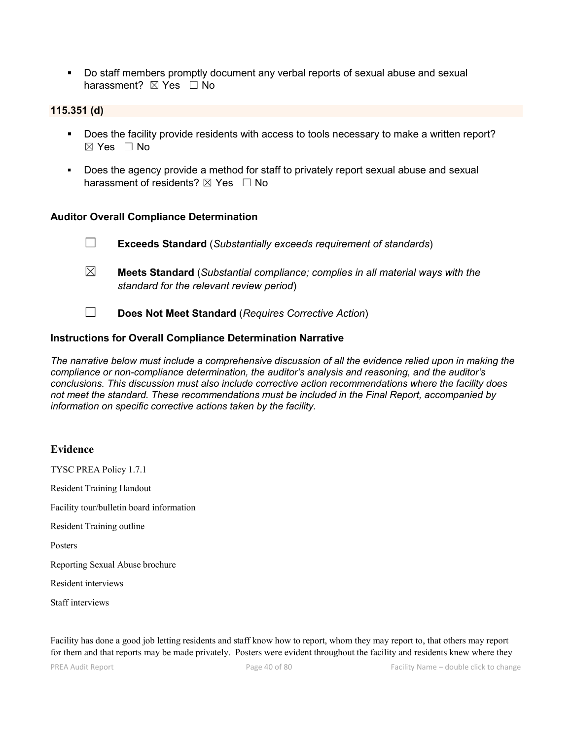Do staff members promptly document any verbal reports of sexual abuse and sexual harassment? ⊠ Yes □ No

#### **115.351 (d)**

- Does the facility provide residents with access to tools necessary to make a written report? ☒ Yes ☐ No
- Does the agency provide a method for staff to privately report sexual abuse and sexual harassment of residents?  $\boxtimes$  Yes  $\Box$  No

#### **Auditor Overall Compliance Determination**

☐ **Exceeds Standard** (*Substantially exceeds requirement of standards*) ☒ **Meets Standard** (*Substantial compliance; complies in all material ways with the standard for the relevant review period*)

☐ **Does Not Meet Standard** (*Requires Corrective Action*)

## **Instructions for Overall Compliance Determination Narrative**

*The narrative below must include a comprehensive discussion of all the evidence relied upon in making the compliance or non-compliance determination, the auditor's analysis and reasoning, and the auditor's conclusions. This discussion must also include corrective action recommendations where the facility does not meet the standard. These recommendations must be included in the Final Report, accompanied by information on specific corrective actions taken by the facility.*

#### **Evidence**

TYSC PREA Policy 1.7.1 Resident Training Handout Facility tour/bulletin board information Resident Training outline Posters Reporting Sexual Abuse brochure Resident interviews Staff interviews

Facility has done a good job letting residents and staff know how to report, whom they may report to, that others may report for them and that reports may be made privately. Posters were evident throughout the facility and residents knew where they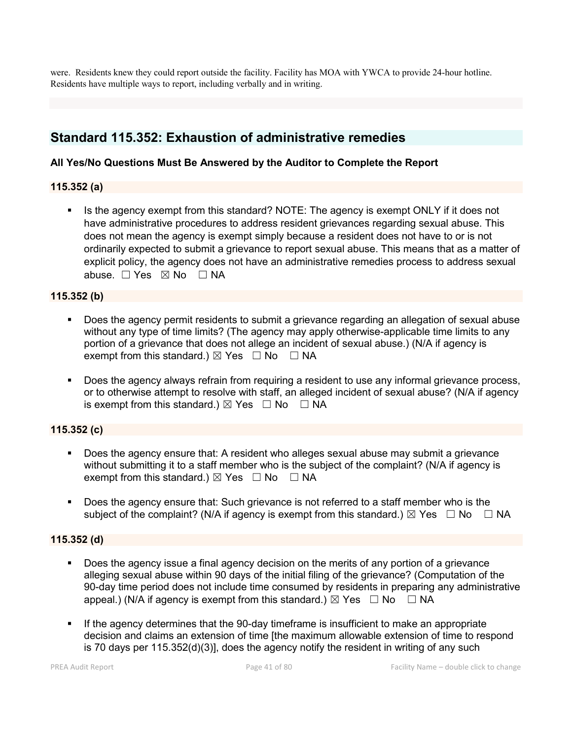were. Residents knew they could report outside the facility. Facility has MOA with YWCA to provide 24-hour hotline. Residents have multiple ways to report, including verbally and in writing.

## **Standard 115.352: Exhaustion of administrative remedies**

## **All Yes/No Questions Must Be Answered by the Auditor to Complete the Report**

## **115.352 (a)**

Is the agency exempt from this standard? NOTE: The agency is exempt ONLY if it does not have administrative procedures to address resident grievances regarding sexual abuse. This does not mean the agency is exempt simply because a resident does not have to or is not ordinarily expected to submit a grievance to report sexual abuse. This means that as a matter of explicit policy, the agency does not have an administrative remedies process to address sexual abuse. □ Yes ⊠ No □ NA

### **115.352 (b)**

- Does the agency permit residents to submit a grievance regarding an allegation of sexual abuse without any type of time limits? (The agency may apply otherwise-applicable time limits to any portion of a grievance that does not allege an incident of sexual abuse.) (N/A if agency is exempt from this standard.)  $\boxtimes$  Yes  $\Box$  No  $\Box$  NA
- **Does the agency always refrain from requiring a resident to use any informal grievance process,** or to otherwise attempt to resolve with staff, an alleged incident of sexual abuse? (N/A if agency is exempt from this standard.)  $\boxtimes$  Yes  $\Box$  No  $\Box$  NA

## **115.352 (c)**

- Does the agency ensure that: A resident who alleges sexual abuse may submit a grievance without submitting it to a staff member who is the subject of the complaint? (N/A if agency is exempt from this standard.)  $\boxtimes$  Yes  $\Box$  No  $\Box$  NA
- Does the agency ensure that: Such grievance is not referred to a staff member who is the subject of the complaint? (N/A if agency is exempt from this standard.)  $\boxtimes$  Yes  $\Box$  No  $\Box$  NA

## **115.352 (d)**

- Does the agency issue a final agency decision on the merits of any portion of a grievance alleging sexual abuse within 90 days of the initial filing of the grievance? (Computation of the 90-day time period does not include time consumed by residents in preparing any administrative appeal.) (N/A if agency is exempt from this standard.)  $\boxtimes$  Yes  $\Box$  No  $\Box$  NA
- If the agency determines that the 90-day timeframe is insufficient to make an appropriate decision and claims an extension of time [the maximum allowable extension of time to respond is 70 days per 115.352(d)(3)], does the agency notify the resident in writing of any such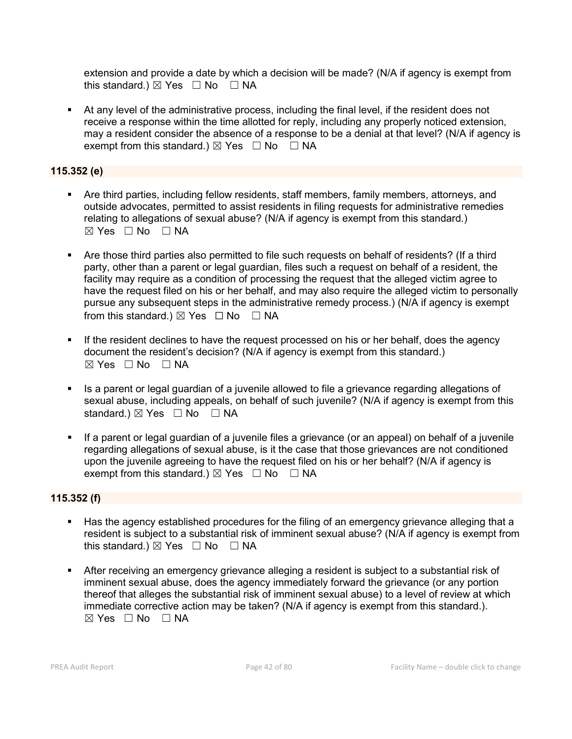extension and provide a date by which a decision will be made? (N/A if agency is exempt from this standard.)  $\boxtimes$  Yes  $\Box$  No  $\Box$  NA

 At any level of the administrative process, including the final level, if the resident does not receive a response within the time allotted for reply, including any properly noticed extension, may a resident consider the absence of a response to be a denial at that level? (N/A if agency is exempt from this standard.)  $\boxtimes$  Yes  $\Box$  No  $\Box$  NA

## **115.352 (e)**

- Are third parties, including fellow residents, staff members, family members, attorneys, and outside advocates, permitted to assist residents in filing requests for administrative remedies relating to allegations of sexual abuse? (N/A if agency is exempt from this standard.)  $⊠ Yes □ No □ NA$
- Are those third parties also permitted to file such requests on behalf of residents? (If a third party, other than a parent or legal guardian, files such a request on behalf of a resident, the facility may require as a condition of processing the request that the alleged victim agree to have the request filed on his or her behalf, and may also require the alleged victim to personally pursue any subsequent steps in the administrative remedy process.) (N/A if agency is exempt from this standard.)  $\boxtimes$  Yes  $\Box$  No  $\Box$  NA
- If the resident declines to have the request processed on his or her behalf, does the agency document the resident's decision? (N/A if agency is exempt from this standard.) ☒ Yes ☐ No ☐ NA
- Is a parent or legal guardian of a juvenile allowed to file a grievance regarding allegations of sexual abuse, including appeals, on behalf of such juvenile? (N/A if agency is exempt from this standard.)  $\boxtimes$  Yes  $\Box$  No  $\Box$  NA
- If a parent or legal guardian of a juvenile files a grievance (or an appeal) on behalf of a juvenile regarding allegations of sexual abuse, is it the case that those grievances are not conditioned upon the juvenile agreeing to have the request filed on his or her behalf? (N/A if agency is exempt from this standard.)  $\boxtimes$  Yes  $\Box$  No  $\Box$  NA

## **115.352 (f)**

- Has the agency established procedures for the filing of an emergency grievance alleging that a resident is subject to a substantial risk of imminent sexual abuse? (N/A if agency is exempt from this standard.)  $\boxtimes$  Yes  $\Box$  No  $\Box$  NA
- After receiving an emergency grievance alleging a resident is subject to a substantial risk of imminent sexual abuse, does the agency immediately forward the grievance (or any portion thereof that alleges the substantial risk of imminent sexual abuse) to a level of review at which immediate corrective action may be taken? (N/A if agency is exempt from this standard.).  $\boxtimes$  Yes  $\Box$  No  $\Box$  NA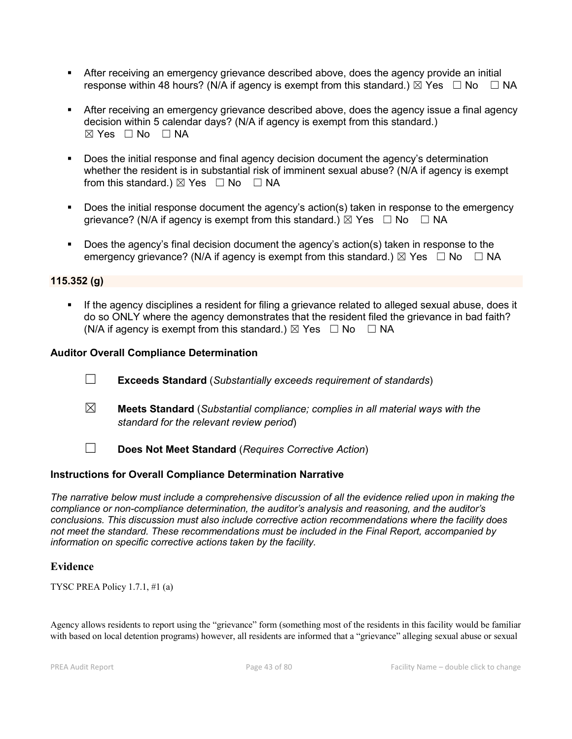- After receiving an emergency grievance described above, does the agency provide an initial response within 48 hours? (N/A if agency is exempt from this standard.)  $\boxtimes$  Yes  $\Box$  No  $\Box$  NA
- After receiving an emergency grievance described above, does the agency issue a final agency decision within 5 calendar days? (N/A if agency is exempt from this standard.)  $\boxtimes$  Yes  $\Box$  No  $\Box$  NA
- **Does the initial response and final agency decision document the agency's determination** whether the resident is in substantial risk of imminent sexual abuse? (N/A if agency is exempt from this standard.)  $\boxtimes$  Yes  $\Box$  No  $\Box$  NA
- Does the initial response document the agency's action(s) taken in response to the emergency grievance? (N/A if agency is exempt from this standard.)  $\boxtimes$  Yes  $\Box$  No  $\Box$  NA
- Does the agency's final decision document the agency's action(s) taken in response to the emergency grievance? (N/A if agency is exempt from this standard.)  $\boxtimes$  Yes  $\Box$  No  $\Box$  NA

### **115.352 (g)**

 If the agency disciplines a resident for filing a grievance related to alleged sexual abuse, does it do so ONLY where the agency demonstrates that the resident filed the grievance in bad faith? (N/A if agency is exempt from this standard.)  $\boxtimes$  Yes  $\Box$  No  $\Box$  NA

### **Auditor Overall Compliance Determination**

- ☐ **Exceeds Standard** (*Substantially exceeds requirement of standards*)
- ☒ **Meets Standard** (*Substantial compliance; complies in all material ways with the standard for the relevant review period*)
- ☐ **Does Not Meet Standard** (*Requires Corrective Action*)

## **Instructions for Overall Compliance Determination Narrative**

*The narrative below must include a comprehensive discussion of all the evidence relied upon in making the compliance or non-compliance determination, the auditor's analysis and reasoning, and the auditor's conclusions. This discussion must also include corrective action recommendations where the facility does not meet the standard. These recommendations must be included in the Final Report, accompanied by information on specific corrective actions taken by the facility.*

## **Evidence**

TYSC PREA Policy 1.7.1, #1 (a)

Agency allows residents to report using the "grievance" form (something most of the residents in this facility would be familiar with based on local detention programs) however, all residents are informed that a "grievance" alleging sexual abuse or sexual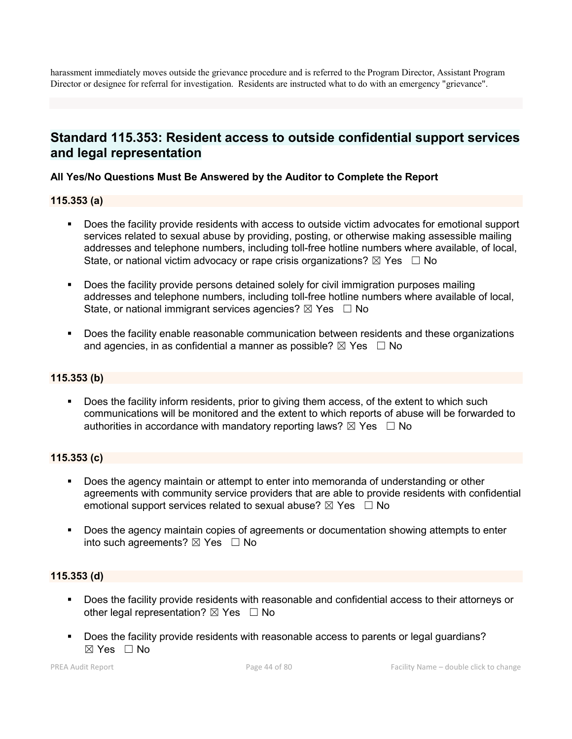harassment immediately moves outside the grievance procedure and is referred to the Program Director, Assistant Program Director or designee for referral for investigation. Residents are instructed what to do with an emergency "grievance".

## **Standard 115.353: Resident access to outside confidential support services and legal representation**

## **All Yes/No Questions Must Be Answered by the Auditor to Complete the Report**

## **115.353 (a)**

- Does the facility provide residents with access to outside victim advocates for emotional support services related to sexual abuse by providing, posting, or otherwise making assessible mailing addresses and telephone numbers, including toll-free hotline numbers where available, of local, State, or national victim advocacy or rape crisis organizations?  $\boxtimes$  Yes  $\Box$  No
- Does the facility provide persons detained solely for civil immigration purposes mailing addresses and telephone numbers, including toll-free hotline numbers where available of local, State, or national immigrant services agencies?  $\boxtimes$  Yes  $\Box$  No
- **Does the facility enable reasonable communication between residents and these organizations** and agencies, in as confidential a manner as possible?  $\boxtimes$  Yes  $\Box$  No

## **115.353 (b)**

 Does the facility inform residents, prior to giving them access, of the extent to which such communications will be monitored and the extent to which reports of abuse will be forwarded to authorities in accordance with mandatory reporting laws?  $\boxtimes$  Yes  $\Box$  No

#### **115.353 (c)**

- **Does the agency maintain or attempt to enter into memoranda of understanding or other** agreements with community service providers that are able to provide residents with confidential emotional support services related to sexual abuse?  $\boxtimes$  Yes  $\Box$  No
- Does the agency maintain copies of agreements or documentation showing attempts to enter into such agreements?  $\boxtimes$  Yes  $\Box$  No

## **115.353 (d)**

- Does the facility provide residents with reasonable and confidential access to their attorneys or other legal representation?  $\boxtimes$  Yes  $\Box$  No
- Does the facility provide residents with reasonable access to parents or legal guardians? ☒ Yes ☐ No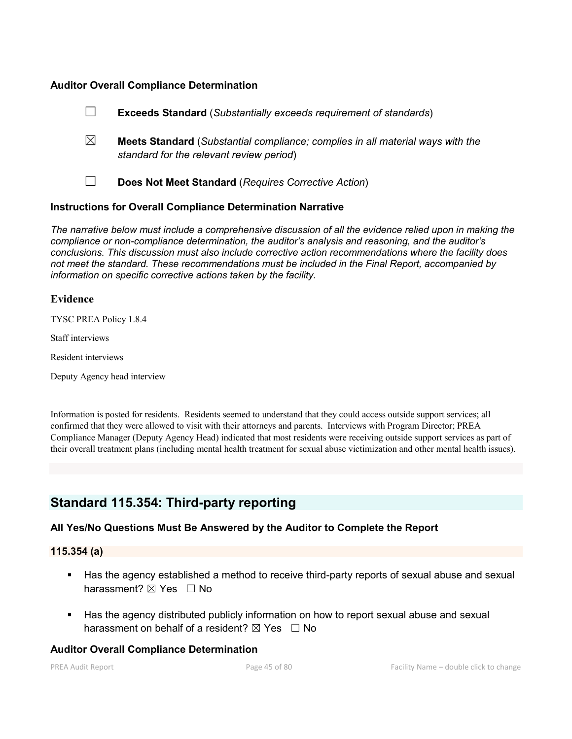### **Auditor Overall Compliance Determination**

|   | <b>Exceeds Standard</b> (Substantially exceeds requirement of standards)                                                          |
|---|-----------------------------------------------------------------------------------------------------------------------------------|
| ⊠ | <b>Meets Standard</b> (Substantial compliance; complies in all material ways with the<br>standard for the relevant review period) |
|   | Does Not Meet Standard (Requires Corrective Action)                                                                               |

### **Instructions for Overall Compliance Determination Narrative**

*The narrative below must include a comprehensive discussion of all the evidence relied upon in making the compliance or non-compliance determination, the auditor's analysis and reasoning, and the auditor's conclusions. This discussion must also include corrective action recommendations where the facility does not meet the standard. These recommendations must be included in the Final Report, accompanied by information on specific corrective actions taken by the facility.*

### **Evidence**

TYSC PREA Policy 1.8.4

Staff interviews

Resident interviews

Deputy Agency head interview

Information is posted for residents. Residents seemed to understand that they could access outside support services; all confirmed that they were allowed to visit with their attorneys and parents. Interviews with Program Director; PREA Compliance Manager (Deputy Agency Head) indicated that most residents were receiving outside support services as part of their overall treatment plans (including mental health treatment for sexual abuse victimization and other mental health issues).

## **Standard 115.354: Third-party reporting**

## **All Yes/No Questions Must Be Answered by the Auditor to Complete the Report**

#### **115.354 (a)**

- Has the agency established a method to receive third-party reports of sexual abuse and sexual harassment?  $\boxtimes$  Yes  $\Box$  No
- Has the agency distributed publicly information on how to report sexual abuse and sexual harassment on behalf of a resident?  $\boxtimes$  Yes  $\Box$  No

#### **Auditor Overall Compliance Determination**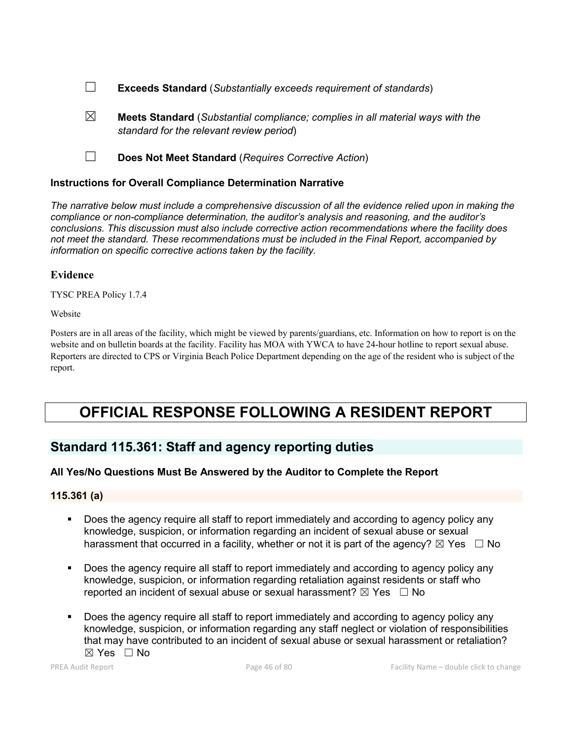- ☐ **Exceeds Standard** (*Substantially exceeds requirement of standards*)
- ☒ **Meets Standard** (*Substantial compliance; complies in all material ways with the standard for the relevant review period*)
- ☐ **Does Not Meet Standard** (*Requires Corrective Action*)

## **Instructions for Overall Compliance Determination Narrative**

*The narrative below must include a comprehensive discussion of all the evidence relied upon in making the compliance or non-compliance determination, the auditor's analysis and reasoning, and the auditor's conclusions. This discussion must also include corrective action recommendations where the facility does not meet the standard. These recommendations must be included in the Final Report, accompanied by information on specific corrective actions taken by the facility.*

## **Evidence**

TYSC PREA Policy 1.7.4

Website

Posters are in all areas of the facility, which might be viewed by parents/guardians, etc. Information on how to report is on the website and on bulletin boards at the facility. Facility has MOA with YWCA to have 24-hour hotline to report sexual abuse. Reporters are directed to CPS or Virginia Beach Police Department depending on the age of the resident who is subject of the report.

# **OFFICIAL RESPONSE FOLLOWING A RESIDENT REPORT**

## **Standard 115.361: Staff and agency reporting duties**

## **All Yes/No Questions Must Be Answered by the Auditor to Complete the Report**

## **115.361 (a)**

- Does the agency require all staff to report immediately and according to agency policy any knowledge, suspicion, or information regarding an incident of sexual abuse or sexual harassment that occurred in a facility, whether or not it is part of the agency?  $\boxtimes$  Yes  $\Box$  No
- Does the agency require all staff to report immediately and according to agency policy any knowledge, suspicion, or information regarding retaliation against residents or staff who reported an incident of sexual abuse or sexual harassment?  $\boxtimes$  Yes  $\Box$  No
- Does the agency require all staff to report immediately and according to agency policy any knowledge, suspicion, or information regarding any staff neglect or violation of responsibilities that may have contributed to an incident of sexual abuse or sexual harassment or retaliation?  $\boxtimes$  Yes  $\Box$  No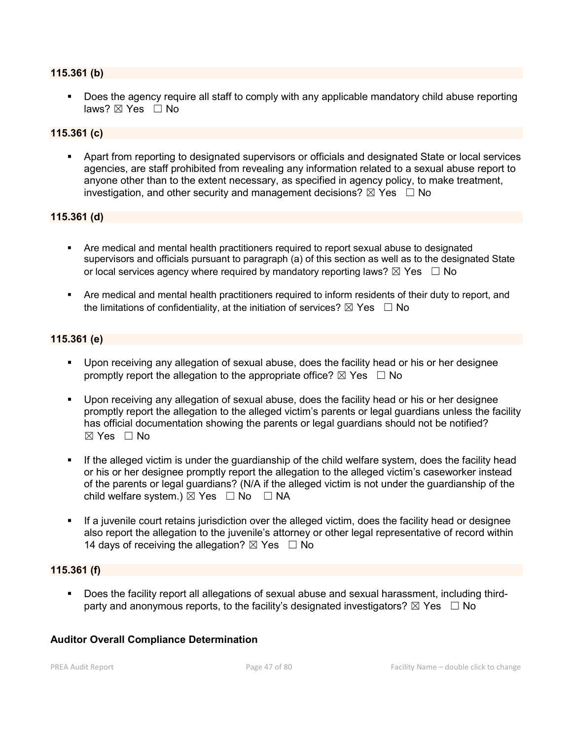#### **115.361 (b)**

**Does the agency require all staff to comply with any applicable mandatory child abuse reporting** laws?  $\boxtimes$  Yes  $\Box$  No

#### **115.361 (c)**

 Apart from reporting to designated supervisors or officials and designated State or local services agencies, are staff prohibited from revealing any information related to a sexual abuse report to anyone other than to the extent necessary, as specified in agency policy, to make treatment, investigation, and other security and management decisions?  $\boxtimes$  Yes  $\Box$  No

## **115.361 (d)**

- Are medical and mental health practitioners required to report sexual abuse to designated supervisors and officials pursuant to paragraph (a) of this section as well as to the designated State or local services agency where required by mandatory reporting laws?  $\boxtimes$  Yes  $\Box$  No
- Are medical and mental health practitioners required to inform residents of their duty to report, and the limitations of confidentiality, at the initiation of services?  $\boxtimes$  Yes  $\Box$  No

### **115.361 (e)**

- Upon receiving any allegation of sexual abuse, does the facility head or his or her designee promptly report the allegation to the appropriate office?  $\boxtimes$  Yes  $\Box$  No
- Upon receiving any allegation of sexual abuse, does the facility head or his or her designee promptly report the allegation to the alleged victim's parents or legal guardians unless the facility has official documentation showing the parents or legal guardians should not be notified? ☒ Yes ☐ No
- If the alleged victim is under the guardianship of the child welfare system, does the facility head or his or her designee promptly report the allegation to the alleged victim's caseworker instead of the parents or legal guardians? (N/A if the alleged victim is not under the guardianship of the child welfare system.)  $\boxtimes$  Yes  $\Box$  No  $\Box$  NA
- If a juvenile court retains jurisdiction over the alleged victim, does the facility head or designee also report the allegation to the juvenile's attorney or other legal representative of record within 14 days of receiving the allegation?  $\boxtimes$  Yes  $\Box$  No

#### **115.361 (f)**

 Does the facility report all allegations of sexual abuse and sexual harassment, including thirdparty and anonymous reports, to the facility's designated investigators?  $\boxtimes$  Yes  $\Box$  No

#### **Auditor Overall Compliance Determination**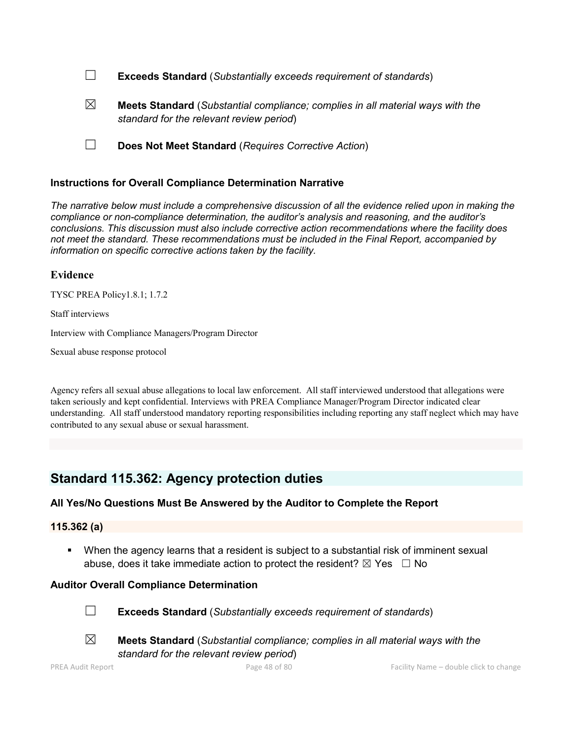| $\Box$ |  | <b>Exceeds Standard</b> (Substantially exceeds requirement of standards) |  |
|--------|--|--------------------------------------------------------------------------|--|
|--------|--|--------------------------------------------------------------------------|--|

☒ **Meets Standard** (*Substantial compliance; complies in all material ways with the standard for the relevant review period*)

☐ **Does Not Meet Standard** (*Requires Corrective Action*)

### **Instructions for Overall Compliance Determination Narrative**

*The narrative below must include a comprehensive discussion of all the evidence relied upon in making the compliance or non-compliance determination, the auditor's analysis and reasoning, and the auditor's conclusions. This discussion must also include corrective action recommendations where the facility does not meet the standard. These recommendations must be included in the Final Report, accompanied by information on specific corrective actions taken by the facility.*

#### **Evidence**

TYSC PREA Policy1.8.1; 1.7.2

Staff interviews

Interview with Compliance Managers/Program Director

Sexual abuse response protocol

Agency refers all sexual abuse allegations to local law enforcement. All staff interviewed understood that allegations were taken seriously and kept confidential. Interviews with PREA Compliance Manager/Program Director indicated clear understanding. All staff understood mandatory reporting responsibilities including reporting any staff neglect which may have contributed to any sexual abuse or sexual harassment.

## **Standard 115.362: Agency protection duties**

## **All Yes/No Questions Must Be Answered by the Auditor to Complete the Report**

**115.362 (a)**

 When the agency learns that a resident is subject to a substantial risk of imminent sexual abuse, does it take immediate action to protect the resident?  $\boxtimes$  Yes  $\Box$  No

## **Auditor Overall Compliance Determination**



☐ **Exceeds Standard** (*Substantially exceeds requirement of standards*)





☒ **Meets Standard** (*Substantial compliance; complies in all material ways with the standard for the relevant review period*)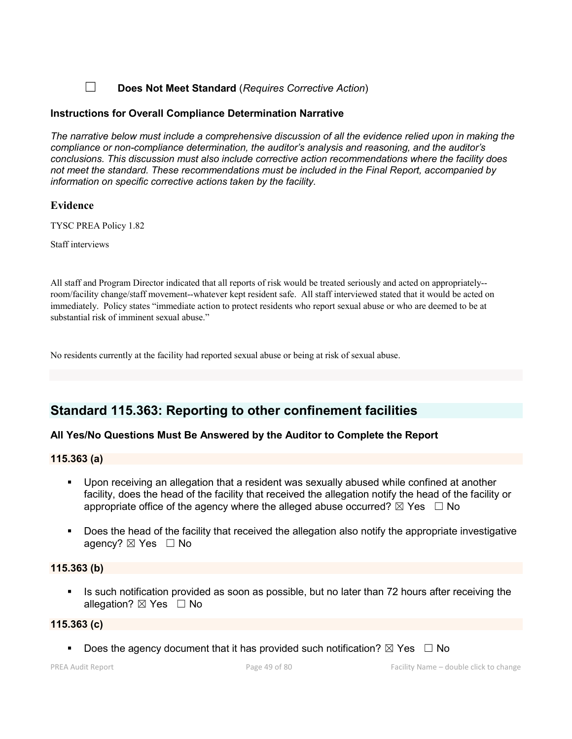## ☐ **Does Not Meet Standard** (*Requires Corrective Action*)

### **Instructions for Overall Compliance Determination Narrative**

*The narrative below must include a comprehensive discussion of all the evidence relied upon in making the compliance or non-compliance determination, the auditor's analysis and reasoning, and the auditor's conclusions. This discussion must also include corrective action recommendations where the facility does not meet the standard. These recommendations must be included in the Final Report, accompanied by information on specific corrective actions taken by the facility.*

### **Evidence**

TYSC PREA Policy 1.82

Staff interviews

All staff and Program Director indicated that all reports of risk would be treated seriously and acted on appropriately- room/facility change/staff movement--whatever kept resident safe. All staff interviewed stated that it would be acted on immediately. Policy states "immediate action to protect residents who report sexual abuse or who are deemed to be at substantial risk of imminent sexual abuse."

No residents currently at the facility had reported sexual abuse or being at risk of sexual abuse.

## **Standard 115.363: Reporting to other confinement facilities**

## **All Yes/No Questions Must Be Answered by the Auditor to Complete the Report**

#### **115.363 (a)**

- Upon receiving an allegation that a resident was sexually abused while confined at another facility, does the head of the facility that received the allegation notify the head of the facility or appropriate office of the agency where the alleged abuse occurred?  $\boxtimes$  Yes  $\Box$  No
- Does the head of the facility that received the allegation also notify the appropriate investigative agency?  $\boxtimes$  Yes  $\Box$  No

#### **115.363 (b)**

 Is such notification provided as soon as possible, but no later than 72 hours after receiving the allegation?  $\boxtimes$  Yes  $\Box$  No

#### **115.363 (c)**

Does the agency document that it has provided such notification?  $\boxtimes$  Yes  $\Box$  No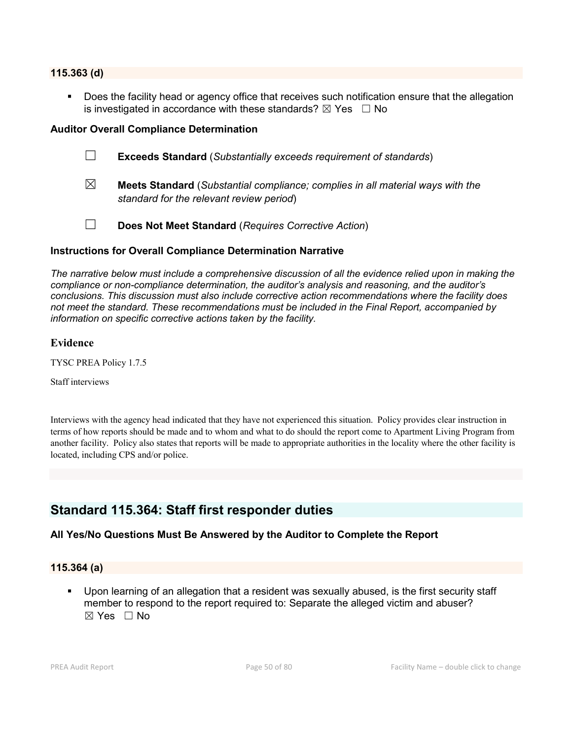#### **115.363 (d)**

 Does the facility head or agency office that receives such notification ensure that the allegation is investigated in accordance with these standards?  $\boxtimes$  Yes  $\Box$  No

#### **Auditor Overall Compliance Determination**

- ☐ **Exceeds Standard** (*Substantially exceeds requirement of standards*)
- ☒ **Meets Standard** (*Substantial compliance; complies in all material ways with the standard for the relevant review period*)
- ☐ **Does Not Meet Standard** (*Requires Corrective Action*)

### **Instructions for Overall Compliance Determination Narrative**

*The narrative below must include a comprehensive discussion of all the evidence relied upon in making the compliance or non-compliance determination, the auditor's analysis and reasoning, and the auditor's conclusions. This discussion must also include corrective action recommendations where the facility does not meet the standard. These recommendations must be included in the Final Report, accompanied by information on specific corrective actions taken by the facility.*

#### **Evidence**

TYSC PREA Policy 1.7.5

Staff interviews

Interviews with the agency head indicated that they have not experienced this situation. Policy provides clear instruction in terms of how reports should be made and to whom and what to do should the report come to Apartment Living Program from another facility. Policy also states that reports will be made to appropriate authorities in the locality where the other facility is located, including CPS and/or police.

## **Standard 115.364: Staff first responder duties**

#### **All Yes/No Questions Must Be Answered by the Auditor to Complete the Report**

#### **115.364 (a)**

 Upon learning of an allegation that a resident was sexually abused, is the first security staff member to respond to the report required to: Separate the alleged victim and abuser? ☒ Yes ☐ No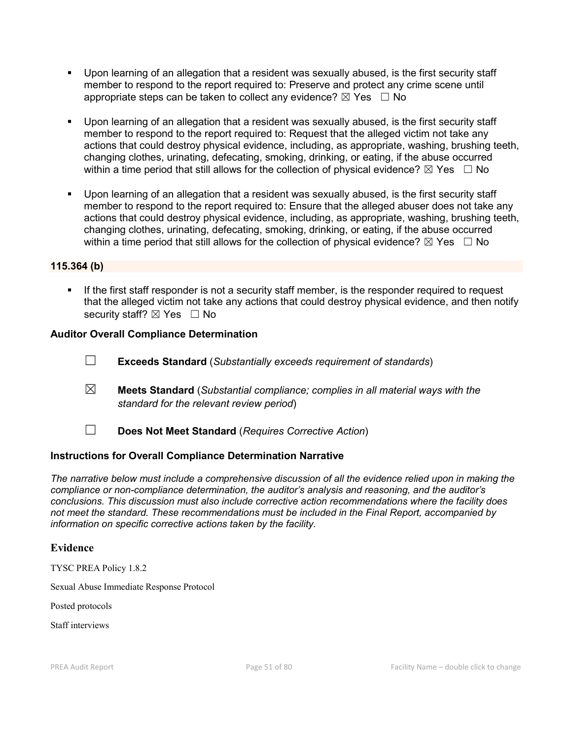- Upon learning of an allegation that a resident was sexually abused, is the first security staff member to respond to the report required to: Preserve and protect any crime scene until appropriate steps can be taken to collect any evidence?  $\boxtimes$  Yes  $\Box$  No
- Upon learning of an allegation that a resident was sexually abused, is the first security staff member to respond to the report required to: Request that the alleged victim not take any actions that could destroy physical evidence, including, as appropriate, washing, brushing teeth, changing clothes, urinating, defecating, smoking, drinking, or eating, if the abuse occurred within a time period that still allows for the collection of physical evidence?  $\boxtimes$  Yes  $\Box$  No
- Upon learning of an allegation that a resident was sexually abused, is the first security staff member to respond to the report required to: Ensure that the alleged abuser does not take any actions that could destroy physical evidence, including, as appropriate, washing, brushing teeth, changing clothes, urinating, defecating, smoking, drinking, or eating, if the abuse occurred within a time period that still allows for the collection of physical evidence?  $\boxtimes$  Yes  $\Box$  No

### **115.364 (b)**

 If the first staff responder is not a security staff member, is the responder required to request that the alleged victim not take any actions that could destroy physical evidence, and then notify security staff? ⊠ Yes □ No

### **Auditor Overall Compliance Determination**

- ☐ **Exceeds Standard** (*Substantially exceeds requirement of standards*)
- ☒ **Meets Standard** (*Substantial compliance; complies in all material ways with the standard for the relevant review period*)
- ☐ **Does Not Meet Standard** (*Requires Corrective Action*)

## **Instructions for Overall Compliance Determination Narrative**

*The narrative below must include a comprehensive discussion of all the evidence relied upon in making the compliance or non-compliance determination, the auditor's analysis and reasoning, and the auditor's conclusions. This discussion must also include corrective action recommendations where the facility does not meet the standard. These recommendations must be included in the Final Report, accompanied by information on specific corrective actions taken by the facility.*

#### **Evidence**

TYSC PREA Policy 1.8.2

Sexual Abuse Immediate Response Protocol

Posted protocols

Staff interviews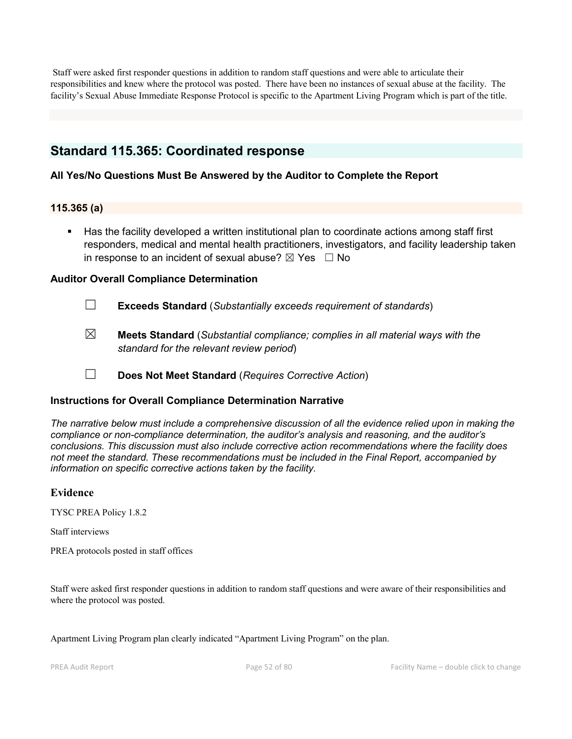Staff were asked first responder questions in addition to random staff questions and were able to articulate their responsibilities and knew where the protocol was posted. There have been no instances of sexual abuse at the facility. The facility's Sexual Abuse Immediate Response Protocol is specific to the Apartment Living Program which is part of the title.

## **Standard 115.365: Coordinated response**

## **All Yes/No Questions Must Be Answered by the Auditor to Complete the Report**

## **115.365 (a)**

 Has the facility developed a written institutional plan to coordinate actions among staff first responders, medical and mental health practitioners, investigators, and facility leadership taken in response to an incident of sexual abuse?  $\boxtimes$  Yes  $\Box$  No

## **Auditor Overall Compliance Determination**

- ☐ **Exceeds Standard** (*Substantially exceeds requirement of standards*)
- ☒ **Meets Standard** (*Substantial compliance; complies in all material ways with the standard for the relevant review period*)
- ☐ **Does Not Meet Standard** (*Requires Corrective Action*)

## **Instructions for Overall Compliance Determination Narrative**

*The narrative below must include a comprehensive discussion of all the evidence relied upon in making the compliance or non-compliance determination, the auditor's analysis and reasoning, and the auditor's conclusions. This discussion must also include corrective action recommendations where the facility does not meet the standard. These recommendations must be included in the Final Report, accompanied by information on specific corrective actions taken by the facility.*

## **Evidence**

TYSC PREA Policy 1.8.2

Staff interviews

PREA protocols posted in staff offices

Staff were asked first responder questions in addition to random staff questions and were aware of their responsibilities and where the protocol was posted.

Apartment Living Program plan clearly indicated "Apartment Living Program" on the plan.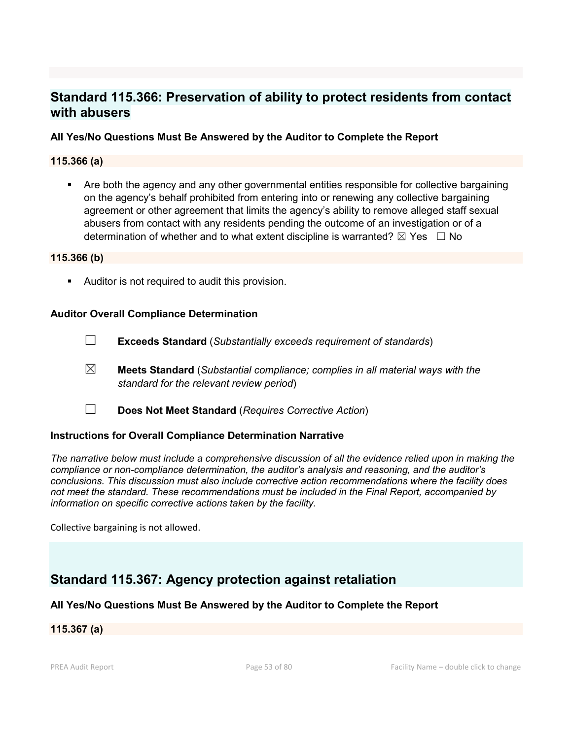## **Standard 115.366: Preservation of ability to protect residents from contact with abusers**

## **All Yes/No Questions Must Be Answered by the Auditor to Complete the Report**

### **115.366 (a)**

 Are both the agency and any other governmental entities responsible for collective bargaining on the agency's behalf prohibited from entering into or renewing any collective bargaining agreement or other agreement that limits the agency's ability to remove alleged staff sexual abusers from contact with any residents pending the outcome of an investigation or of a determination of whether and to what extent discipline is warranted?  $\boxtimes$  Yes  $\Box$  No

#### **115.366 (b)**

Auditor is not required to audit this provision.

#### **Auditor Overall Compliance Determination**

- ☐ **Exceeds Standard** (*Substantially exceeds requirement of standards*)
- ☒ **Meets Standard** (*Substantial compliance; complies in all material ways with the standard for the relevant review period*)
- ☐ **Does Not Meet Standard** (*Requires Corrective Action*)

#### **Instructions for Overall Compliance Determination Narrative**

*The narrative below must include a comprehensive discussion of all the evidence relied upon in making the compliance or non-compliance determination, the auditor's analysis and reasoning, and the auditor's conclusions. This discussion must also include corrective action recommendations where the facility does not meet the standard. These recommendations must be included in the Final Report, accompanied by information on specific corrective actions taken by the facility.*

Collective bargaining is not allowed.

## **Standard 115.367: Agency protection against retaliation**

#### **All Yes/No Questions Must Be Answered by the Auditor to Complete the Report**

#### **115.367 (a)**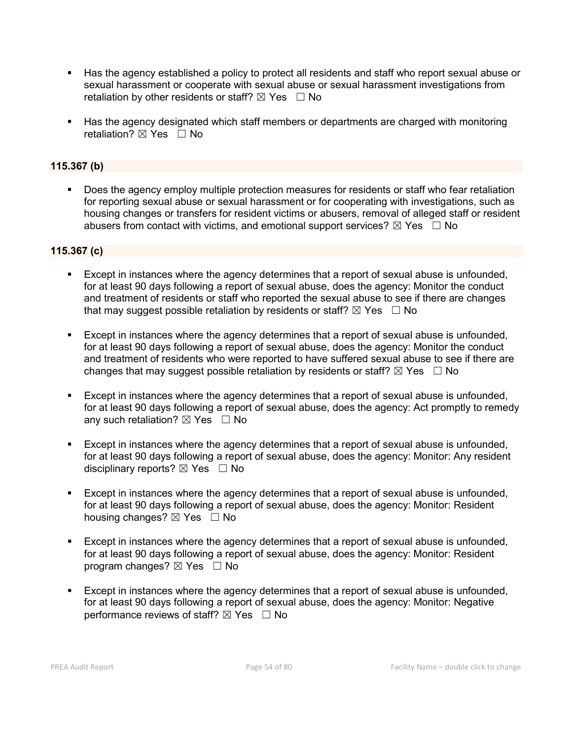- Has the agency established a policy to protect all residents and staff who report sexual abuse or sexual harassment or cooperate with sexual abuse or sexual harassment investigations from retaliation by other residents or staff?  $\boxtimes$  Yes  $\Box$  No
- Has the agency designated which staff members or departments are charged with monitoring retaliation?  $\boxtimes$  Yes  $\Box$  No

## **115.367 (b)**

 Does the agency employ multiple protection measures for residents or staff who fear retaliation for reporting sexual abuse or sexual harassment or for cooperating with investigations, such as housing changes or transfers for resident victims or abusers, removal of alleged staff or resident abusers from contact with victims, and emotional support services?  $\boxtimes$  Yes  $\Box$  No

### **115.367 (c)**

- Except in instances where the agency determines that a report of sexual abuse is unfounded, for at least 90 days following a report of sexual abuse, does the agency: Monitor the conduct and treatment of residents or staff who reported the sexual abuse to see if there are changes that may suggest possible retaliation by residents or staff?  $\boxtimes$  Yes  $\Box$  No
- Except in instances where the agency determines that a report of sexual abuse is unfounded, for at least 90 days following a report of sexual abuse, does the agency: Monitor the conduct and treatment of residents who were reported to have suffered sexual abuse to see if there are changes that may suggest possible retaliation by residents or staff?  $\boxtimes$  Yes  $\Box$  No
- Except in instances where the agency determines that a report of sexual abuse is unfounded, for at least 90 days following a report of sexual abuse, does the agency: Act promptly to remedy any such retaliation?  $\boxtimes$  Yes  $\Box$  No
- Except in instances where the agency determines that a report of sexual abuse is unfounded, for at least 90 days following a report of sexual abuse, does the agency: Monitor: Any resident disciplinary reports?  $\boxtimes$  Yes  $\Box$  No
- Except in instances where the agency determines that a report of sexual abuse is unfounded, for at least 90 days following a report of sexual abuse, does the agency: Monitor: Resident housing changes? ⊠ Yes □ No
- Except in instances where the agency determines that a report of sexual abuse is unfounded, for at least 90 days following a report of sexual abuse, does the agency: Monitor: Resident program changes?  $\boxtimes$  Yes  $\Box$  No
- Except in instances where the agency determines that a report of sexual abuse is unfounded, for at least 90 days following a report of sexual abuse, does the agency: Monitor: Negative performance reviews of staff?  $\boxtimes$  Yes  $\Box$  No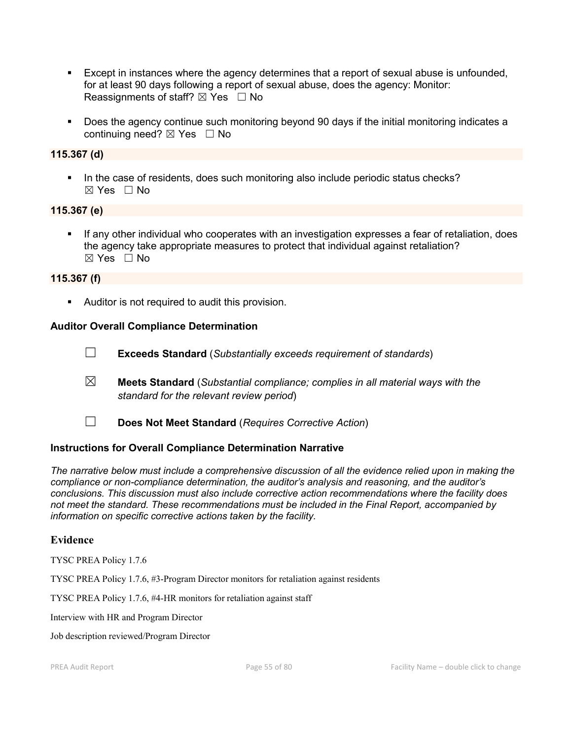- Except in instances where the agency determines that a report of sexual abuse is unfounded, for at least 90 days following a report of sexual abuse, does the agency: Monitor: Reassignments of staff?  $\boxtimes$  Yes  $\Box$  No
- Does the agency continue such monitoring beyond 90 days if the initial monitoring indicates a continuing need?  $\boxtimes$  Yes  $\Box$  No

### **115.367 (d)**

In the case of residents, does such monitoring also include periodic status checks?  $\boxtimes$  Yes  $\Box$  No

#### **115.367 (e)**

 If any other individual who cooperates with an investigation expresses a fear of retaliation, does the agency take appropriate measures to protect that individual against retaliation? ☒ Yes ☐ No

#### **115.367 (f)**

Auditor is not required to audit this provision.

#### **Auditor Overall Compliance Determination**

- ☐ **Exceeds Standard** (*Substantially exceeds requirement of standards*)
- ☒ **Meets Standard** (*Substantial compliance; complies in all material ways with the standard for the relevant review period*)
- ☐ **Does Not Meet Standard** (*Requires Corrective Action*)

#### **Instructions for Overall Compliance Determination Narrative**

*The narrative below must include a comprehensive discussion of all the evidence relied upon in making the compliance or non-compliance determination, the auditor's analysis and reasoning, and the auditor's conclusions. This discussion must also include corrective action recommendations where the facility does not meet the standard. These recommendations must be included in the Final Report, accompanied by information on specific corrective actions taken by the facility.*

#### **Evidence**

TYSC PREA Policy 1.7.6

TYSC PREA Policy 1.7.6, #3-Program Director monitors for retaliation against residents

TYSC PREA Policy 1.7.6, #4-HR monitors for retaliation against staff

Interview with HR and Program Director

Job description reviewed/Program Director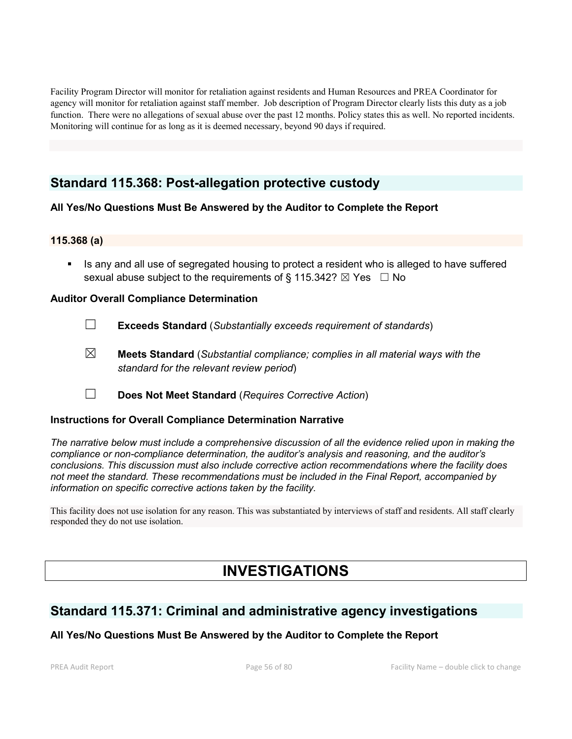Facility Program Director will monitor for retaliation against residents and Human Resources and PREA Coordinator for agency will monitor for retaliation against staff member. Job description of Program Director clearly lists this duty as a job function. There were no allegations of sexual abuse over the past 12 months. Policy states this as well. No reported incidents. Monitoring will continue for as long as it is deemed necessary, beyond 90 days if required.

## **Standard 115.368: Post-allegation protective custody**

## **All Yes/No Questions Must Be Answered by the Auditor to Complete the Report**

### **115.368 (a)**

 Is any and all use of segregated housing to protect a resident who is alleged to have suffered sexual abuse subject to the requirements of § 115.342?  $\boxtimes$  Yes  $\Box$  No

### **Auditor Overall Compliance Determination**

- ☐ **Exceeds Standard** (*Substantially exceeds requirement of standards*)
- ☒ **Meets Standard** (*Substantial compliance; complies in all material ways with the standard for the relevant review period*)
- ☐ **Does Not Meet Standard** (*Requires Corrective Action*)

#### **Instructions for Overall Compliance Determination Narrative**

*The narrative below must include a comprehensive discussion of all the evidence relied upon in making the compliance or non-compliance determination, the auditor's analysis and reasoning, and the auditor's conclusions. This discussion must also include corrective action recommendations where the facility does not meet the standard. These recommendations must be included in the Final Report, accompanied by information on specific corrective actions taken by the facility.*

This facility does not use isolation for any reason. This was substantiated by interviews of staff and residents. All staff clearly responded they do not use isolation.

## **INVESTIGATIONS**

## **Standard 115.371: Criminal and administrative agency investigations**

## **All Yes/No Questions Must Be Answered by the Auditor to Complete the Report**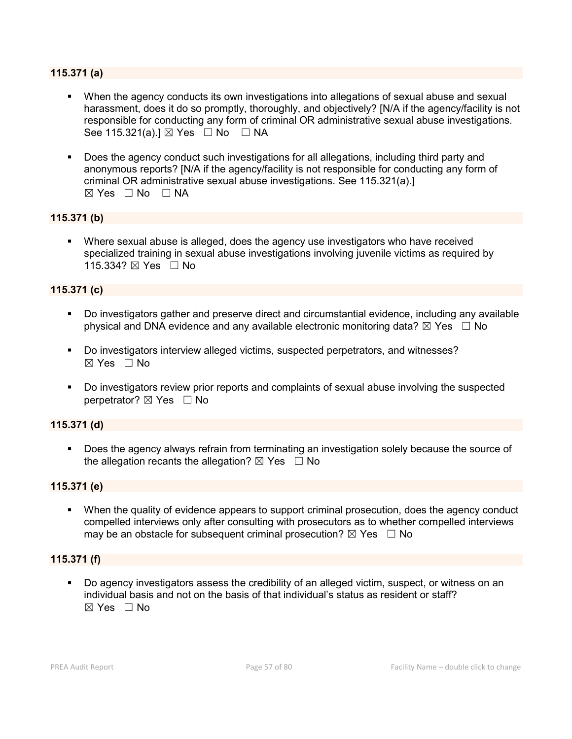### **115.371 (a)**

- When the agency conducts its own investigations into allegations of sexual abuse and sexual harassment, does it do so promptly, thoroughly, and objectively? [N/A if the agency/facility is not responsible for conducting any form of criminal OR administrative sexual abuse investigations. See 115.321(a).]  $\boxtimes$  Yes  $\Box$  No  $\Box$  NA
- Does the agency conduct such investigations for all allegations, including third party and anonymous reports? [N/A if the agency/facility is not responsible for conducting any form of criminal OR administrative sexual abuse investigations. See 115.321(a).]  $\boxtimes$  Yes  $\Box$  No  $\Box$  NA

## **115.371 (b)**

 Where sexual abuse is alleged, does the agency use investigators who have received specialized training in sexual abuse investigations involving juvenile victims as required by 115.334? ⊠ Yes □ No

#### **115.371 (c)**

- Do investigators gather and preserve direct and circumstantial evidence, including any available physical and DNA evidence and any available electronic monitoring data?  $\boxtimes$  Yes  $\Box$  No
- Do investigators interview alleged victims, suspected perpetrators, and witnesses?  $\boxtimes$  Yes  $\Box$  No
- Do investigators review prior reports and complaints of sexual abuse involving the suspected perpetrator? ⊠ Yes □ No

#### **115.371 (d)**

 Does the agency always refrain from terminating an investigation solely because the source of the allegation recants the allegation?  $\boxtimes$  Yes  $\Box$  No

#### **115.371 (e)**

 When the quality of evidence appears to support criminal prosecution, does the agency conduct compelled interviews only after consulting with prosecutors as to whether compelled interviews may be an obstacle for subsequent criminal prosecution?  $\boxtimes$  Yes  $\Box$  No

### **115.371 (f)**

 Do agency investigators assess the credibility of an alleged victim, suspect, or witness on an individual basis and not on the basis of that individual's status as resident or staff?  $\boxtimes$  Yes  $\Box$  No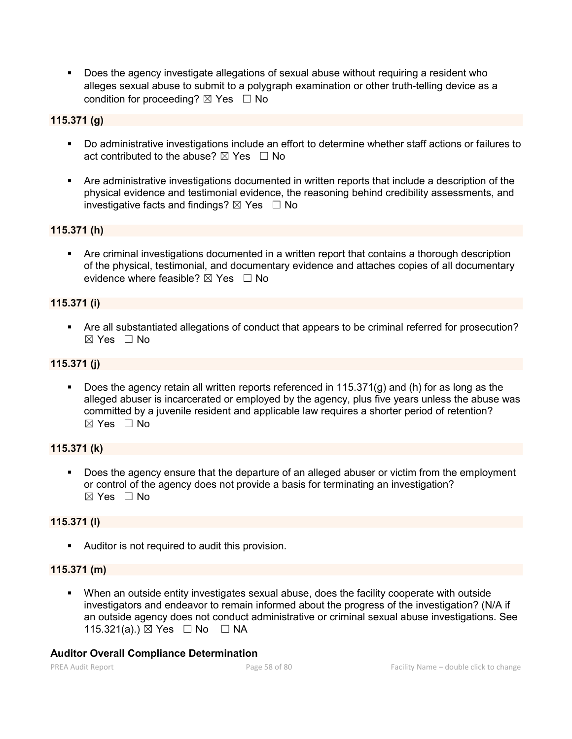Does the agency investigate allegations of sexual abuse without requiring a resident who alleges sexual abuse to submit to a polygraph examination or other truth-telling device as a condition for proceeding?  $\boxtimes$  Yes  $\Box$  No

## **115.371 (g)**

- Do administrative investigations include an effort to determine whether staff actions or failures to act contributed to the abuse?  $\boxtimes$  Yes  $\Box$  No
- Are administrative investigations documented in written reports that include a description of the physical evidence and testimonial evidence, the reasoning behind credibility assessments, and investigative facts and findings?  $\boxtimes$  Yes  $\Box$  No

## **115.371 (h)**

 Are criminal investigations documented in a written report that contains a thorough description of the physical, testimonial, and documentary evidence and attaches copies of all documentary evidence where feasible?  $\boxtimes$  Yes  $\Box$  No

## **115.371 (i)**

 Are all substantiated allegations of conduct that appears to be criminal referred for prosecution? ☒ Yes ☐ No

## **115.371 (j)**

 Does the agency retain all written reports referenced in 115.371(g) and (h) for as long as the alleged abuser is incarcerated or employed by the agency, plus five years unless the abuse was committed by a juvenile resident and applicable law requires a shorter period of retention?  $\boxtimes$  Yes  $\Box$  No

## **115.371 (k)**

Does the agency ensure that the departure of an alleged abuser or victim from the employment or control of the agency does not provide a basis for terminating an investigation? ☒ Yes ☐ No

## **115.371 (l)**

Auditor is not required to audit this provision.

## **115.371 (m)**

 When an outside entity investigates sexual abuse, does the facility cooperate with outside investigators and endeavor to remain informed about the progress of the investigation? (N/A if an outside agency does not conduct administrative or criminal sexual abuse investigations. See 115.321(a).)  $\boxtimes$  Yes  $\Box$  No  $\Box$  NA

#### **Auditor Overall Compliance Determination**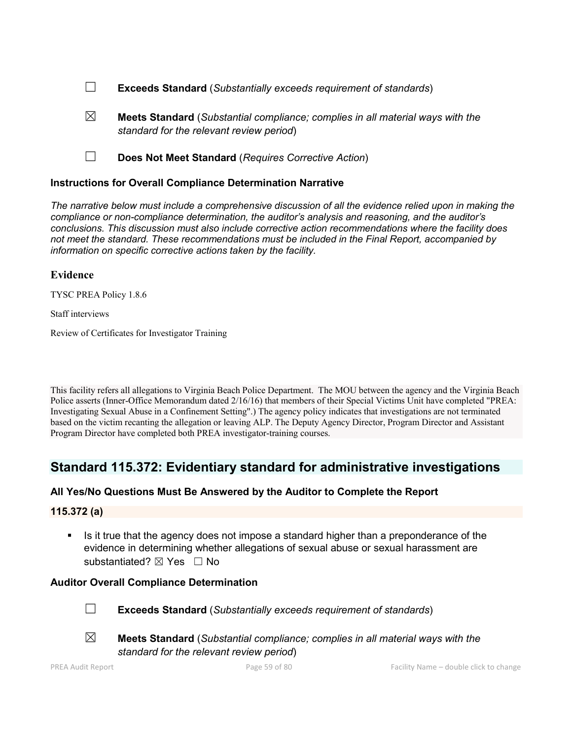- ☐ **Exceeds Standard** (*Substantially exceeds requirement of standards*)
- ☒ **Meets Standard** (*Substantial compliance; complies in all material ways with the standard for the relevant review period*)
- ☐ **Does Not Meet Standard** (*Requires Corrective Action*)

### **Instructions for Overall Compliance Determination Narrative**

*The narrative below must include a comprehensive discussion of all the evidence relied upon in making the compliance or non-compliance determination, the auditor's analysis and reasoning, and the auditor's conclusions. This discussion must also include corrective action recommendations where the facility does not meet the standard. These recommendations must be included in the Final Report, accompanied by information on specific corrective actions taken by the facility.*

#### **Evidence**

TYSC PREA Policy 1.8.6

Staff interviews

Review of Certificates for Investigator Training

This facility refers all allegations to Virginia Beach Police Department. The MOU between the agency and the Virginia Beach Police asserts (Inner-Office Memorandum dated 2/16/16) that members of their Special Victims Unit have completed "PREA: Investigating Sexual Abuse in a Confinement Setting".) The agency policy indicates that investigations are not terminated based on the victim recanting the allegation or leaving ALP. The Deputy Agency Director, Program Director and Assistant Program Director have completed both PREA investigator-training courses.

## **Standard 115.372: Evidentiary standard for administrative investigations**

## **All Yes/No Questions Must Be Answered by the Auditor to Complete the Report**

**115.372 (a)**

Is it true that the agency does not impose a standard higher than a preponderance of the evidence in determining whether allegations of sexual abuse or sexual harassment are substantiated? ⊠ Yes □ No

## **Auditor Overall Compliance Determination**



☐ **Exceeds Standard** (*Substantially exceeds requirement of standards*)



☒ **Meets Standard** (*Substantial compliance; complies in all material ways with the standard for the relevant review period*)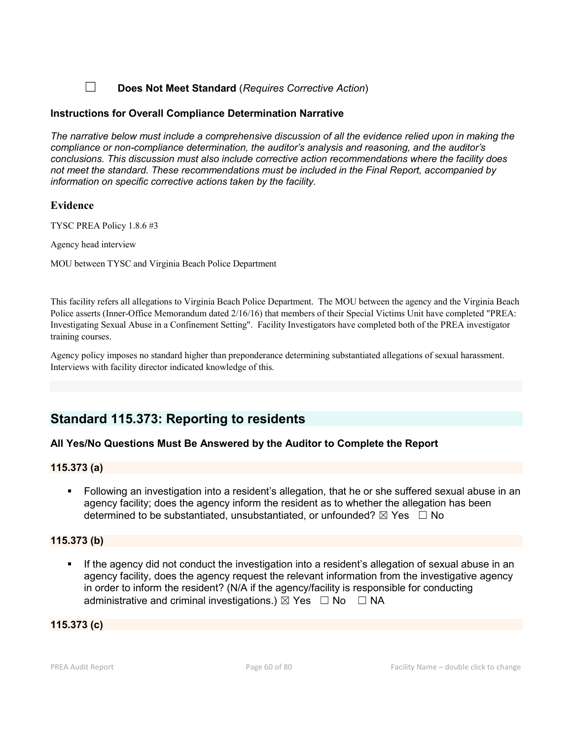☐ **Does Not Meet Standard** (*Requires Corrective Action*)

## **Instructions for Overall Compliance Determination Narrative**

*The narrative below must include a comprehensive discussion of all the evidence relied upon in making the compliance or non-compliance determination, the auditor's analysis and reasoning, and the auditor's conclusions. This discussion must also include corrective action recommendations where the facility does not meet the standard. These recommendations must be included in the Final Report, accompanied by information on specific corrective actions taken by the facility.*

## **Evidence**

TYSC PREA Policy 1.8.6 #3

Agency head interview

MOU between TYSC and Virginia Beach Police Department

This facility refers all allegations to Virginia Beach Police Department. The MOU between the agency and the Virginia Beach Police asserts (Inner-Office Memorandum dated 2/16/16) that members of their Special Victims Unit have completed "PREA: Investigating Sexual Abuse in a Confinement Setting". Facility Investigators have completed both of the PREA investigator training courses.

Agency policy imposes no standard higher than preponderance determining substantiated allegations of sexual harassment. Interviews with facility director indicated knowledge of this.

## **Standard 115.373: Reporting to residents**

## **All Yes/No Questions Must Be Answered by the Auditor to Complete the Report**

## **115.373 (a)**

 Following an investigation into a resident's allegation, that he or she suffered sexual abuse in an agency facility; does the agency inform the resident as to whether the allegation has been determined to be substantiated, unsubstantiated, or unfounded?  $\boxtimes$  Yes  $\Box$  No

## **115.373 (b)**

 If the agency did not conduct the investigation into a resident's allegation of sexual abuse in an agency facility, does the agency request the relevant information from the investigative agency in order to inform the resident? (N/A if the agency/facility is responsible for conducting administrative and criminal investigations.)  $\boxtimes$  Yes  $\Box$  No  $\Box$  NA

## **115.373 (c)**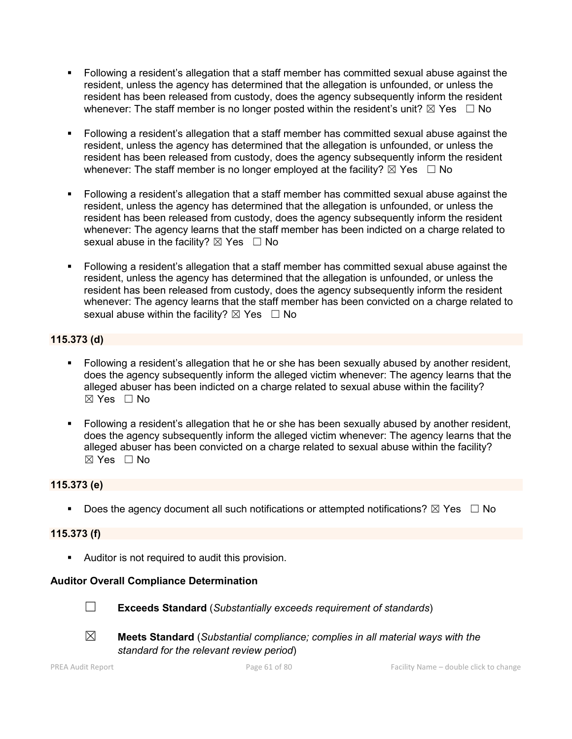- Following a resident's allegation that a staff member has committed sexual abuse against the resident, unless the agency has determined that the allegation is unfounded, or unless the resident has been released from custody, does the agency subsequently inform the resident whenever: The staff member is no longer posted within the resident's unit?  $\boxtimes$  Yes  $\Box$  No
- Following a resident's allegation that a staff member has committed sexual abuse against the resident, unless the agency has determined that the allegation is unfounded, or unless the resident has been released from custody, does the agency subsequently inform the resident whenever: The staff member is no longer employed at the facility?  $\boxtimes$  Yes  $\Box$  No
- Following a resident's allegation that a staff member has committed sexual abuse against the resident, unless the agency has determined that the allegation is unfounded, or unless the resident has been released from custody, does the agency subsequently inform the resident whenever: The agency learns that the staff member has been indicted on a charge related to sexual abuse in the facility?  $\boxtimes$  Yes  $\Box$  No
- Following a resident's allegation that a staff member has committed sexual abuse against the resident, unless the agency has determined that the allegation is unfounded, or unless the resident has been released from custody, does the agency subsequently inform the resident whenever: The agency learns that the staff member has been convicted on a charge related to sexual abuse within the facility?  $\boxtimes$  Yes  $\Box$  No

## **115.373 (d)**

- Following a resident's allegation that he or she has been sexually abused by another resident, does the agency subsequently inform the alleged victim whenever: The agency learns that the alleged abuser has been indicted on a charge related to sexual abuse within the facility?  $\boxtimes$  Yes  $\Box$  No
- Following a resident's allegation that he or she has been sexually abused by another resident, does the agency subsequently inform the alleged victim whenever: The agency learns that the alleged abuser has been convicted on a charge related to sexual abuse within the facility? ☒ Yes ☐ No

## **115.373 (e)**

Does the agency document all such notifications or attempted notifications?  $\boxtimes$  Yes  $\Box$  No

## **115.373 (f)**

Auditor is not required to audit this provision.

## **Auditor Overall Compliance Determination**



☐ **Exceeds Standard** (*Substantially exceeds requirement of standards*)





☒ **Meets Standard** (*Substantial compliance; complies in all material ways with the standard for the relevant review period*)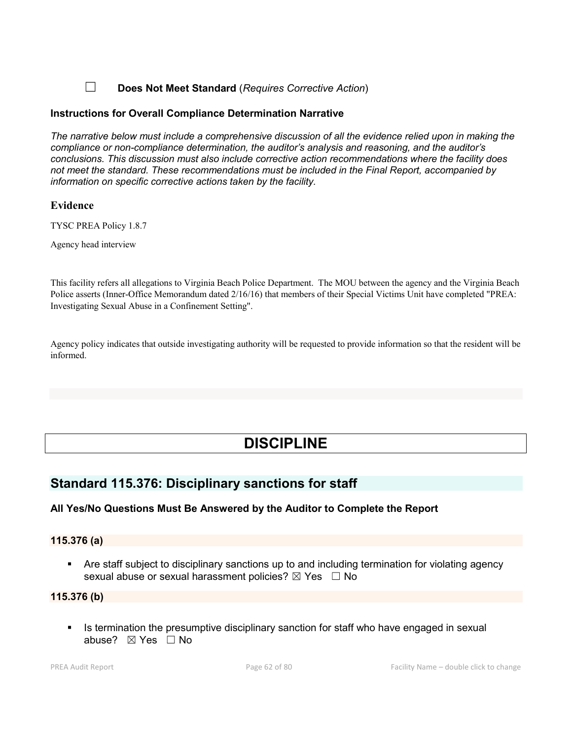## ☐ **Does Not Meet Standard** (*Requires Corrective Action*)

### **Instructions for Overall Compliance Determination Narrative**

*The narrative below must include a comprehensive discussion of all the evidence relied upon in making the compliance or non-compliance determination, the auditor's analysis and reasoning, and the auditor's conclusions. This discussion must also include corrective action recommendations where the facility does not meet the standard. These recommendations must be included in the Final Report, accompanied by information on specific corrective actions taken by the facility.*

### **Evidence**

TYSC PREA Policy 1.8.7

Agency head interview

This facility refers all allegations to Virginia Beach Police Department. The MOU between the agency and the Virginia Beach Police asserts (Inner-Office Memorandum dated 2/16/16) that members of their Special Victims Unit have completed "PREA: Investigating Sexual Abuse in a Confinement Setting".

Agency policy indicates that outside investigating authority will be requested to provide information so that the resident will be informed.

# **DISCIPLINE**

## **Standard 115.376: Disciplinary sanctions for staff**

## **All Yes/No Questions Must Be Answered by the Auditor to Complete the Report**

## **115.376 (a)**

 Are staff subject to disciplinary sanctions up to and including termination for violating agency sexual abuse or sexual harassment policies?  $\boxtimes$  Yes  $\Box$  No

#### **115.376 (b)**

Is termination the presumptive disciplinary sanction for staff who have engaged in sexual abuse? ☒ Yes ☐ No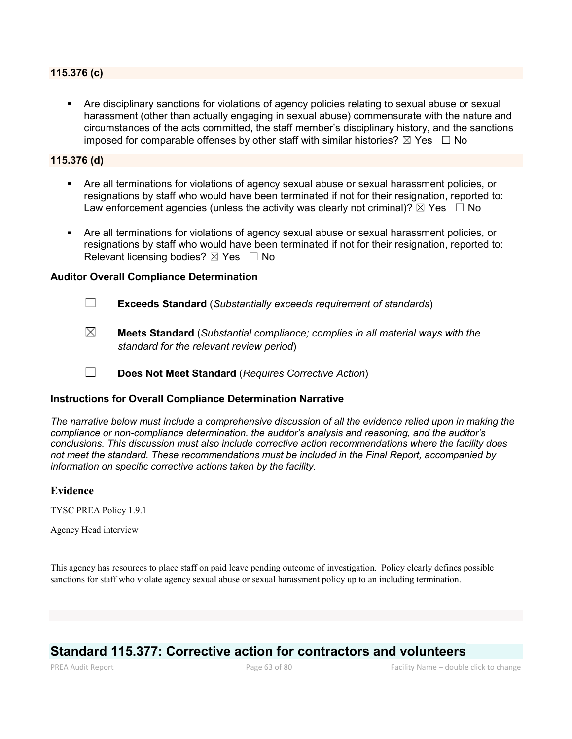#### **115.376 (c)**

 Are disciplinary sanctions for violations of agency policies relating to sexual abuse or sexual harassment (other than actually engaging in sexual abuse) commensurate with the nature and circumstances of the acts committed, the staff member's disciplinary history, and the sanctions imposed for comparable offenses by other staff with similar histories?  $\boxtimes$  Yes  $\Box$  No

### **115.376 (d)**

- Are all terminations for violations of agency sexual abuse or sexual harassment policies, or resignations by staff who would have been terminated if not for their resignation, reported to: Law enforcement agencies (unless the activity was clearly not criminal)?  $\boxtimes$  Yes  $\Box$  No
- Are all terminations for violations of agency sexual abuse or sexual harassment policies, or resignations by staff who would have been terminated if not for their resignation, reported to: Relevant licensing bodies?  $\boxtimes$  Yes  $\Box$  No

#### **Auditor Overall Compliance Determination**

- ☐ **Exceeds Standard** (*Substantially exceeds requirement of standards*)
- ☒ **Meets Standard** (*Substantial compliance; complies in all material ways with the standard for the relevant review period*)
- ☐ **Does Not Meet Standard** (*Requires Corrective Action*)

#### **Instructions for Overall Compliance Determination Narrative**

*The narrative below must include a comprehensive discussion of all the evidence relied upon in making the compliance or non-compliance determination, the auditor's analysis and reasoning, and the auditor's conclusions. This discussion must also include corrective action recommendations where the facility does not meet the standard. These recommendations must be included in the Final Report, accompanied by information on specific corrective actions taken by the facility.*

#### **Evidence**

TYSC PREA Policy 1.9.1

Agency Head interview

This agency has resources to place staff on paid leave pending outcome of investigation. Policy clearly defines possible sanctions for staff who violate agency sexual abuse or sexual harassment policy up to an including termination.

## **Standard 115.377: Corrective action for contractors and volunteers**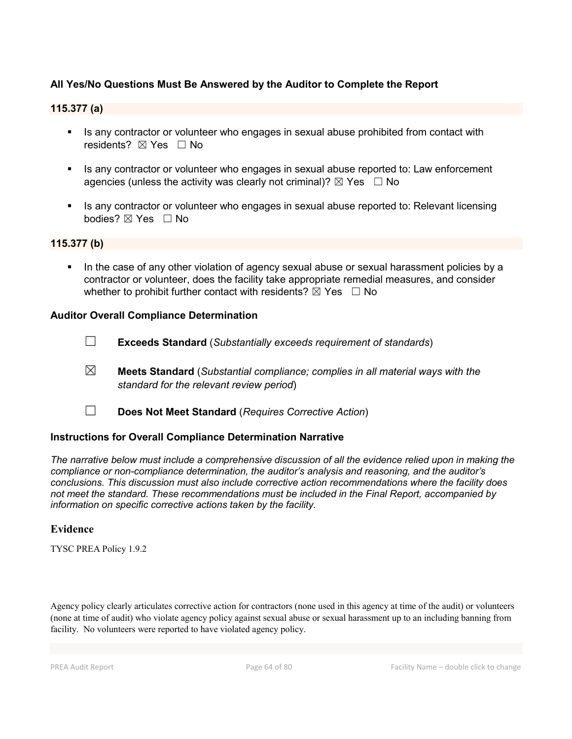## **All Yes/No Questions Must Be Answered by the Auditor to Complete the Report**

## **115.377 (a)**

- Is any contractor or volunteer who engages in sexual abuse prohibited from contact with residents? ⊠ Yes □ No
- Is any contractor or volunteer who engages in sexual abuse reported to: Law enforcement agencies (unless the activity was clearly not criminal)?  $\boxtimes$  Yes  $\Box$  No
- Is any contractor or volunteer who engages in sexual abuse reported to: Relevant licensing bodies? ⊠ Yes □ No

#### **115.377 (b)**

 In the case of any other violation of agency sexual abuse or sexual harassment policies by a contractor or volunteer, does the facility take appropriate remedial measures, and consider whether to prohibit further contact with residents?  $\boxtimes$  Yes  $\Box$  No

#### **Auditor Overall Compliance Determination**

- ☐ **Exceeds Standard** (*Substantially exceeds requirement of standards*)
- ☒ **Meets Standard** (*Substantial compliance; complies in all material ways with the standard for the relevant review period*)
- ☐ **Does Not Meet Standard** (*Requires Corrective Action*)

#### **Instructions for Overall Compliance Determination Narrative**

*The narrative below must include a comprehensive discussion of all the evidence relied upon in making the compliance or non-compliance determination, the auditor's analysis and reasoning, and the auditor's conclusions. This discussion must also include corrective action recommendations where the facility does not meet the standard. These recommendations must be included in the Final Report, accompanied by information on specific corrective actions taken by the facility.*

#### **Evidence**

TYSC PREA Policy 1.9.2

Agency policy clearly articulates corrective action for contractors (none used in this agency at time of the audit) or volunteers (none at time of audit) who violate agency policy against sexual abuse or sexual harassment up to an including banning from facility. No volunteers were reported to have violated agency policy.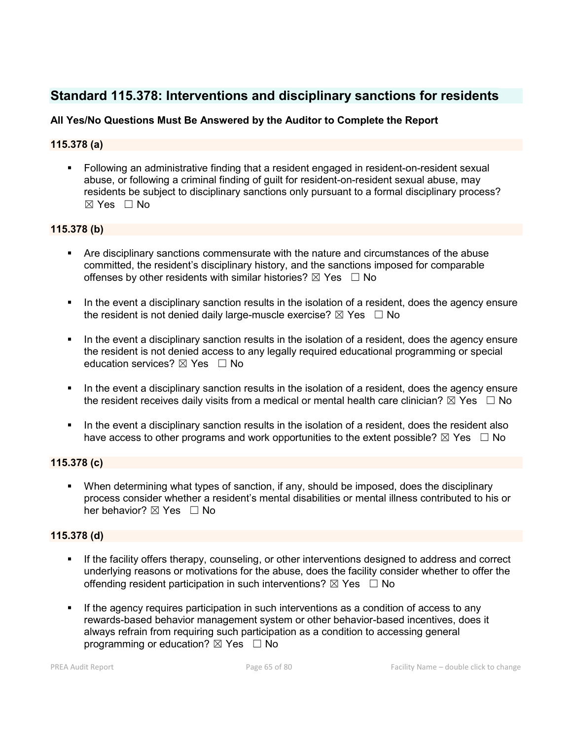## **Standard 115.378: Interventions and disciplinary sanctions for residents**

## **All Yes/No Questions Must Be Answered by the Auditor to Complete the Report**

## **115.378 (a)**

 Following an administrative finding that a resident engaged in resident-on-resident sexual abuse, or following a criminal finding of guilt for resident-on-resident sexual abuse, may residents be subject to disciplinary sanctions only pursuant to a formal disciplinary process? ☒ Yes ☐ No

## **115.378 (b)**

- Are disciplinary sanctions commensurate with the nature and circumstances of the abuse committed, the resident's disciplinary history, and the sanctions imposed for comparable offenses by other residents with similar histories?  $\boxtimes$  Yes  $\Box$  No
- In the event a disciplinary sanction results in the isolation of a resident, does the agency ensure the resident is not denied daily large-muscle exercise?  $\boxtimes$  Yes  $\Box$  No
- In the event a disciplinary sanction results in the isolation of a resident, does the agency ensure the resident is not denied access to any legally required educational programming or special education services?  $\boxtimes$  Yes  $\Box$  No
- In the event a disciplinary sanction results in the isolation of a resident, does the agency ensure the resident receives daily visits from a medical or mental health care clinician?  $\boxtimes$  Yes  $\Box$  No
- In the event a disciplinary sanction results in the isolation of a resident, does the resident also have access to other programs and work opportunities to the extent possible?  $\boxtimes$  Yes  $\Box$  No

## **115.378 (c)**

 When determining what types of sanction, if any, should be imposed, does the disciplinary process consider whether a resident's mental disabilities or mental illness contributed to his or her behavior?  $\boxtimes$  Yes  $\Box$  No

## **115.378 (d)**

- If the facility offers therapy, counseling, or other interventions designed to address and correct underlying reasons or motivations for the abuse, does the facility consider whether to offer the offending resident participation in such interventions?  $\boxtimes$  Yes  $\Box$  No
- If the agency requires participation in such interventions as a condition of access to any rewards-based behavior management system or other behavior-based incentives, does it always refrain from requiring such participation as a condition to accessing general programming or education?  $\boxtimes$  Yes  $\Box$  No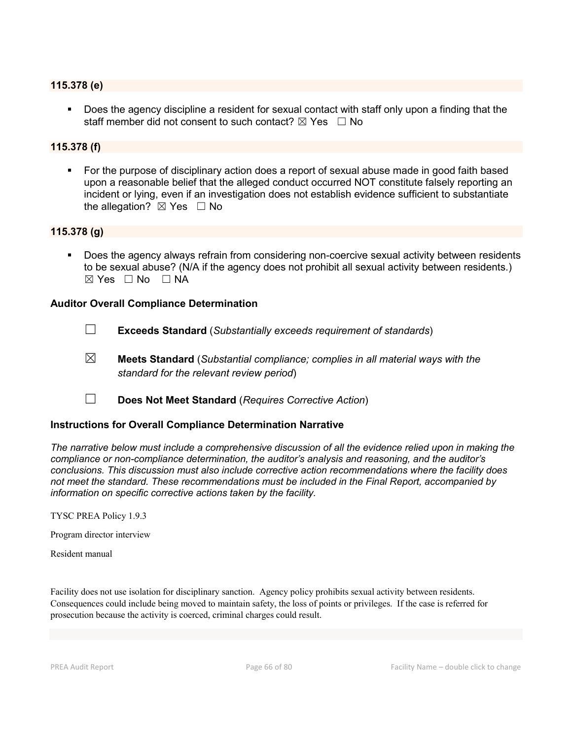#### **115.378 (e)**

 Does the agency discipline a resident for sexual contact with staff only upon a finding that the staff member did not consent to such contact?  $\boxtimes$  Yes  $\Box$  No

### **115.378 (f)**

 For the purpose of disciplinary action does a report of sexual abuse made in good faith based upon a reasonable belief that the alleged conduct occurred NOT constitute falsely reporting an incident or lying, even if an investigation does not establish evidence sufficient to substantiate the allegation?  $\boxtimes$  Yes  $\Box$  No

## **115.378 (g)**

 Does the agency always refrain from considering non-coercive sexual activity between residents to be sexual abuse? (N/A if the agency does not prohibit all sexual activity between residents.)  $\boxtimes$  Yes  $\Box$  No  $\Box$  NA

#### **Auditor Overall Compliance Determination**

- ☐ **Exceeds Standard** (*Substantially exceeds requirement of standards*)
- ☒ **Meets Standard** (*Substantial compliance; complies in all material ways with the standard for the relevant review period*)
- ☐ **Does Not Meet Standard** (*Requires Corrective Action*)

#### **Instructions for Overall Compliance Determination Narrative**

*The narrative below must include a comprehensive discussion of all the evidence relied upon in making the compliance or non-compliance determination, the auditor's analysis and reasoning, and the auditor's conclusions. This discussion must also include corrective action recommendations where the facility does not meet the standard. These recommendations must be included in the Final Report, accompanied by information on specific corrective actions taken by the facility.*

TYSC PREA Policy 1.9.3

Program director interview

Resident manual

Facility does not use isolation for disciplinary sanction. Agency policy prohibits sexual activity between residents. Consequences could include being moved to maintain safety, the loss of points or privileges. If the case is referred for prosecution because the activity is coerced, criminal charges could result.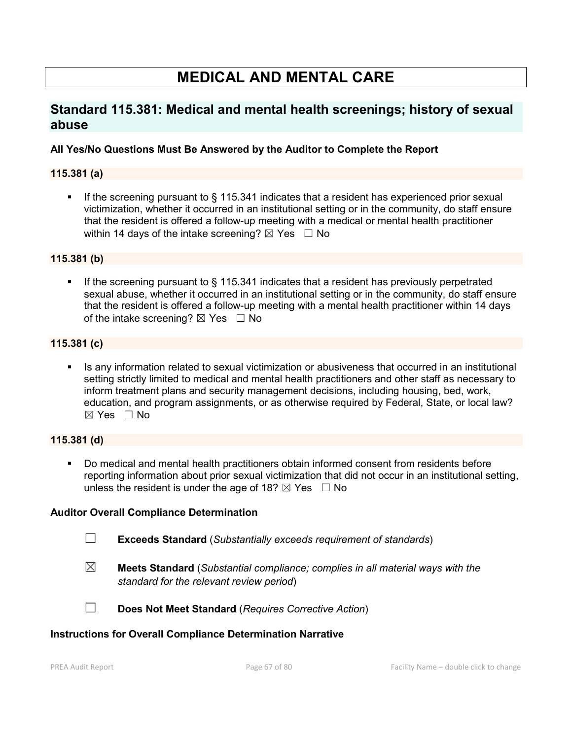# **MEDICAL AND MENTAL CARE**

## **Standard 115.381: Medical and mental health screenings; history of sexual abuse**

## **All Yes/No Questions Must Be Answered by the Auditor to Complete the Report**

## **115.381 (a)**

 If the screening pursuant to § 115.341 indicates that a resident has experienced prior sexual victimization, whether it occurred in an institutional setting or in the community, do staff ensure that the resident is offered a follow-up meeting with a medical or mental health practitioner within 14 days of the intake screening?  $\boxtimes$  Yes  $\Box$  No

### **115.381 (b)**

If the screening pursuant to  $\S$  115.341 indicates that a resident has previously perpetrated sexual abuse, whether it occurred in an institutional setting or in the community, do staff ensure that the resident is offered a follow-up meeting with a mental health practitioner within 14 days of the intake screening?  $\boxtimes$  Yes  $\Box$  No

## **115.381 (c)**

 Is any information related to sexual victimization or abusiveness that occurred in an institutional setting strictly limited to medical and mental health practitioners and other staff as necessary to inform treatment plans and security management decisions, including housing, bed, work, education, and program assignments, or as otherwise required by Federal, State, or local law?  $\boxtimes$  Yes  $\Box$  No

#### **115.381 (d)**

 Do medical and mental health practitioners obtain informed consent from residents before reporting information about prior sexual victimization that did not occur in an institutional setting, unless the resident is under the age of 18?  $\boxtimes$  Yes  $\Box$  No

#### **Auditor Overall Compliance Determination**

- ☐ **Exceeds Standard** (*Substantially exceeds requirement of standards*)
- 
- ☒ **Meets Standard** (*Substantial compliance; complies in all material ways with the standard for the relevant review period*)



☐ **Does Not Meet Standard** (*Requires Corrective Action*)

#### **Instructions for Overall Compliance Determination Narrative**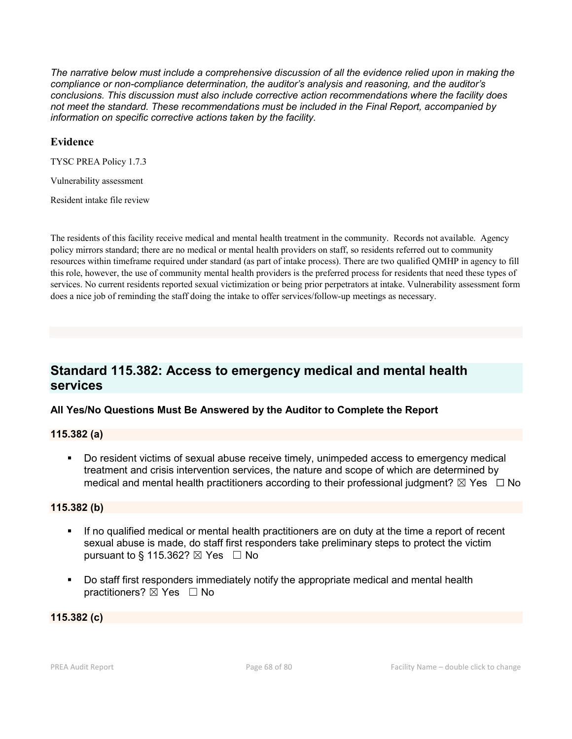*The narrative below must include a comprehensive discussion of all the evidence relied upon in making the compliance or non-compliance determination, the auditor's analysis and reasoning, and the auditor's conclusions. This discussion must also include corrective action recommendations where the facility does not meet the standard. These recommendations must be included in the Final Report, accompanied by information on specific corrective actions taken by the facility.*

### **Evidence**

TYSC PREA Policy 1.7.3

Vulnerability assessment

Resident intake file review

The residents of this facility receive medical and mental health treatment in the community. Records not available. Agency policy mirrors standard; there are no medical or mental health providers on staff, so residents referred out to community resources within timeframe required under standard (as part of intake process). There are two qualified QMHP in agency to fill this role, however, the use of community mental health providers is the preferred process for residents that need these types of services. No current residents reported sexual victimization or being prior perpetrators at intake. Vulnerability assessment form does a nice job of reminding the staff doing the intake to offer services/follow-up meetings as necessary.

## **Standard 115.382: Access to emergency medical and mental health services**

## **All Yes/No Questions Must Be Answered by the Auditor to Complete the Report**

#### **115.382 (a)**

 Do resident victims of sexual abuse receive timely, unimpeded access to emergency medical treatment and crisis intervention services, the nature and scope of which are determined by medical and mental health practitioners according to their professional judgment?  $\boxtimes$  Yes  $\Box$  No

## **115.382 (b)**

- If no qualified medical or mental health practitioners are on duty at the time a report of recent sexual abuse is made, do staff first responders take preliminary steps to protect the victim pursuant to § 115.362?  $\boxtimes$  Yes  $\Box$  No
- Do staff first responders immediately notify the appropriate medical and mental health practitioners?  $\boxtimes$  Yes  $\Box$  No

## **115.382 (c)**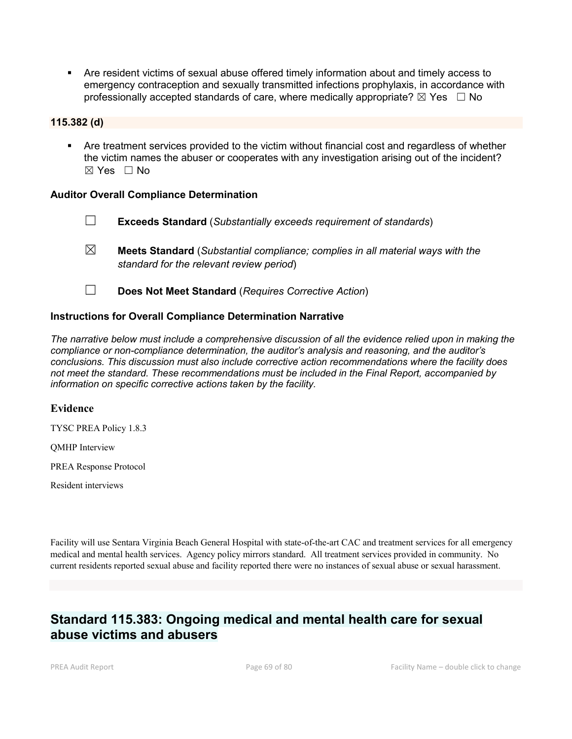Are resident victims of sexual abuse offered timely information about and timely access to emergency contraception and sexually transmitted infections prophylaxis, in accordance with professionally accepted standards of care, where medically appropriate?  $\boxtimes$  Yes  $\Box$  No

### **115.382 (d)**

 Are treatment services provided to the victim without financial cost and regardless of whether the victim names the abuser or cooperates with any investigation arising out of the incident?  $\boxtimes$  Yes  $\Box$  No

### **Auditor Overall Compliance Determination**

- ☐ **Exceeds Standard** (*Substantially exceeds requirement of standards*)
- ☒ **Meets Standard** (*Substantial compliance; complies in all material ways with the standard for the relevant review period*)
- ☐ **Does Not Meet Standard** (*Requires Corrective Action*)

### **Instructions for Overall Compliance Determination Narrative**

*The narrative below must include a comprehensive discussion of all the evidence relied upon in making the compliance or non-compliance determination, the auditor's analysis and reasoning, and the auditor's conclusions. This discussion must also include corrective action recommendations where the facility does not meet the standard. These recommendations must be included in the Final Report, accompanied by information on specific corrective actions taken by the facility.*

#### **Evidence**

TYSC PREA Policy 1.8.3

QMHP Interview

PREA Response Protocol

Resident interviews

Facility will use Sentara Virginia Beach General Hospital with state-of-the-art CAC and treatment services for all emergency medical and mental health services. Agency policy mirrors standard. All treatment services provided in community. No current residents reported sexual abuse and facility reported there were no instances of sexual abuse or sexual harassment.

## **Standard 115.383: Ongoing medical and mental health care for sexual abuse victims and abusers**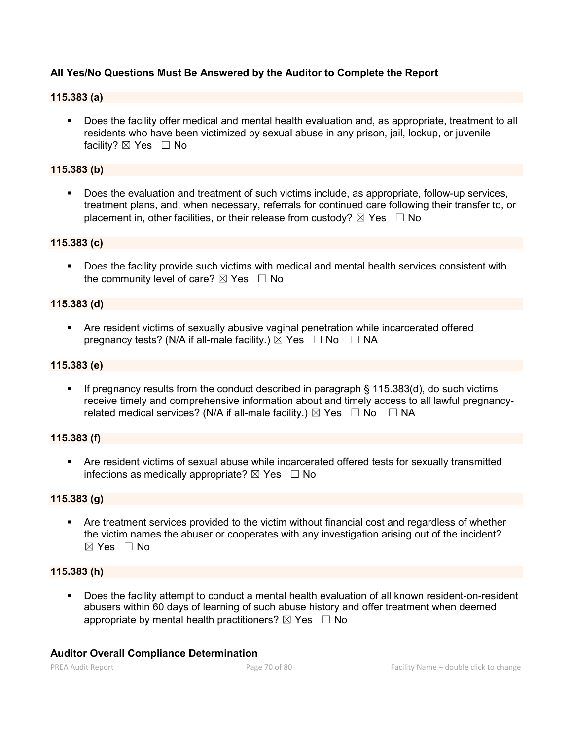## **All Yes/No Questions Must Be Answered by the Auditor to Complete the Report**

### **115.383 (a)**

 Does the facility offer medical and mental health evaluation and, as appropriate, treatment to all residents who have been victimized by sexual abuse in any prison, jail, lockup, or juvenile facility? ⊠ Yes □ No

### **115.383 (b)**

 Does the evaluation and treatment of such victims include, as appropriate, follow-up services, treatment plans, and, when necessary, referrals for continued care following their transfer to, or placement in, other facilities, or their release from custody?  $\boxtimes$  Yes  $\Box$  No

#### **115.383 (c)**

 Does the facility provide such victims with medical and mental health services consistent with the community level of care?  $\boxtimes$  Yes  $\Box$  No

#### **115.383 (d)**

 Are resident victims of sexually abusive vaginal penetration while incarcerated offered pregnancy tests? (N/A if all-male facility.)  $\boxtimes$  Yes  $\Box$  No  $\Box$  NA

#### **115.383 (e)**

 If pregnancy results from the conduct described in paragraph § 115.383(d), do such victims receive timely and comprehensive information about and timely access to all lawful pregnancyrelated medical services? (N/A if all-male facility.)  $\boxtimes$  Yes  $\Box$  No  $\Box$  NA

#### **115.383 (f)**

 Are resident victims of sexual abuse while incarcerated offered tests for sexually transmitted infections as medically appropriate?  $\boxtimes$  Yes  $\Box$  No

#### **115.383 (g)**

 Are treatment services provided to the victim without financial cost and regardless of whether the victim names the abuser or cooperates with any investigation arising out of the incident?  $\boxtimes$  Yes  $\Box$  No

#### **115.383 (h)**

 Does the facility attempt to conduct a mental health evaluation of all known resident-on-resident abusers within 60 days of learning of such abuse history and offer treatment when deemed appropriate by mental health practitioners?  $\boxtimes$  Yes  $\Box$  No

#### **Auditor Overall Compliance Determination**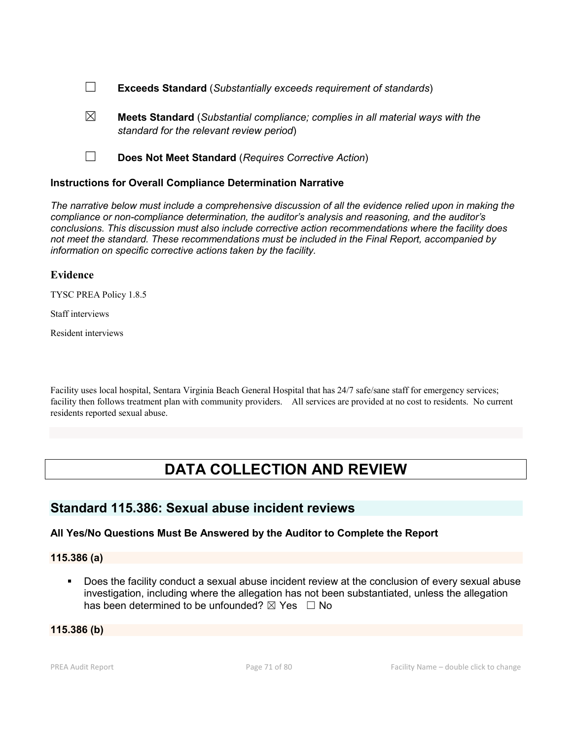- ☐ **Exceeds Standard** (*Substantially exceeds requirement of standards*)
- ☒ **Meets Standard** (*Substantial compliance; complies in all material ways with the standard for the relevant review period*)
- ☐ **Does Not Meet Standard** (*Requires Corrective Action*)

### **Instructions for Overall Compliance Determination Narrative**

*The narrative below must include a comprehensive discussion of all the evidence relied upon in making the compliance or non-compliance determination, the auditor's analysis and reasoning, and the auditor's conclusions. This discussion must also include corrective action recommendations where the facility does not meet the standard. These recommendations must be included in the Final Report, accompanied by information on specific corrective actions taken by the facility.*

#### **Evidence**

TYSC PREA Policy 1.8.5

Staff interviews

Resident interviews

Facility uses local hospital, Sentara Virginia Beach General Hospital that has 24/7 safe/sane staff for emergency services; facility then follows treatment plan with community providers. All services are provided at no cost to residents. No current residents reported sexual abuse.

# **DATA COLLECTION AND REVIEW**

## **Standard 115.386: Sexual abuse incident reviews**

## **All Yes/No Questions Must Be Answered by the Auditor to Complete the Report**

**115.386 (a)**

 Does the facility conduct a sexual abuse incident review at the conclusion of every sexual abuse investigation, including where the allegation has not been substantiated, unless the allegation has been determined to be unfounded?  $\boxtimes$  Yes  $\Box$  No

#### **115.386 (b)**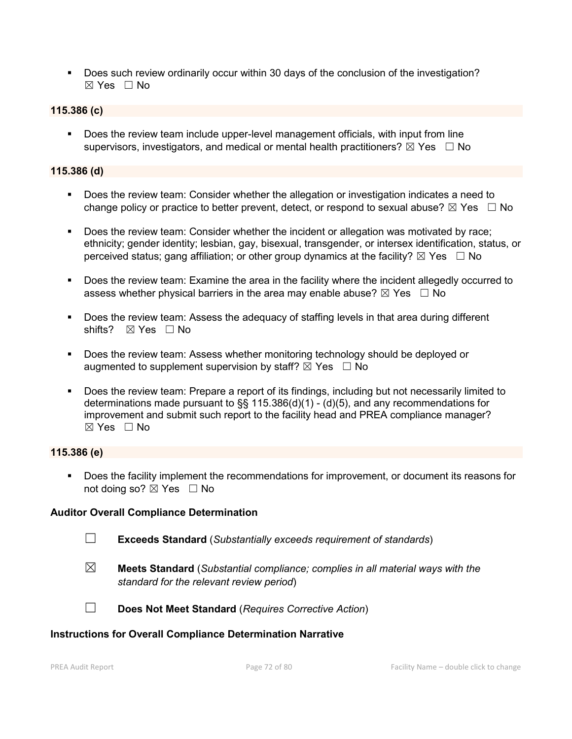Does such review ordinarily occur within 30 days of the conclusion of the investigation? ☒ Yes ☐ No

### **115.386 (c)**

 Does the review team include upper-level management officials, with input from line supervisors, investigators, and medical or mental health practitioners?  $\boxtimes$  Yes  $\Box$  No

### **115.386 (d)**

- Does the review team: Consider whether the allegation or investigation indicates a need to change policy or practice to better prevent, detect, or respond to sexual abuse?  $\boxtimes$  Yes  $\Box$  No
- Does the review team: Consider whether the incident or allegation was motivated by race; ethnicity; gender identity; lesbian, gay, bisexual, transgender, or intersex identification, status, or perceived status; gang affiliation; or other group dynamics at the facility?  $\boxtimes$  Yes  $\Box$  No
- Does the review team: Examine the area in the facility where the incident allegedly occurred to assess whether physical barriers in the area may enable abuse?  $\boxtimes$  Yes  $\Box$  No
- Does the review team: Assess the adequacy of staffing levels in that area during different shifts? ⊠ Yes □ No
- Does the review team: Assess whether monitoring technology should be deployed or augmented to supplement supervision by staff?  $\boxtimes$  Yes  $\Box$  No
- Does the review team: Prepare a report of its findings, including but not necessarily limited to determinations made pursuant to §§ 115.386(d)(1) - (d)(5), and any recommendations for improvement and submit such report to the facility head and PREA compliance manager?  $\boxtimes$  Yes  $\Box$  No

## **115.386 (e)**

 Does the facility implement the recommendations for improvement, or document its reasons for not doing so?  $\boxtimes$  Yes  $\Box$  No

#### **Auditor Overall Compliance Determination**

- ☐ **Exceeds Standard** (*Substantially exceeds requirement of standards*)
- 
- ☒ **Meets Standard** (*Substantial compliance; complies in all material ways with the standard for the relevant review period*)



☐ **Does Not Meet Standard** (*Requires Corrective Action*)

## **Instructions for Overall Compliance Determination Narrative**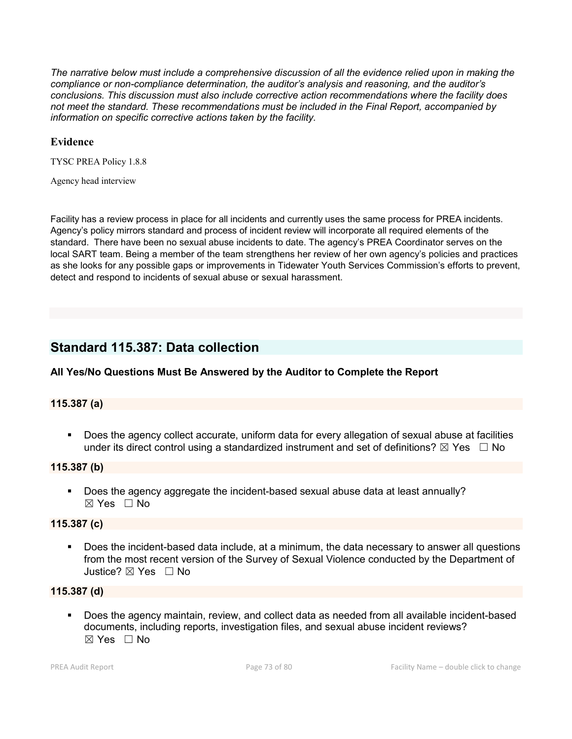*The narrative below must include a comprehensive discussion of all the evidence relied upon in making the compliance or non-compliance determination, the auditor's analysis and reasoning, and the auditor's conclusions. This discussion must also include corrective action recommendations where the facility does not meet the standard. These recommendations must be included in the Final Report, accompanied by information on specific corrective actions taken by the facility.*

#### **Evidence**

TYSC PREA Policy 1.8.8

Agency head interview

Facility has a review process in place for all incidents and currently uses the same process for PREA incidents. Agency's policy mirrors standard and process of incident review will incorporate all required elements of the standard. There have been no sexual abuse incidents to date. The agency's PREA Coordinator serves on the local SART team. Being a member of the team strengthens her review of her own agency's policies and practices as she looks for any possible gaps or improvements in Tidewater Youth Services Commission's efforts to prevent, detect and respond to incidents of sexual abuse or sexual harassment.

# **Standard 115.387: Data collection**

#### **All Yes/No Questions Must Be Answered by the Auditor to Complete the Report**

#### **115.387 (a)**

 Does the agency collect accurate, uniform data for every allegation of sexual abuse at facilities under its direct control using a standardized instrument and set of definitions?  $\boxtimes$  Yes  $\Box$  No

#### **115.387 (b)**

 Does the agency aggregate the incident-based sexual abuse data at least annually? ☒ Yes ☐ No

#### **115.387 (c)**

 Does the incident-based data include, at a minimum, the data necessary to answer all questions from the most recent version of the Survey of Sexual Violence conducted by the Department of Justice? ☒ Yes ☐ No

#### **115.387 (d)**

 Does the agency maintain, review, and collect data as needed from all available incident-based documents, including reports, investigation files, and sexual abuse incident reviews?  $\boxtimes$  Yes  $\Box$  No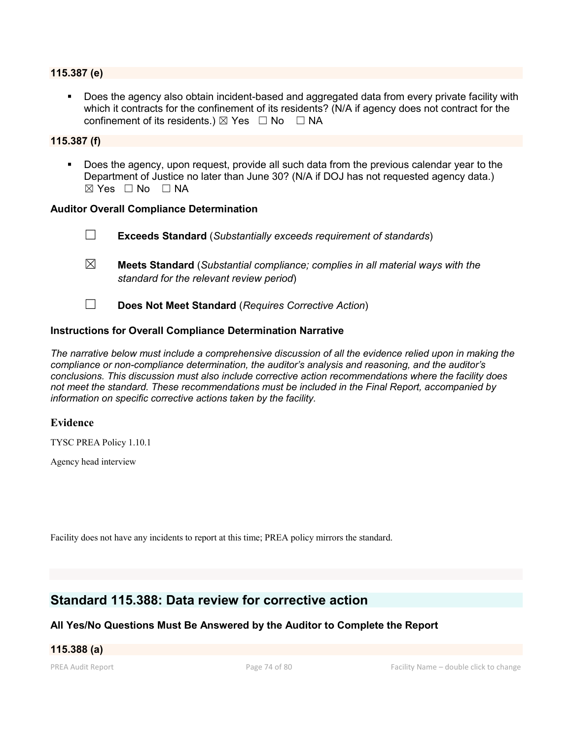#### **115.387 (e)**

 Does the agency also obtain incident-based and aggregated data from every private facility with which it contracts for the confinement of its residents? (N/A if agency does not contract for the confinement of its residents.)  $\boxtimes$  Yes  $\Box$  No  $\Box$  NA

#### **115.387 (f)**

 Does the agency, upon request, provide all such data from the previous calendar year to the Department of Justice no later than June 30? (N/A if DOJ has not requested agency data.)  $⊠ Yes ⊡ No ⊡ NA$ 

#### **Auditor Overall Compliance Determination**

☐ **Exceeds Standard** (*Substantially exceeds requirement of standards*) ☒ **Meets Standard** (*Substantial compliance; complies in all material ways with the standard for the relevant review period*) ☐ **Does Not Meet Standard** (*Requires Corrective Action*)

#### **Instructions for Overall Compliance Determination Narrative**

*The narrative below must include a comprehensive discussion of all the evidence relied upon in making the compliance or non-compliance determination, the auditor's analysis and reasoning, and the auditor's conclusions. This discussion must also include corrective action recommendations where the facility does not meet the standard. These recommendations must be included in the Final Report, accompanied by information on specific corrective actions taken by the facility.*

#### **Evidence**

TYSC PREA Policy 1.10.1

Agency head interview

Facility does not have any incidents to report at this time; PREA policy mirrors the standard.

# **Standard 115.388: Data review for corrective action**

#### **All Yes/No Questions Must Be Answered by the Auditor to Complete the Report**

#### **115.388 (a)**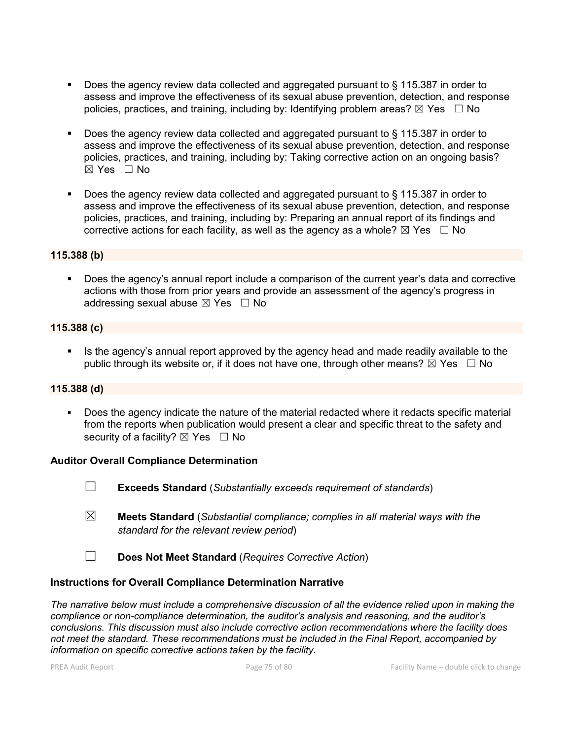- Does the agency review data collected and aggregated pursuant to § 115.387 in order to assess and improve the effectiveness of its sexual abuse prevention, detection, and response policies, practices, and training, including by: Identifying problem areas?  $\boxtimes$  Yes  $\Box$  No
- Does the agency review data collected and aggregated pursuant to § 115.387 in order to assess and improve the effectiveness of its sexual abuse prevention, detection, and response policies, practices, and training, including by: Taking corrective action on an ongoing basis? ☒ Yes ☐ No
- Does the agency review data collected and aggregated pursuant to § 115.387 in order to assess and improve the effectiveness of its sexual abuse prevention, detection, and response policies, practices, and training, including by: Preparing an annual report of its findings and corrective actions for each facility, as well as the agency as a whole?  $\boxtimes$  Yes  $\Box$  No

#### **115.388 (b)**

 Does the agency's annual report include a comparison of the current year's data and corrective actions with those from prior years and provide an assessment of the agency's progress in addressing sexual abuse  $\boxtimes$  Yes  $\Box$  No

#### **115.388 (c)**

 Is the agency's annual report approved by the agency head and made readily available to the public through its website or, if it does not have one, through other means?  $\boxtimes$  Yes  $\Box$  No

#### **115.388 (d)**

 Does the agency indicate the nature of the material redacted where it redacts specific material from the reports when publication would present a clear and specific threat to the safety and security of a facility?  $\boxtimes$  Yes  $\Box$  No

#### **Auditor Overall Compliance Determination**

- ☐ **Exceeds Standard** (*Substantially exceeds requirement of standards*)
- ☒ **Meets Standard** (*Substantial compliance; complies in all material ways with the standard for the relevant review period*)
- ☐ **Does Not Meet Standard** (*Requires Corrective Action*)

#### **Instructions for Overall Compliance Determination Narrative**

*The narrative below must include a comprehensive discussion of all the evidence relied upon in making the compliance or non-compliance determination, the auditor's analysis and reasoning, and the auditor's conclusions. This discussion must also include corrective action recommendations where the facility does not meet the standard. These recommendations must be included in the Final Report, accompanied by information on specific corrective actions taken by the facility.*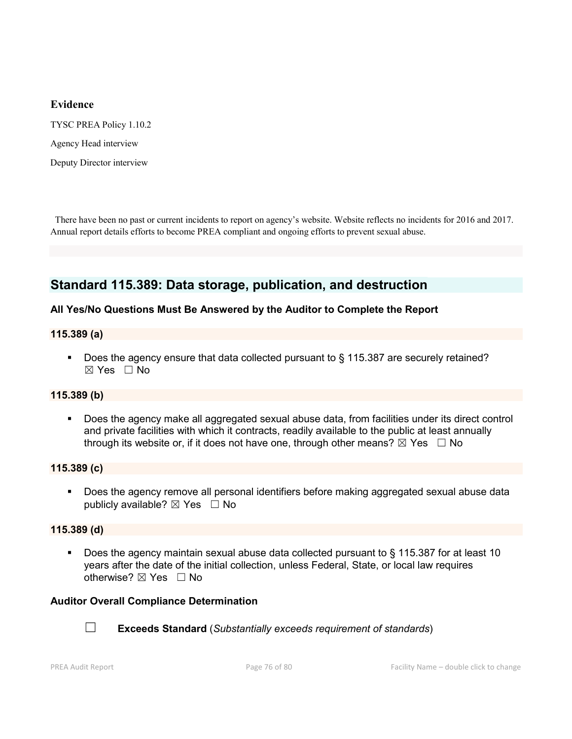#### **Evidence**

TYSC PREA Policy 1.10.2

Agency Head interview

Deputy Director interview

 There have been no past or current incidents to report on agency's website. Website reflects no incidents for 2016 and 2017. Annual report details efforts to become PREA compliant and ongoing efforts to prevent sexual abuse.

# **Standard 115.389: Data storage, publication, and destruction**

#### **All Yes/No Questions Must Be Answered by the Auditor to Complete the Report**

#### **115.389 (a)**

Does the agency ensure that data collected pursuant to § 115.387 are securely retained?  $\boxtimes$  Yes  $\Box$  No

#### **115.389 (b)**

 Does the agency make all aggregated sexual abuse data, from facilities under its direct control and private facilities with which it contracts, readily available to the public at least annually through its website or, if it does not have one, through other means?  $\boxtimes$  Yes  $\Box$  No

#### **115.389 (c)**

**Does the agency remove all personal identifiers before making aggregated sexual abuse data** publicly available?  $\boxtimes$  Yes  $\Box$  No

#### **115.389 (d)**

 Does the agency maintain sexual abuse data collected pursuant to § 115.387 for at least 10 years after the date of the initial collection, unless Federal, State, or local law requires otherwise? ☒ Yes ☐ No

#### **Auditor Overall Compliance Determination**



☐ **Exceeds Standard** (*Substantially exceeds requirement of standards*)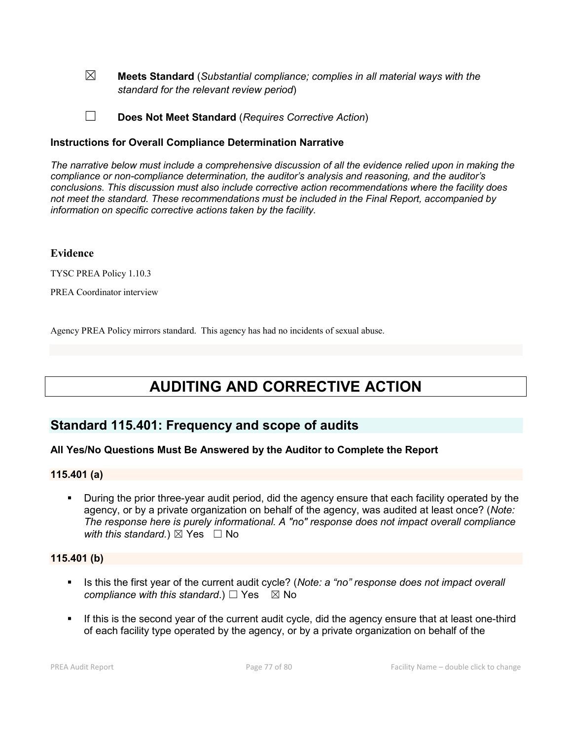- ☒ **Meets Standard** (*Substantial compliance; complies in all material ways with the standard for the relevant review period*)
- ☐ **Does Not Meet Standard** (*Requires Corrective Action*)

#### **Instructions for Overall Compliance Determination Narrative**

*The narrative below must include a comprehensive discussion of all the evidence relied upon in making the compliance or non-compliance determination, the auditor's analysis and reasoning, and the auditor's conclusions. This discussion must also include corrective action recommendations where the facility does not meet the standard. These recommendations must be included in the Final Report, accompanied by information on specific corrective actions taken by the facility.*

#### **Evidence**

TYSC PREA Policy 1.10.3

PREA Coordinator interview

Agency PREA Policy mirrors standard. This agency has had no incidents of sexual abuse.

# **AUDITING AND CORRECTIVE ACTION**

# **Standard 115.401: Frequency and scope of audits**

#### **All Yes/No Questions Must Be Answered by the Auditor to Complete the Report**

#### **115.401 (a)**

 During the prior three-year audit period, did the agency ensure that each facility operated by the agency, or by a private organization on behalf of the agency, was audited at least once? (*Note: The response here is purely informational. A "no" response does not impact overall compliance with this standard.*)  $\boxtimes$  Yes  $\Box$  No

#### **115.401 (b)**

- Is this the first year of the current audit cycle? (*Note: a "no" response does not impact overall compliance with this standard.*) □ Yes  $\boxtimes$  No
- If this is the second year of the current audit cycle, did the agency ensure that at least one-third of each facility type operated by the agency, or by a private organization on behalf of the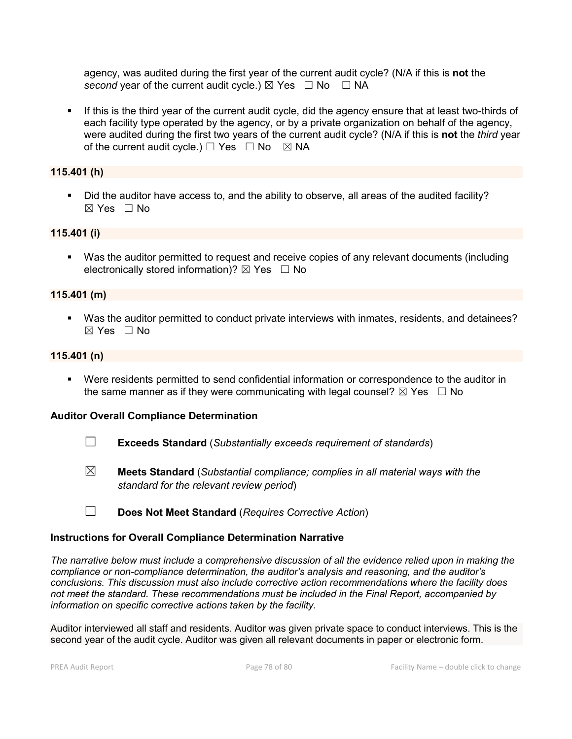agency, was audited during the first year of the current audit cycle? (N/A if this is **not** the *second* year of the current audit cycle.)  $\boxtimes$  Yes  $\Box$  No  $\Box$  NA

If this is the third year of the current audit cycle, did the agency ensure that at least two-thirds of each facility type operated by the agency, or by a private organization on behalf of the agency, were audited during the first two years of the current audit cycle? (N/A if this is **not** the *third* year of the current audit cycle.)  $\Box$  Yes  $\Box$  No  $\boxtimes$  NA

#### **115.401 (h)**

 Did the auditor have access to, and the ability to observe, all areas of the audited facility?  $\boxtimes$  Yes  $\Box$  No

#### **115.401 (i)**

 Was the auditor permitted to request and receive copies of any relevant documents (including electronically stored information)?  $\boxtimes$  Yes  $\Box$  No

#### **115.401 (m)**

 Was the auditor permitted to conduct private interviews with inmates, residents, and detainees?  $\boxtimes$  Yes  $\Box$  No

#### **115.401 (n)**

 Were residents permitted to send confidential information or correspondence to the auditor in the same manner as if they were communicating with legal counsel?  $\boxtimes$  Yes  $\Box$  No

#### **Auditor Overall Compliance Determination**

- ☐ **Exceeds Standard** (*Substantially exceeds requirement of standards*)
- ☒ **Meets Standard** (*Substantial compliance; complies in all material ways with the standard for the relevant review period*)
- ☐ **Does Not Meet Standard** (*Requires Corrective Action*)

#### **Instructions for Overall Compliance Determination Narrative**

*The narrative below must include a comprehensive discussion of all the evidence relied upon in making the compliance or non-compliance determination, the auditor's analysis and reasoning, and the auditor's conclusions. This discussion must also include corrective action recommendations where the facility does not meet the standard. These recommendations must be included in the Final Report, accompanied by information on specific corrective actions taken by the facility.*

Auditor interviewed all staff and residents. Auditor was given private space to conduct interviews. This is the second year of the audit cycle. Auditor was given all relevant documents in paper or electronic form.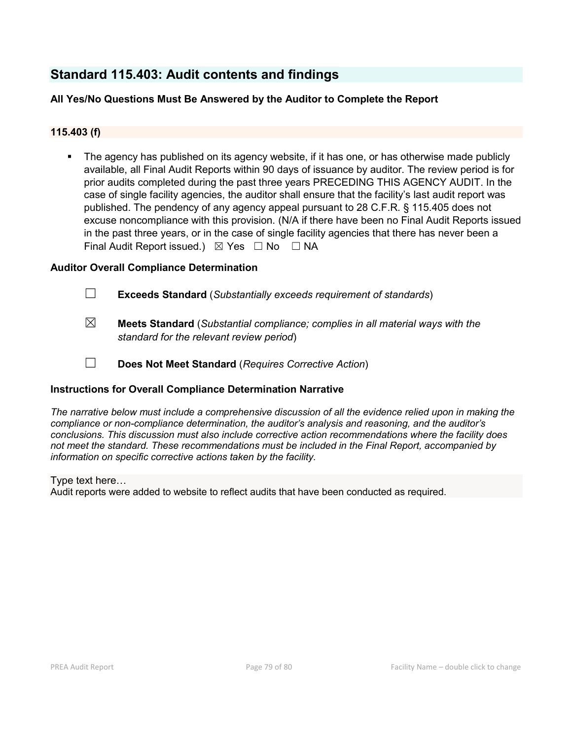# **Standard 115.403: Audit contents and findings**

## **All Yes/No Questions Must Be Answered by the Auditor to Complete the Report**

### **115.403 (f)**

 The agency has published on its agency website, if it has one, or has otherwise made publicly available, all Final Audit Reports within 90 days of issuance by auditor. The review period is for prior audits completed during the past three years PRECEDING THIS AGENCY AUDIT. In the case of single facility agencies, the auditor shall ensure that the facility's last audit report was published. The pendency of any agency appeal pursuant to 28 C.F.R. § 115.405 does not excuse noncompliance with this provision. (N/A if there have been no Final Audit Reports issued in the past three years, or in the case of single facility agencies that there has never been a Final Audit Report issued.)  $\boxtimes$  Yes  $\Box$  No  $\Box$  NA

#### **Auditor Overall Compliance Determination**

- ☐ **Exceeds Standard** (*Substantially exceeds requirement of standards*)
- ☒ **Meets Standard** (*Substantial compliance; complies in all material ways with the standard for the relevant review period*)
- ☐ **Does Not Meet Standard** (*Requires Corrective Action*)

#### **Instructions for Overall Compliance Determination Narrative**

*The narrative below must include a comprehensive discussion of all the evidence relied upon in making the compliance or non-compliance determination, the auditor's analysis and reasoning, and the auditor's conclusions. This discussion must also include corrective action recommendations where the facility does not meet the standard. These recommendations must be included in the Final Report, accompanied by information on specific corrective actions taken by the facility.*

Type text here…

Audit reports were added to website to reflect audits that have been conducted as required.